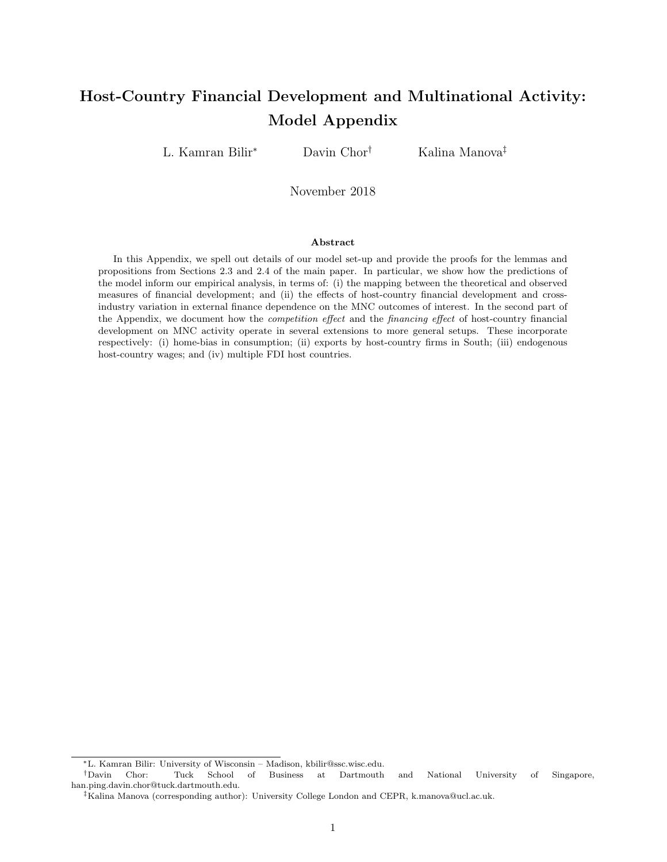# Host-Country Financial Development and Multinational Activity: Model Appendix

L. Kamran Bilir<sup>∗</sup> Davin Chor† Kalina Manova‡

November 2018

#### Abstract

In this Appendix, we spell out details of our model set-up and provide the proofs for the lemmas and propositions from Sections 2.3 and 2.4 of the main paper. In particular, we show how the predictions of the model inform our empirical analysis, in terms of: (i) the mapping between the theoretical and observed measures of financial development; and (ii) the effects of host-country financial development and crossindustry variation in external finance dependence on the MNC outcomes of interest. In the second part of the Appendix, we document how the competition effect and the financing effect of host-country financial development on MNC activity operate in several extensions to more general setups. These incorporate respectively: (i) home-bias in consumption; (ii) exports by host-country firms in South; (iii) endogenous host-country wages; and (iv) multiple FDI host countries.

<sup>∗</sup>L. Kamran Bilir: University of Wisconsin – Madison, kbilir@ssc.wisc.edu.

<sup>†</sup>Davin Chor: Tuck School of Business at Dartmouth and National University of Singapore, han.ping.davin.chor@tuck.dartmouth.edu.

<sup>‡</sup>Kalina Manova (corresponding author): University College London and CEPR, k.manova@ucl.ac.uk.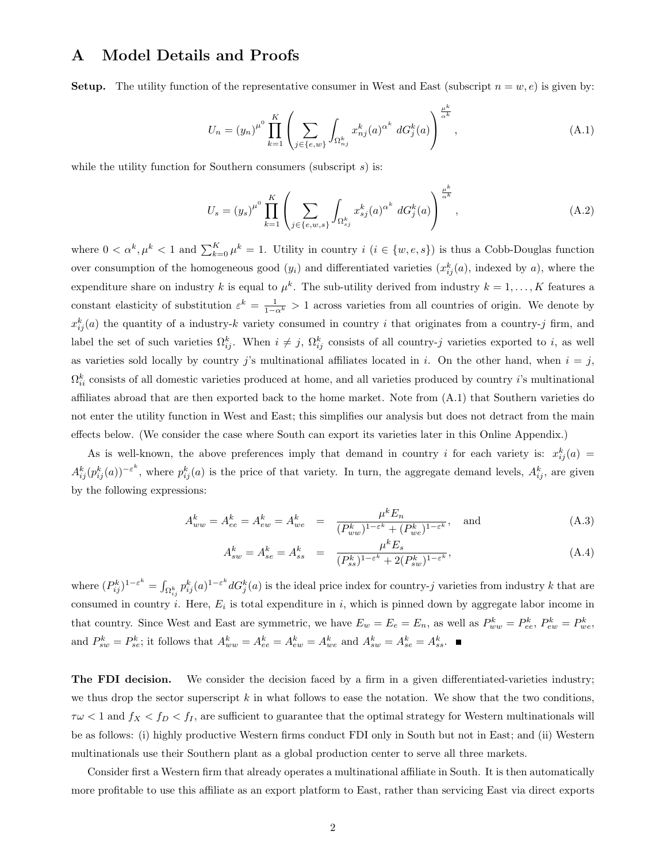# A Model Details and Proofs

**Setup.** The utility function of the representative consumer in West and East (subscript  $n = w, e$ ) is given by:

$$
U_n = (y_n)^{\mu^0} \prod_{k=1}^K \left( \sum_{j \in \{e,w\}} \int_{\Omega_{n_j}^k} x_{nj}^k(a)^{\alpha^k} dG_j^k(a) \right)^{\frac{\mu^k}{\alpha^k}}, \tag{A.1}
$$

while the utility function for Southern consumers (subscript  $s$ ) is:

$$
U_s = (y_s)^{\mu^0} \prod_{k=1}^K \left( \sum_{j \in \{e, w, s\}} \int_{\Omega_{sj}^k} x_{sj}^k(a)^{\alpha^k} dG_j^k(a) \right)^{\frac{\mu^k}{\alpha^k}}, \tag{A.2}
$$

where  $0 < \alpha^k, \mu^k < 1$  and  $\sum_{k=0}^K \mu^k = 1$ . Utility in country  $i \ (i \in \{w, e, s\})$  is thus a Cobb-Douglas function over consumption of the homogeneous good  $(y_i)$  and differentiated varieties  $(x_{ij}^k(a)$ , indexed by a), where the expenditure share on industry k is equal to  $\mu^k$ . The sub-utility derived from industry  $k = 1, ..., K$  features a constant elasticity of substitution  $\varepsilon^k = \frac{1}{1-\alpha^k} > 1$  across varieties from all countries of origin. We denote by  $x_{ij}^k(a)$  the quantity of a industry-k variety consumed in country i that originates from a country-j firm, and label the set of such varieties  $\Omega_{ij}^k$ . When  $i \neq j$ ,  $\Omega_{ij}^k$  consists of all country-j varieties exported to i, as well as varieties sold locally by country j's multinational affiliates located in i. On the other hand, when  $i = j$ ,  $\Omega_{ii}^k$  consists of all domestic varieties produced at home, and all varieties produced by country *i*'s multinational affiliates abroad that are then exported back to the home market. Note from (A.1) that Southern varieties do not enter the utility function in West and East; this simplifies our analysis but does not detract from the main effects below. (We consider the case where South can export its varieties later in this Online Appendix.)

As is well-known, the above preferences imply that demand in country i for each variety is:  $x_{ij}^k(a)$  =  $A_{ij}^k(p_{ij}^k(a))^{-\varepsilon^k}$ , where  $p_{ij}^k(a)$  is the price of that variety. In turn, the aggregate demand levels,  $A_{ij}^k$ , are given by the following expressions:

$$
A_{ww}^k = A_{ee}^k = A_{ew}^k = A_{we}^k = \frac{\mu^k E_n}{(P_{ww}^k)^{1 - \varepsilon^k} + (P_{we}^k)^{1 - \varepsilon^k}}, \text{ and } (A.3)
$$

$$
A_{sw}^k = A_{se}^k = A_{ss}^k = \frac{\mu^k E_s}{(P_{ss}^k)^{1 - \varepsilon^k} + 2(P_{sw}^k)^{1 - \varepsilon^k}},
$$
\n(A.4)

where  $(P_{ij}^k)^{1-\varepsilon^k} = \int_{\Omega_{ij}^k} p_{ij}^k(a)^{1-\varepsilon^k} dG_j^k(a)$  is the ideal price index for country-j varieties from industry k that are consumed in country *i*. Here,  $E_i$  is total expenditure in *i*, which is pinned down by aggregate labor income in that country. Since West and East are symmetric, we have  $E_w = E_e = E_n$ , as well as  $P_{ww}^k = P_{ee}^k$ ,  $P_{ew}^k = P_{we}^k$ . and  $P_{sw}^k = P_{se}^k$ ; it follows that  $A_{ww}^k = A_{ee}^k = A_{ew}^k = A_{we}^k$  and  $A_{sw}^k = A_{se}^k = A_{ss}^k$ .

The FDI decision. We consider the decision faced by a firm in a given differentiated-varieties industry; we thus drop the sector superscript  $k$  in what follows to ease the notation. We show that the two conditions,  $\tau\omega < 1$  and  $f_X < f_D < f_I$ , are sufficient to guarantee that the optimal strategy for Western multinationals will be as follows: (i) highly productive Western firms conduct FDI only in South but not in East; and (ii) Western multinationals use their Southern plant as a global production center to serve all three markets.

Consider first a Western firm that already operates a multinational affiliate in South. It is then automatically more profitable to use this affiliate as an export platform to East, rather than servicing East via direct exports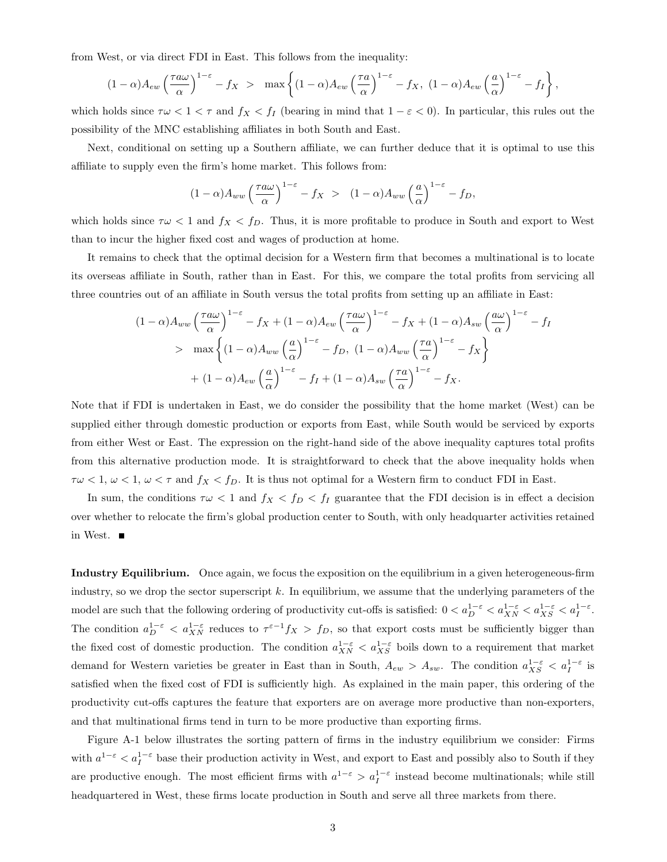from West, or via direct FDI in East. This follows from the inequality:

$$
(1-\alpha)A_{ew}\left(\frac{\tau a\omega}{\alpha}\right)^{1-\varepsilon}-f_X > \max\left\{(1-\alpha)A_{ew}\left(\frac{\tau a}{\alpha}\right)^{1-\varepsilon}-f_X, (1-\alpha)A_{ew}\left(\frac{a}{\alpha}\right)^{1-\varepsilon}-f_I\right\},\,
$$

which holds since  $\tau \omega < 1 < \tau$  and  $f_X < f_I$  (bearing in mind that  $1 - \varepsilon < 0$ ). In particular, this rules out the possibility of the MNC establishing affiliates in both South and East.

Next, conditional on setting up a Southern affiliate, we can further deduce that it is optimal to use this affiliate to supply even the firm's home market. This follows from:

$$
(1-\alpha)A_{ww}\left(\frac{\tau a\omega}{\alpha}\right)^{1-\varepsilon} - f_X > (1-\alpha)A_{ww}\left(\frac{a}{\alpha}\right)^{1-\varepsilon} - f_D,
$$

which holds since  $\tau\omega < 1$  and  $f_X < f_D$ . Thus, it is more profitable to produce in South and export to West than to incur the higher fixed cost and wages of production at home.

It remains to check that the optimal decision for a Western firm that becomes a multinational is to locate its overseas affiliate in South, rather than in East. For this, we compare the total profits from servicing all three countries out of an affiliate in South versus the total profits from setting up an affiliate in East:

$$
(1 - \alpha) A_{ww} \left(\frac{\tau a \omega}{\alpha}\right)^{1-\epsilon} - f_X + (1 - \alpha) A_{ew} \left(\frac{\tau a \omega}{\alpha}\right)^{1-\epsilon} - f_X + (1 - \alpha) A_{sw} \left(\frac{a \omega}{\alpha}\right)^{1-\epsilon} - f_I
$$
  
> 
$$
\max \left\{ (1 - \alpha) A_{ww} \left(\frac{a}{\alpha}\right)^{1-\epsilon} - f_D, (1 - \alpha) A_{ww} \left(\frac{\tau a}{\alpha}\right)^{1-\epsilon} - f_X \right\}
$$
  
+ 
$$
(1 - \alpha) A_{ew} \left(\frac{a}{\alpha}\right)^{1-\epsilon} - f_I + (1 - \alpha) A_{sw} \left(\frac{\tau a}{\alpha}\right)^{1-\epsilon} - f_X.
$$

Note that if FDI is undertaken in East, we do consider the possibility that the home market (West) can be supplied either through domestic production or exports from East, while South would be serviced by exports from either West or East. The expression on the right-hand side of the above inequality captures total profits from this alternative production mode. It is straightforward to check that the above inequality holds when  $\tau\omega < 1, \omega < 1, \omega < \tau$  and  $f_X < f_D$ . It is thus not optimal for a Western firm to conduct FDI in East.

In sum, the conditions  $\tau \omega < 1$  and  $f_X < f_D < f_I$  guarantee that the FDI decision is in effect a decision over whether to relocate the firm's global production center to South, with only headquarter activities retained in West.

Industry Equilibrium. Once again, we focus the exposition on the equilibrium in a given heterogeneous-firm industry, so we drop the sector superscript  $k$ . In equilibrium, we assume that the underlying parameters of the model are such that the following ordering of productivity cut-offs is satisfied:  $0 < a_{D}^{1-\varepsilon} < a_{XN}^{1-\varepsilon} < a_{XS}^{1-\varepsilon} < a_{I}^{1-\varepsilon}$ . The condition  $a_D^{1-\varepsilon} < a_{XN}^{1-\varepsilon}$  reduces to  $\tau^{\varepsilon-1} f_X > f_D$ , so that export costs must be sufficiently bigger than the fixed cost of domestic production. The condition  $a_{XX}^{1-\varepsilon} < a_{XS}^{1-\varepsilon}$  boils down to a requirement that market demand for Western varieties be greater in East than in South,  $A_{ew} > A_{sw}$ . The condition  $a_{XS}^{1-\varepsilon} < a_I^{1-\varepsilon}$  is satisfied when the fixed cost of FDI is sufficiently high. As explained in the main paper, this ordering of the productivity cut-offs captures the feature that exporters are on average more productive than non-exporters, and that multinational firms tend in turn to be more productive than exporting firms.

Figure A-1 below illustrates the sorting pattern of firms in the industry equilibrium we consider: Firms with  $a^{1-\varepsilon} < a_I^{1-\varepsilon}$  base their production activity in West, and export to East and possibly also to South if they are productive enough. The most efficient firms with  $a^{1-\varepsilon} > a_I^{1-\varepsilon}$  instead become multinationals; while still headquartered in West, these firms locate production in South and serve all three markets from there.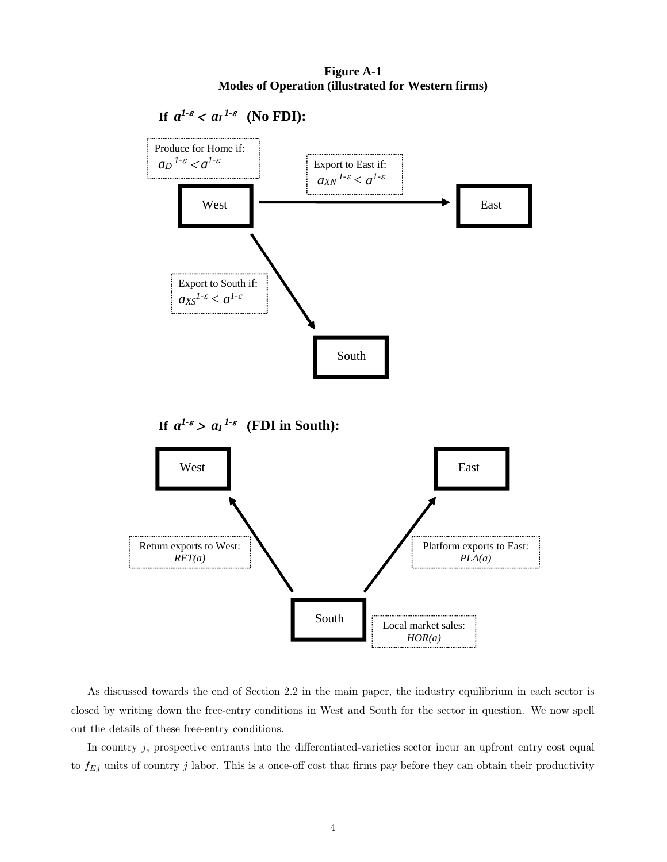**Figure A-1 Modes of Operation (illustrated for Western firms)** 



As discussed towards the end of Section 2.2 in the main paper, the industry equilibrium in each sector is closed by writing down the free-entry conditions in West and South for the sector in question. We now spell out the details of these free-entry conditions.

In country  $j$ , prospective entrants into the differentiated-varieties sector incur an upfront entry cost equal to  $f_{Ej}$  units of country j labor. This is a once-off cost that firms pay before they can obtain their productivity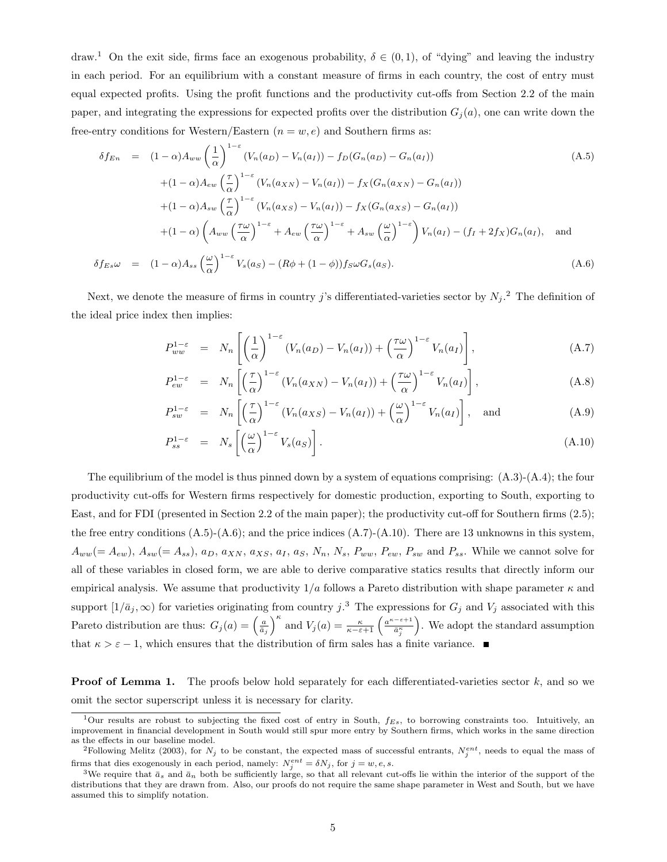draw.<sup>1</sup> On the exit side, firms face an exogenous probability,  $\delta \in (0,1)$ , of "dying" and leaving the industry in each period. For an equilibrium with a constant measure of firms in each country, the cost of entry must equal expected profits. Using the profit functions and the productivity cut-offs from Section 2.2 of the main paper, and integrating the expressions for expected profits over the distribution  $G_i(a)$ , one can write down the free-entry conditions for Western/Eastern  $(n = w, e)$  and Southern firms as:

$$
\delta f_{En} = (1 - \alpha) A_{ww} \left(\frac{1}{\alpha}\right)^{1 - \epsilon} (V_n(a_D) - V_n(a_I)) - f_D(G_n(a_D) - G_n(a_I))
$$
\n
$$
+ (1 - \alpha) A_{ew} \left(\frac{\tau}{\alpha}\right)^{1 - \epsilon} (V_n(a_{XN}) - V_n(a_I)) - f_X(G_n(a_{XN}) - G_n(a_I))
$$
\n
$$
+ (1 - \alpha) A_{sw} \left(\frac{\tau}{\alpha}\right)^{1 - \epsilon} (V_n(a_{XS}) - V_n(a_I)) - f_X(G_n(a_{XS}) - G_n(a_I))
$$
\n
$$
+ (1 - \alpha) \left(A_{ww} \left(\frac{\tau\omega}{\alpha}\right)^{1 - \epsilon} + A_{ew} \left(\frac{\tau\omega}{\alpha}\right)^{1 - \epsilon} + A_{sw} \left(\frac{\omega}{\alpha}\right)^{1 - \epsilon}\right) V_n(a_I) - (f_I + 2f_X) G_n(a_I), \text{ and}
$$
\n
$$
\delta f_{Es} \omega = (1 - \alpha) A_{ss} \left(\frac{\omega}{\alpha}\right)^{1 - \epsilon} V_s(a_S) - (R\phi + (1 - \phi)) f_S \omega G_s(a_S).
$$
\n(A.6)

Next, we denote the measure of firms in country j's differentiated-varieties sector by  $N_j$ .<sup>2</sup> The definition of the ideal price index then implies:

$$
P_{ww}^{1-\varepsilon} = N_n \left[ \left( \frac{1}{\alpha} \right)^{1-\varepsilon} \left( V_n(a_D) - V_n(a_I) \right) + \left( \frac{\tau \omega}{\alpha} \right)^{1-\varepsilon} V_n(a_I) \right], \tag{A.7}
$$

$$
P_{ew}^{1-\varepsilon} = N_n \left[ \left( \frac{\tau}{\alpha} \right)^{1-\varepsilon} \left( V_n(a_{XN}) - V_n(a_I) \right) + \left( \frac{\tau \omega}{\alpha} \right)^{1-\varepsilon} V_n(a_I) \right], \tag{A.8}
$$

$$
P_{sw}^{1-\varepsilon} = N_n \left[ \left( \frac{\tau}{\alpha} \right)^{1-\varepsilon} \left( V_n(a_{XS}) - V_n(a_I) \right) + \left( \frac{\omega}{\alpha} \right)^{1-\varepsilon} V_n(a_I) \right], \text{ and } (A.9)
$$

$$
P_{ss}^{1-\varepsilon} = N_s \left[ \left( \frac{\omega}{\alpha} \right)^{1-\varepsilon} V_s(a_S) \right]. \tag{A.10}
$$

The equilibrium of the model is thus pinned down by a system of equations comprising: (A.3)-(A.4); the four productivity cut-offs for Western firms respectively for domestic production, exporting to South, exporting to East, and for FDI (presented in Section 2.2 of the main paper); the productivity cut-off for Southern firms (2.5); the free entry conditions  $(A.5)-(A.6)$ ; and the price indices  $(A.7)-(A.10)$ . There are 13 unknowns in this system,  $A_{ww}(=A_{ew}), A_{sw}(=A_{ss}), a_D, a_{XN}, a_{XS}, a_I, a_S, N_n, N_s, P_{ww}, P_{ew}, P_{sw}$  and  $P_{ss}$ . While we cannot solve for all of these variables in closed form, we are able to derive comparative statics results that directly inform our empirical analysis. We assume that productivity  $1/a$  follows a Pareto distribution with shape parameter  $\kappa$  and support  $[1/\bar{a}_j,\infty)$  for varieties originating from country j.<sup>3</sup> The expressions for  $G_j$  and  $V_j$  associated with this Pareto distribution are thus:  $G_j(a) = \left(\frac{a}{\bar{a}_j}\right)^{\kappa}$  and  $V_j(a) = \frac{\kappa}{\kappa - \varepsilon + 1} \left(\frac{a^{\kappa - \varepsilon + 1}}{\bar{a}_i^{\kappa}}\right)$  $\bar{a}^{\kappa}_{j}$  . We adopt the standard assumption that  $\kappa > \varepsilon - 1$ , which ensures that the distribution of firm sales has a finite variance.

**Proof of Lemma 1.** The proofs below hold separately for each differentiated-varieties sector  $k$ , and so we omit the sector superscript unless it is necessary for clarity.

<sup>&</sup>lt;sup>1</sup>Our results are robust to subjecting the fixed cost of entry in South,  $f_{Es}$ , to borrowing constraints too. Intuitively, an improvement in financial development in South would still spur more entry by Southern firms, which works in the same direction as the effects in our baseline model.

<sup>&</sup>lt;sup>2</sup>Following Melitz (2003), for  $N_j$  to be constant, the expected mass of successful entrants,  $N_j^{ent}$ , needs to equal the mass of firms that dies exogenously in each period, namely:  $N_j^{ent} = \delta N_j$ , for  $j = w, e, s$ .

<sup>&</sup>lt;sup>3</sup>We require that  $\bar{a}_s$  and  $\bar{a}_n$  both be sufficiently large, so that all relevant cut-offs lie within the interior of the support of the distributions that they are drawn from. Also, our proofs do not require the same shape parameter in West and South, but we have assumed this to simplify notation.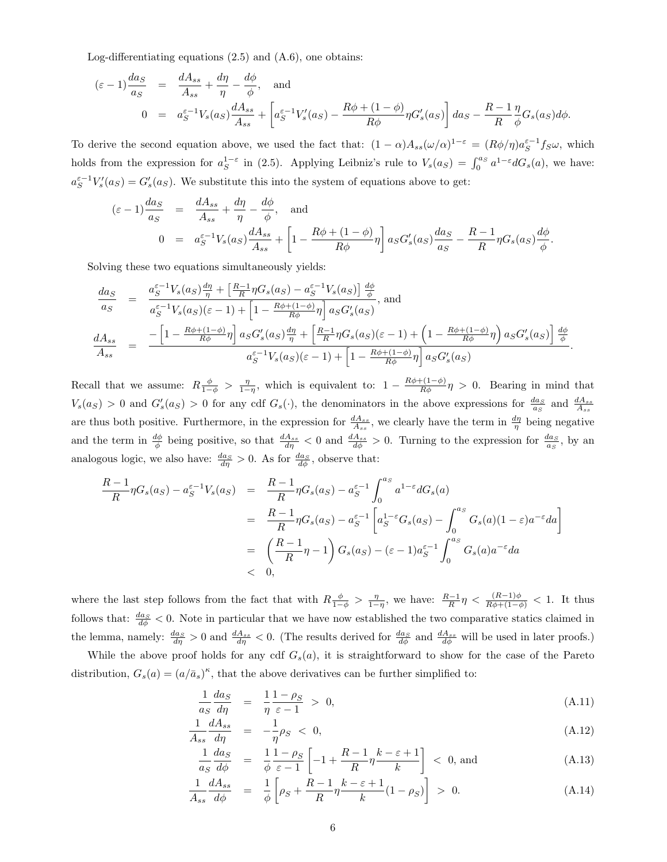Log-differentiating equations (2.5) and (A.6), one obtains:

$$
\begin{array}{rcl}\n(\varepsilon - 1) \frac{da_S}{a_S} & = & \frac{dA_{ss}}{A_{ss}} + \frac{d\eta}{\eta} - \frac{d\phi}{\phi}, \quad \text{and} \\
0 & = & a_S^{\varepsilon - 1} V_s(a_S) \frac{dA_{ss}}{A_{ss}} + \left[ a_S^{\varepsilon - 1} V_s'(a_S) - \frac{R\phi + (1 - \phi)}{R\phi} \eta G_s'(a_S) \right] da_S - \frac{R - 1}{R} \frac{\eta}{\phi} G_s(a_S) d\phi.\n\end{array}
$$

To derive the second equation above, we used the fact that:  $(1 - \alpha) A_{ss} (\omega/\alpha)^{1-\epsilon} = (R\phi/\eta) a_S^{\epsilon-1} f_S \omega$ , which holds from the expression for  $a_S^{1-\varepsilon}$  in (2.5). Applying Leibniz's rule to  $V_s(a_S) = \int_0^{a_S} a^{1-\varepsilon} dG_s(a)$ , we have:  $a_S^{\varepsilon-1}V_s'(a_S) = G_s'(a_S)$ . We substitute this into the system of equations above to get:

$$
\begin{array}{rcl}\n(\varepsilon - 1) \frac{da_S}{a_S} & = & \frac{dA_{ss}}{A_{ss}} + \frac{d\eta}{\eta} - \frac{d\phi}{\phi}, \\
0 & = & a_S^{\varepsilon - 1} V_s(a_S) \frac{dA_{ss}}{A_{ss}} + \left[1 - \frac{R\phi + (1 - \phi)}{R\phi}\eta\right] a_S G'_s(a_S) \frac{da_S}{a_S} - \frac{R - 1}{R} \eta G_s(a_S) \frac{d\phi}{\phi}\n\end{array}
$$

.

Solving these two equations simultaneously yields:

$$
\frac{da_S}{a_S} = \frac{a_S^{\varepsilon - 1} V_s(a_S) \frac{d\eta}{\eta} + \left[\frac{R-1}{R} \eta G_s(a_S) - a_S^{\varepsilon - 1} V_s(a_S)\right] \frac{d\phi}{\phi}}{a_S^{\varepsilon - 1} V_s(a_S)(\varepsilon - 1) + \left[1 - \frac{R\phi + (1-\phi)}{R\phi} \eta\right] a_S G'_s(a_S)}, \text{ and}
$$
\n
$$
\frac{dA_{ss}}{A_{ss}} = \frac{-\left[1 - \frac{R\phi + (1-\phi)}{R\phi} \eta\right] a_S G'_s(a_S) \frac{d\eta}{\eta} + \left[\frac{R-1}{R} \eta G_s(a_S)(\varepsilon - 1) + \left(1 - \frac{R\phi + (1-\phi)}{R\phi} \eta\right) a_S G'_s(a_S)\right] \frac{d\phi}{\phi}}{a_S^{\varepsilon - 1} V_s(a_S)(\varepsilon - 1) + \left[1 - \frac{R\phi + (1-\phi)}{R\phi} \eta\right] a_S G'_s(a_S)}.
$$

Recall that we assume:  $R\frac{\phi}{1-\phi} > \frac{\eta}{1-\eta}$ , which is equivalent to:  $1 - \frac{R\phi + (1-\phi)}{R\phi}\eta > 0$ . Bearing in mind that  $V_s(a_S) > 0$  and  $G'_s(a_S) > 0$  for any cdf  $G_s(\cdot)$ , the denominators in the above expressions for  $\frac{da_S}{a_S}$  and  $\frac{dA_{ss}}{A_{ss}}$ are thus both positive. Furthermore, in the expression for  $\frac{dA_{ss}}{A_{ss}}$ , we clearly have the term in  $\frac{d\eta}{\eta}$  being negative and the term in  $\frac{d\phi}{d}$  being positive, so that  $\frac{dA_{ss}}{d\eta} < 0$  and  $\frac{dA_{ss}}{d\phi} > 0$ . Turning to the expression for  $\frac{da_S}{a_S}$ , by an analogous logic, we also have:  $\frac{da_S}{d\eta} > 0$ . As for  $\frac{da_S}{d\phi}$ , observe that:

$$
\frac{R-1}{R}\eta G_s(a_S) - a_S^{\varepsilon - 1}V_s(a_S) = \frac{R-1}{R}\eta G_s(a_S) - a_S^{\varepsilon - 1}\int_0^{a_S} a^{1-\varepsilon}dG_s(a)
$$
  
\n
$$
= \frac{R-1}{R}\eta G_s(a_S) - a_S^{\varepsilon - 1}\left[a_S^{1-\varepsilon}G_s(a_S) - \int_0^{a_S} G_s(a)(1-\varepsilon)a^{-\varepsilon}da\right]
$$
  
\n
$$
= \left(\frac{R-1}{R}\eta - 1\right)G_s(a_S) - (\varepsilon - 1)a_S^{\varepsilon - 1}\int_0^{a_S} G_s(a)a^{-\varepsilon}da
$$
  
\n
$$
< 0,
$$

where the last step follows from the fact that with  $R\frac{\phi}{1-\phi} > \frac{\eta}{1-\eta}$ , we have:  $\frac{R-1}{R}\eta < \frac{(R-1)\phi}{R\phi+(1-\phi)} < 1$ . It thus follows that:  $\frac{da_S}{d\phi} < 0$ . Note in particular that we have now established the two comparative statics claimed in the lemma, namely:  $\frac{da_S}{d\eta} > 0$  and  $\frac{dA_{ss}}{d\eta} < 0$ . (The results derived for  $\frac{da_S}{d\phi}$  and  $\frac{dA_{ss}}{d\phi}$  will be used in later proofs.) While the above proof holds for any cdf  $G_s(a)$ , it is straightforward to show for the case of the Pareto

distribution,  $G_s(a) = (a/\bar{a}_s)^{\kappa}$ , that the above derivatives can be further simplified to:

$$
\frac{1}{a_S} \frac{da_S}{d\eta} = \frac{1}{\eta} \frac{1 - \rho_S}{\varepsilon - 1} > 0,
$$
\n(A.11)

$$
\frac{1}{A_{ss}}\frac{dA_{ss}}{d\eta} = -\frac{1}{\eta}\rho_S < 0,\tag{A.12}
$$

$$
\frac{1}{a_S} \frac{da_S}{d\phi} = \frac{1}{\phi} \frac{1 - \rho_S}{\varepsilon - 1} \left[ -1 + \frac{R - 1}{R} \eta \frac{k - \varepsilon + 1}{k} \right] < 0, \text{ and} \tag{A.13}
$$

$$
\frac{1}{A_{ss}} \frac{dA_{ss}}{d\phi} = \frac{1}{\phi} \left[ \rho_S + \frac{R-1}{R} \eta \frac{k-\varepsilon+1}{k} (1-\rho_S) \right] > 0. \tag{A.14}
$$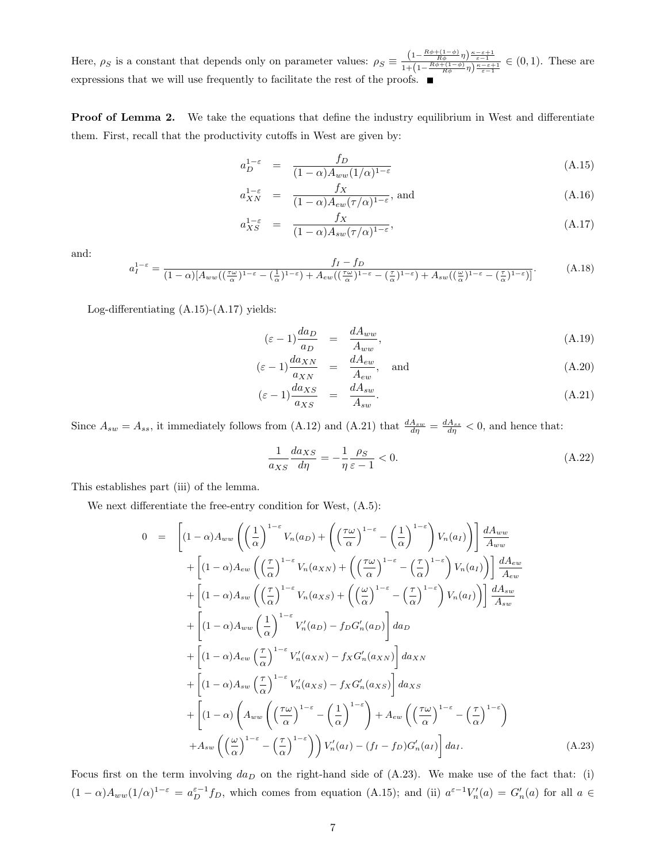Here,  $\rho_S$  is a constant that depends only on parameter values:  $\rho_S \equiv \frac{\left(1-\frac{R\phi + \left(1-\phi\right)}{R\phi}\eta\right)\frac{\kappa-\varepsilon+1}{\varepsilon-1}}{1+\left(1-\frac{R\phi + \left(1-\phi\right)}{R\phi}\eta\right)\frac{\kappa-\varepsilon+1}{\varepsilon-1}} \in (0,1)$ . These are expressions that we will use frequently to facilitate the rest of the proofs.

**Proof of Lemma 2.** We take the equations that define the industry equilibrium in West and differentiate them. First, recall that the productivity cutoffs in West are given by:

$$
a_D^{1-\varepsilon} = \frac{f_D}{(1-\alpha)A_{ww}(1/\alpha)^{1-\varepsilon}}
$$
(A.15)

$$
a_{XN}^{1-\varepsilon} = \frac{f_X}{(1-\alpha)A_{ew}(\tau/\alpha)^{1-\varepsilon}}, \text{ and}
$$
 (A.16)

$$
a_{XS}^{1-\varepsilon} = \frac{f_X}{(1-\alpha)A_{sw}(\tau/\alpha)^{1-\varepsilon}},\tag{A.17}
$$

and:

$$
a_I^{1-\varepsilon} = \frac{f_I - f_D}{(1-\alpha)[A_{ww}((\frac{\tau\omega}{\alpha})^{1-\varepsilon} - (\frac{1}{\alpha})^{1-\varepsilon}) + A_{ew}((\frac{\tau\omega}{\alpha})^{1-\varepsilon} - (\frac{\tau}{\alpha})^{1-\varepsilon}) + A_{sw}((\frac{\omega}{\alpha})^{1-\varepsilon} - (\frac{\tau}{\alpha})^{1-\varepsilon})]}.
$$
(A.18)

Log-differentiating (A.15)-(A.17) yields:

$$
(\varepsilon - 1) \frac{da_D}{a_D} = \frac{dA_{ww}}{A_{ww}}, \tag{A.19}
$$

$$
(\varepsilon - 1) \frac{d a_{XN}}{a_{XN}} = \frac{d A_{ew}}{A_{ew}}, \text{ and}
$$
 (A.20)

$$
(\varepsilon - 1) \frac{d a_{XS}}{a_{XS}} = \frac{d A_{sw}}{A_{sw}}.
$$
\n(A.21)

Since  $A_{sw} = A_{ss}$ , it immediately follows from (A.12) and (A.21) that  $\frac{dA_{sw}}{d\eta} = \frac{dA_{ss}}{d\eta} < 0$ , and hence that:

$$
\frac{1}{a_{XS}} \frac{da_{XS}}{d\eta} = -\frac{1}{\eta} \frac{\rho_S}{\varepsilon - 1} < 0. \tag{A.22}
$$

This establishes part (iii) of the lemma.

We next differentiate the free-entry condition for West,  $(A.5)$ :

$$
0 = \left[ (1 - \alpha) A_{ww} \left( \left( \frac{1}{\alpha} \right)^{1-\epsilon} V_n(a_D) + \left( \left( \frac{\tau \omega}{\alpha} \right)^{1-\epsilon} - \left( \frac{1}{\alpha} \right)^{1-\epsilon} \right) V_n(a_I) \right) \right] \frac{dA_{ww}}{A_{ww}} + \left[ (1 - \alpha) A_{ew} \left( \left( \frac{\tau}{\alpha} \right)^{1-\epsilon} V_n(a_{XN}) + \left( \left( \frac{\tau \omega}{\alpha} \right)^{1-\epsilon} - \left( \frac{\tau}{\alpha} \right)^{1-\epsilon} \right) V_n(a_I) \right) \right] \frac{dA_{ew}}{A_{ew}} + \left[ (1 - \alpha) A_{sw} \left( \left( \frac{\tau}{\alpha} \right)^{1-\epsilon} V_n(a_{XS}) + \left( \left( \frac{\omega}{\alpha} \right)^{1-\epsilon} - \left( \frac{\tau}{\alpha} \right)^{1-\epsilon} \right) V_n(a_I) \right) \right] \frac{dA_{sw}}{A_{sw}} + \left[ (1 - \alpha) A_{ww} \left( \frac{1}{\alpha} \right)^{1-\epsilon} V'_n(a_D) - f_D G'_n(a_D) \right] da_D + \left[ (1 - \alpha) A_{ew} \left( \frac{\tau}{\alpha} \right)^{1-\epsilon} V'_n(a_{XN}) - f_X G'_n(a_{XN}) \right] da_{XN} + \left[ (1 - \alpha) A_{sw} \left( \frac{\tau}{\alpha} \right)^{1-\epsilon} V'_n(a_{XS}) - f_X G'_n(a_{XS}) \right] da_{XS} + \left[ (1 - \alpha) \left( A_{ww} \left( \left( \frac{\tau \omega}{\alpha} \right)^{1-\epsilon} - \left( \frac{1}{\alpha} \right)^{1-\epsilon} \right) + A_{ew} \left( \left( \frac{\tau \omega}{\alpha} \right)^{1-\epsilon} - \left( \frac{\tau}{\alpha} \right)^{1-\epsilon} \right) \right. + A_{sw} \left( \left( \frac{\omega}{\alpha} \right)^{1-\epsilon} - \left( \frac{\tau}{\alpha} \right)^{1-\epsilon} \right) V'_n(a_I) - (f_I - f_D) G'_n(a_I) \right] da_I.
$$
 (A.23)

Focus first on the term involving  $da_D$  on the right-hand side of (A.23). We make use of the fact that: (i)  $(1-\alpha)A_{ww}(1/\alpha)^{1-\varepsilon} = a_D^{\varepsilon-1}f_D$ , which comes from equation (A.15); and (ii)  $a^{\varepsilon-1}V_n'(a) = G_n'(a)$  for all  $a \in$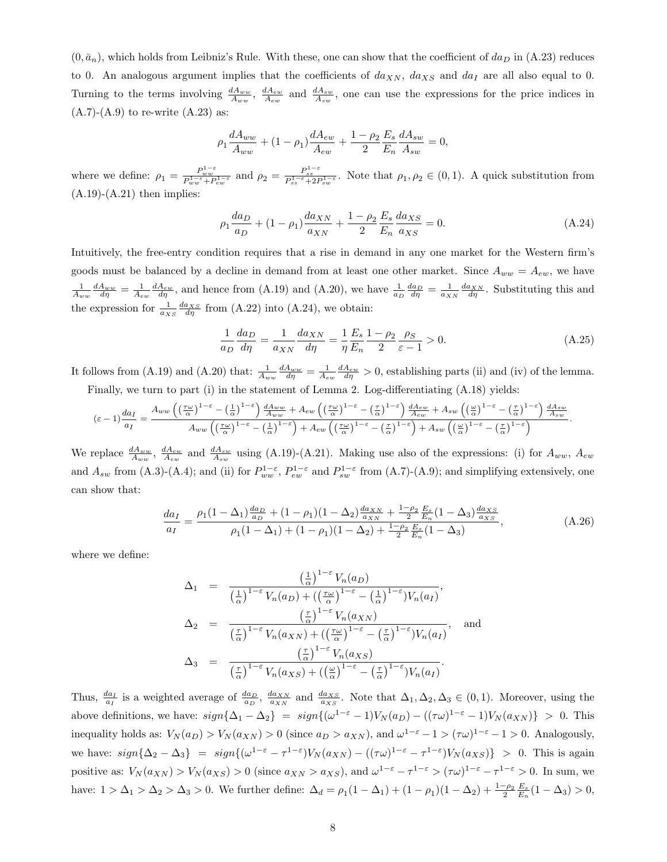$(0, \bar{a}_n)$ , which holds from Leibniz's Rule. With these, one can show that the coefficient of  $da_D$  in (A.23) reduces to 0. An analogous argument implies that the coefficients of  $da_{XN}$ ,  $da_{XS}$  and  $da_I$  are all also equal to 0. Turning to the terms involving  $\frac{dA_{ww}}{A_{ww}}$ ,  $\frac{dA_{sw}}{A_{sw}}$  and  $\frac{dA_{sw}}{A_{sw}}$ , one can use the expressions for the price indices in  $(A.7)$ - $(A.9)$  to re-write  $(A.23)$  as:

$$
\rho_1 \frac{dA_{ww}}{A_{ww}} + (1 - \rho_1) \frac{dA_{ew}}{A_{ew}} + \frac{1 - \rho_2}{2} \frac{E_s}{E_n} \frac{dA_{sw}}{A_{sw}} = 0,
$$

where we define:  $\rho_1 = \frac{P_{ww}^{1-\varepsilon}}{P_{ww}^{1-\varepsilon} + P_{ew}^{1-\varepsilon}}$  and  $\rho_2 = \frac{P_{ss}^{1-\varepsilon}}{P_{ss}^{1-\varepsilon} + 2P_{sw}^{1-\varepsilon}}$ . Note that  $\rho_1, \rho_2 \in (0, 1)$ . A quick substitution from  $(A.19)-(A.21)$  then implies:

$$
\rho_1 \frac{da_D}{a_D} + (1 - \rho_1) \frac{da_{XN}}{a_{XN}} + \frac{1 - \rho_2}{2} \frac{E_s}{E_n} \frac{da_{XS}}{a_{XS}} = 0.
$$
\n(A.24)

Intuitively, the free-entry condition requires that a rise in demand in any one market for the Western firm's goods must be balanced by a decline in demand from at least one other market. Since  $A_{ww} = A_{ew}$ , we have  $\frac{1}{A_{ww}}\frac{dA_{ww}}{d\eta} = \frac{1}{A_{ew}}\frac{dA_{ew}}{d\eta}$ , and hence from (A.19) and (A.20), we have  $\frac{1}{a_D}\frac{da_D}{d\eta} = \frac{1}{a_{NN}}\frac{da_{NN}}{d\eta}$ . Substituting this and the expression for  $\frac{1}{a_{XS}} \frac{da_{XS}}{d\eta}$  from (A.22) into (A.24), we obtain:

$$
\frac{1}{a_D} \frac{da_D}{d\eta} = \frac{1}{a_{XN}} \frac{da_{XN}}{d\eta} = \frac{1}{\eta} \frac{E_s}{E_n} \frac{1 - \rho_2}{2} \frac{\rho_S}{\varepsilon - 1} > 0.
$$
\n(A.25)

It follows from (A.19) and (A.20) that:  $\frac{1}{A_{ww}} \frac{dA_{ww}}{d\eta} = \frac{1}{A_{ew}} \frac{dA_{ew}}{d\eta} > 0$ , establishing parts (ii) and (iv) of the lemma. Finally, we turn to part (i) in the statement of Lemma 2. Log-differentiating (A.18) yields:

$$
(\varepsilon-1)\frac{da_{I}}{a_{I}} = \frac{A_{ww}\left(\left(\frac{\tau\omega}{\alpha}\right)^{1-\varepsilon}-\left(\frac{1}{\alpha}\right)^{1-\varepsilon}\right)\frac{dA_{ww}}{A_{ww}}+A_{ew}\left(\left(\frac{\tau\omega}{\alpha}\right)^{1-\varepsilon}-\left(\frac{\tau}{\alpha}\right)^{1-\varepsilon}\right)\frac{dA_{ew}}{A_{ew}}+A_{sw}\left(\left(\frac{\omega}{\alpha}\right)^{1-\varepsilon}-\left(\frac{\tau}{\alpha}\right)^{1-\varepsilon}\right)\frac{dA_{sw}}{A_{sw}}}{A_{ww}\left(\left(\frac{\tau\omega}{\alpha}\right)^{1-\varepsilon}-\left(\frac{1}{\alpha}\right)^{1-\varepsilon}\right)+A_{ew}\left(\left(\frac{\tau\omega}{\alpha}\right)^{1-\varepsilon}-\left(\frac{\tau}{\alpha}\right)^{1-\varepsilon}\right)+A_{sw}\left(\left(\frac{\omega}{\alpha}\right)^{1-\varepsilon}-\left(\frac{\tau}{\alpha}\right)^{1-\varepsilon}\right)}.
$$

We replace  $\frac{dA_{ww}}{A_{ww}}, \frac{dA_{ew}}{A_{sw}}$  and  $\frac{dA_{sw}}{A_{sw}}$  using (A.19)-(A.21). Making use also of the expressions: (i) for  $A_{ww}, A_{ew}$ and  $A_{sw}$  from (A.3)-(A.4); and (ii) for  $P_{ww}^{1-\varepsilon}$ ,  $P_{ew}^{1-\varepsilon}$  and  $P_{sw}^{1-\varepsilon}$  from (A.7)-(A.9); and simplifying extensively, one can show that:

$$
\frac{da_I}{a_I} = \frac{\rho_1 (1 - \Delta_1) \frac{da_D}{a_D} + (1 - \rho_1)(1 - \Delta_2) \frac{da_{NN}}{a_{NN}} + \frac{1 - \rho_2}{2} \frac{E_s}{E_n} (1 - \Delta_3) \frac{da_{NS}}{a_{NS}}}{\rho_1 (1 - \Delta_1) + (1 - \rho_1)(1 - \Delta_2) + \frac{1 - \rho_2}{2} \frac{E_s}{E_n} (1 - \Delta_3)},
$$
\n(A.26)

where we define:

$$
\Delta_1 = \frac{\left(\frac{1}{\alpha}\right)^{1-\epsilon} V_n(a_D)}{\left(\frac{1}{\alpha}\right)^{1-\epsilon} V_n(a_D) + \left(\left(\frac{\tau\omega}{\alpha}\right)^{1-\epsilon} - \left(\frac{1}{\alpha}\right)^{1-\epsilon}\right) V_n(a_I)},
$$
\n
$$
\Delta_2 = \frac{\left(\frac{\tau}{\alpha}\right)^{1-\epsilon} V_n(a_{XN})}{\left(\frac{\tau}{\alpha}\right)^{1-\epsilon} V_n(a_{XN}) + \left(\left(\frac{\tau\omega}{\alpha}\right)^{1-\epsilon} - \left(\frac{\tau}{\alpha}\right)^{1-\epsilon}\right) V_n(a_I)}, \text{ and}
$$
\n
$$
\Delta_3 = \frac{\left(\frac{\tau}{\alpha}\right)^{1-\epsilon} V_n(a_{XS})}{\left(\frac{\tau}{\alpha}\right)^{1-\epsilon} V_n(a_{XS}) + \left(\left(\frac{\omega}{\alpha}\right)^{1-\epsilon} - \left(\frac{\tau}{\alpha}\right)^{1-\epsilon}\right) V_n(a_I)}.
$$

Thus,  $\frac{da_I}{a_I}$  is a weighted average of  $\frac{da_D}{a_D}$ ,  $\frac{da_{XN}}{a_{XN}}$  and  $\frac{da_{XS}}{a_{XS}}$ . Note that  $\Delta_1, \Delta_2, \Delta_3 \in (0,1)$ . Moreover, using the above definitions, we have:  $sign\{\Delta_1 - \Delta_2\} = sign\{(\omega^{1-\epsilon} - 1)V_N(a_D) - ((\tau\omega)^{1-\epsilon} - 1)V_N(a_{XN})\} > 0$ . This inequality holds as:  $V_N(a_D) > V_N(a_{XN}) > 0$  (since  $a_D > a_{XN}$ ), and  $\omega^{1-\varepsilon} - 1 > (\tau \omega)^{1-\varepsilon} - 1 > 0$ . Analogously, we have:  $sign\{\Delta_2 - \Delta_3\} = sign\{(\omega^{1-\epsilon} - \tau^{1-\epsilon})V_N(a_{XN}) - ((\tau\omega)^{1-\epsilon} - \tau^{1-\epsilon})V_N(a_{XS})\} > 0$ . This is again positive as:  $V_N(a_{XN}) > V_N(a_{XS}) > 0$  (since  $a_{XN} > a_{XS}$ ), and  $\omega^{1-\epsilon} - \tau^{1-\epsilon} > (\tau \omega)^{1-\epsilon} - \tau^{1-\epsilon} > 0$ . In sum, we have:  $1 > \Delta_1 > \Delta_2 > \Delta_3 > 0$ . We further define:  $\Delta_d = \rho_1(1-\Delta_1) + (1-\rho_1)(1-\Delta_2) + \frac{1-\rho_2}{2} \frac{E_s}{E_n}(1-\Delta_3) > 0$ ,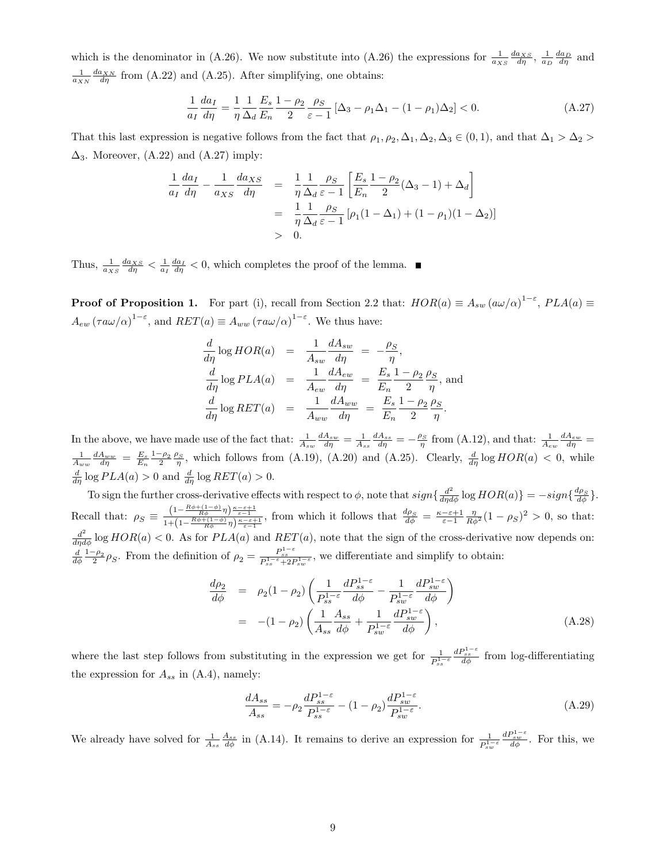which is the denominator in (A.26). We now substitute into (A.26) the expressions for  $\frac{1}{a_{XS}}\frac{da_{XS}}{d\eta}$ ,  $\frac{1}{a_D}\frac{da_D}{d\eta}$  and  $\frac{1}{a_{XN}} \frac{da_{XN}}{d\eta}$  from (A.22) and (A.25). After simplifying, one obtains:

$$
\frac{1}{a_I} \frac{da_I}{d\eta} = \frac{1}{\eta} \frac{1}{\Delta_d} \frac{E_s}{E_n} \frac{1 - \rho_2}{2} \frac{\rho_S}{\varepsilon - 1} \left[ \Delta_3 - \rho_1 \Delta_1 - (1 - \rho_1) \Delta_2 \right] < 0. \tag{A.27}
$$

That this last expression is negative follows from the fact that  $\rho_1, \rho_2, \Delta_1, \Delta_2, \Delta_3 \in (0,1)$ , and that  $\Delta_1 > \Delta_2 >$  $\Delta_3$ . Moreover,  $(A.22)$  and  $(A.27)$  imply:

$$
\frac{1}{a_I} \frac{da_I}{d\eta} - \frac{1}{a_{XS}} \frac{da_{XS}}{d\eta} = \frac{1}{\eta} \frac{1}{\Delta_d} \frac{\rho_S}{\varepsilon - 1} \left[ \frac{E_s}{E_n} \frac{1 - \rho_2}{2} (\Delta_3 - 1) + \Delta_d \right]
$$

$$
= \frac{1}{\eta} \frac{1}{\Delta_d} \frac{\rho_S}{\varepsilon - 1} \left[ \rho_1 (1 - \Delta_1) + (1 - \rho_1)(1 - \Delta_2) \right]
$$

$$
> 0.
$$

Thus,  $\frac{1}{a_{XS}} \frac{da_{XS}}{d\eta} < \frac{1}{a_I} \frac{da_I}{d\eta} < 0$ , which completes the proof of the lemma.

**Proof of Proposition 1.** For part (i), recall from Section 2.2 that:  $HOR(a) \equiv A_{sw} (\omega/\alpha)^{1-\epsilon}$ ,  $PLA(a) \equiv$  $A_{ew} (\tau a \omega/\alpha)^{1-\epsilon}$ , and  $RET(a) \equiv A_{ww} (\tau a \omega/\alpha)^{1-\epsilon}$ . We thus have:

$$
\frac{d}{d\eta} \log HOR(a) = \frac{1}{A_{sw}} \frac{dA_{sw}}{d\eta} = -\frac{\rho_S}{\eta},
$$
  

$$
\frac{d}{d\eta} \log PLA(a) = \frac{1}{A_{ew}} \frac{dA_{ew}}{d\eta} = \frac{E_s}{E_n} \frac{1 - \rho_2 \rho_S}{2 - \eta}, \text{ and}
$$
  

$$
\frac{d}{d\eta} \log RET(a) = \frac{1}{A_{ww}} \frac{dA_{ww}}{d\eta} = \frac{E_s}{E_n} \frac{1 - \rho_2 \rho_S}{2 - \eta}.
$$

In the above, we have made use of the fact that:  $\frac{1}{A_{sw}} \frac{dA_{sw}}{d\eta} = \frac{1}{A_{ss}} \frac{dA_{ss}}{d\eta} = -\frac{\rho_S}{\eta}$  from (A.12), and that:  $\frac{1}{A_{ew}} \frac{dA_{ew}}{d\eta} =$  $\frac{1}{A_{ww}}\frac{dA_{ww}}{d\eta} = \frac{E_s}{E_n}\frac{1-\rho_2}{2}\frac{\rho_S}{\eta}$ , which follows from (A.19), (A.20) and (A.25). Clearly,  $\frac{d}{d\eta}$  log  $HOR(a) < 0$ , while  $\frac{d}{d\eta} \log PLA(a) > 0$  and  $\frac{d}{d\eta} \log RET(a) > 0$ .

To sign the further cross-derivative effects with respect to  $\phi$ , note that  $sign\{\frac{d^2}{d\eta d\phi}\log HOR(a)\} = -sign\{\frac{d\rho_S}{d\phi}\}.$ Recall that:  $\rho_S \equiv \frac{\left(1 - \frac{R\phi + (1-\phi)}{R\phi}\eta\right)\frac{\kappa - \varepsilon + 1}{\varepsilon - 1}}{1 + \left(1 - \frac{R\phi + (1-\phi)}{R\phi}\eta\right)\frac{\kappa - \varepsilon + 1}{\varepsilon - 1}}$ , from which it follows that  $\frac{d\rho_S}{d\phi} = \frac{\kappa - \varepsilon + 1}{\varepsilon - 1} \frac{\eta}{R\phi^2} (1 - \rho_S)^2 > 0$ , so that:  $\frac{d^2}{d\eta d\phi}$  log  $HOR(a) < 0$ . As for  $PLA(a)$  and  $RET(a)$ , note that the sign of the cross-derivative now depends on: 2  $\frac{d}{d\phi}\frac{1-\rho_2}{2}\rho_S$ . From the definition of  $\rho_2 = \frac{P_{ss}^{1-\varepsilon}}{P_{ss}^{1-\varepsilon}+2P_{sw}^{1-\varepsilon}}$ , we differentiate and simplify to obtain:

$$
\frac{d\rho_2}{d\phi} = \rho_2 (1 - \rho_2) \left( \frac{1}{P_{ss}^{1-\varepsilon}} \frac{dP_{ss}^{1-\varepsilon}}{d\phi} - \frac{1}{P_{sw}^{1-\varepsilon}} \frac{dP_{sw}^{1-\varepsilon}}{d\phi} \right) \n= -(1 - \rho_2) \left( \frac{1}{A_{ss}} \frac{A_{ss}}{d\phi} + \frac{1}{P_{sw}^{1-\varepsilon}} \frac{dP_{sw}^{1-\varepsilon}}{d\phi} \right),
$$
\n(A.28)

where the last step follows from substituting in the expression we get for  $\frac{1}{P_{ss}^{1-\varepsilon}}$  $\frac{dP_{ss}^{1-\varepsilon}}{d\phi}$  from log-differentiating the expression for  $A_{ss}$  in (A.4), namely:

$$
\frac{dA_{ss}}{A_{ss}} = -\rho_2 \frac{dP_{ss}^{1-\varepsilon}}{P_{ss}^{1-\varepsilon}} - (1-\rho_2) \frac{dP_{sw}^{1-\varepsilon}}{P_{sw}^{1-\varepsilon}}.\tag{A.29}
$$

We already have solved for  $\frac{1}{A_{ss}} \frac{A_{ss}}{d\phi}$  in (A.14). It remains to derive an expression for  $\frac{1}{P_{sw}^{1-e}}$  $\frac{dP_{sw}^{1-\varepsilon}}{d\phi}$ . For this, we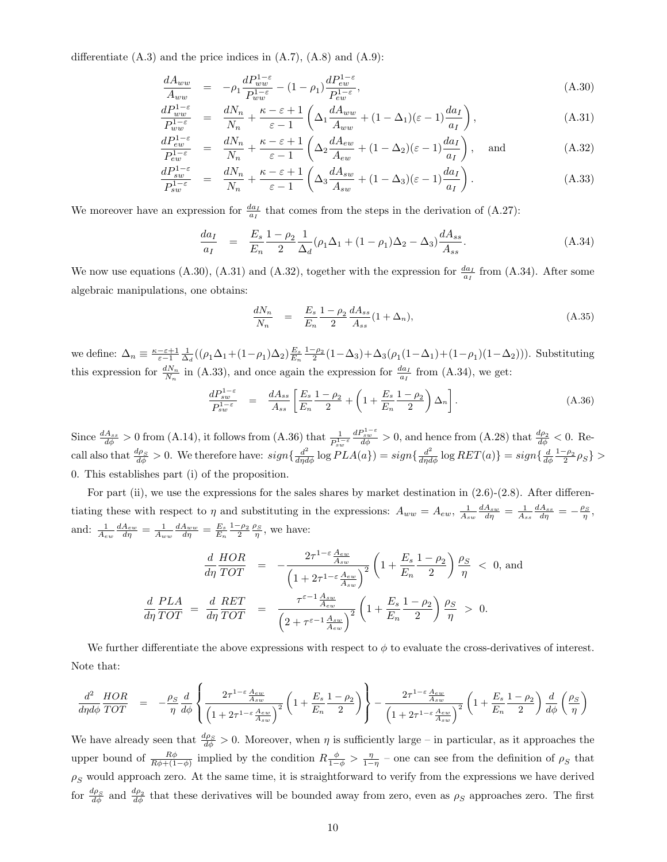differentiate  $(A.3)$  and the price indices in  $(A.7)$ ,  $(A.8)$  and  $(A.9)$ :

$$
\frac{dA_{ww}}{A_{ww}} = -\rho_1 \frac{dP_{ww}^{1-\varepsilon}}{P_{ww}^{1-\varepsilon}} - (1-\rho_1) \frac{dP_{ew}^{1-\varepsilon}}{P_{ew}^{1-\varepsilon}},
$$
\n(A.30)

$$
\frac{dP_{ww}^{1-\varepsilon}}{P_{ww}^{1-\varepsilon}} = \frac{dN_n}{N_n} + \frac{\kappa - \varepsilon + 1}{\varepsilon - 1} \left( \Delta_1 \frac{dA_{ww}}{A_{ww}} + (1 - \Delta_1)(\varepsilon - 1) \frac{da_I}{a_I} \right),\tag{A.31}
$$

$$
\frac{dP_{ew}^{1-\varepsilon}}{P_{ew}^{1-\varepsilon}} = \frac{dN_n}{N_n} + \frac{\kappa - \varepsilon + 1}{\varepsilon - 1} \left( \Delta_2 \frac{dA_{ew}}{A_{ew}} + (1 - \Delta_2)(\varepsilon - 1) \frac{da_I}{a_I} \right), \text{ and } (A.32)
$$

$$
\frac{dP_{sw}^{1-\varepsilon}}{P_{sw}^{1-\varepsilon}} = \frac{dN_n}{N_n} + \frac{\kappa - \varepsilon + 1}{\varepsilon - 1} \left( \Delta_3 \frac{dA_{sw}}{A_{sw}} + (1 - \Delta_3)(\varepsilon - 1) \frac{da_I}{a_I} \right). \tag{A.33}
$$

We moreover have an expression for  $\frac{da_I}{a_I}$  that comes from the steps in the derivation of (A.27):

$$
\frac{da_I}{a_I} = \frac{E_s}{E_n} \frac{1 - \rho_2}{2} \frac{1}{\Delta_d} (\rho_1 \Delta_1 + (1 - \rho_1) \Delta_2 - \Delta_3) \frac{dA_{ss}}{A_{ss}}.
$$
\n(A.34)

We now use equations (A.30), (A.31) and (A.32), together with the expression for  $\frac{da_I}{a_I}$  from (A.34). After some algebraic manipulations, one obtains:

$$
\frac{dN_n}{N_n} = \frac{E_s}{E_n} \frac{1 - \rho_2}{2} \frac{dA_{ss}}{A_{ss}} (1 + \Delta_n),
$$
\n(A.35)

we define:  $\Delta_n \equiv \frac{\kappa - \varepsilon + 1}{\varepsilon - 1} \frac{1}{\Delta_d} ((\rho_1 \Delta_1 + (1 - \rho_1) \Delta_2) \frac{E_s}{E_n} \frac{1 - \rho_2}{2} (1 - \Delta_3) + \Delta_3(\rho_1 (1 - \Delta_1) + (1 - \rho_1) (1 - \Delta_2))).$  Substituting this expression for  $\frac{dN_n}{N_n}$  in (A.33), and once again the expression for  $\frac{da_I}{a_I}$  from (A.34), we get:

$$
\frac{dP_{sw}^{1-\varepsilon}}{P_{sw}^{1-\varepsilon}} = \frac{dA_{ss}}{A_{ss}} \left[ \frac{E_s}{E_n} \frac{1-\rho_2}{2} + \left( 1 + \frac{E_s}{E_n} \frac{1-\rho_2}{2} \right) \Delta_n \right]. \tag{A.36}
$$

Since  $\frac{dA_{ss}}{d\phi} > 0$  from (A.14), it follows from (A.36) that  $\frac{1}{P_{sw}^{1-\varepsilon}}$  $\frac{dP_{sw}^{1-\varepsilon}}{d\phi} > 0$ , and hence from (A.28) that  $\frac{d\rho_2}{d\phi} < 0$ . Recall also that  $\frac{d\rho_S}{d\phi} > 0$ . We therefore have:  $sign\{\frac{d^2}{d\eta d\phi}\log PLA(a\}) = sign\{\frac{d^2}{d\eta d\phi}\log RET(a)\} = sign\{\frac{d}{d\phi}\frac{1-\rho_2}{2}\rho_S\} >$ 0. This establishes part (i) of the proposition.

For part (ii), we use the expressions for the sales shares by market destination in  $(2.6)-(2.8)$ . After differentiating these with respect to  $\eta$  and substituting in the expressions:  $A_{ww} = A_{ew}$ ,  $\frac{1}{A_{sw}} \frac{dA_{sw}}{d\eta} = \frac{1}{A_{ss}} \frac{dA_{ss}}{d\eta} = -\frac{\rho_S}{\eta}$ , and:  $\frac{1}{A_{ew}} \frac{dA_{ew}}{d\eta} = \frac{1}{A_{ww}} \frac{dA_{ww}}{d\eta} = \frac{E_s}{E_n} \frac{1-\rho_2}{2} \frac{\rho_S}{\eta}$ , we have:

$$
\frac{d}{d\eta} \frac{HOR}{TOT} = -\frac{2\tau^{1-\varepsilon} \frac{A_{ew}}{A_{sw}}}{\left(1 + 2\tau^{1-\varepsilon} \frac{A_{ew}}{A_{sw}}\right)^2} \left(1 + \frac{E_s}{E_n} \frac{1 - \rho_2}{2}\right) \frac{\rho_S}{\eta} < 0, \text{ and}
$$
\n
$$
\frac{d}{d\eta} \frac{PLA}{TOT} = \frac{d}{d\eta} \frac{RET}{TOT} = \frac{\tau^{\varepsilon - 1} \frac{A_{sw}}{A_{ew}}}{\left(2 + \tau^{\varepsilon - 1} \frac{A_{sw}}{A_{ew}}\right)^2} \left(1 + \frac{E_s}{E_n} \frac{1 - \rho_2}{2}\right) \frac{\rho_S}{\eta} > 0.
$$

We further differentiate the above expressions with respect to  $\phi$  to evaluate the cross-derivatives of interest. Note that:

$$
\frac{d^2}{d\eta d\phi} \frac{HOR}{TOT} = -\frac{\rho_S}{\eta} \frac{d}{d\phi} \left\{ \frac{2\tau^{1-\varepsilon} \frac{A_{ew}}{A_{sw}}}{\left(1+2\tau^{1-\varepsilon} \frac{A_{ew}}{A_{sw}}\right)^2} \left(1+\frac{E_s}{E_n} \frac{1-\rho_2}{2}\right) \right\} - \frac{2\tau^{1-\varepsilon} \frac{A_{ew}}{A_{sw}}}{\left(1+2\tau^{1-\varepsilon} \frac{A_{ew}}{A_{sw}}\right)^2} \left(1+\frac{E_s}{E_n} \frac{1-\rho_2}{2}\right) \frac{d}{d\phi} \left(\frac{\rho_S}{\eta}\right)
$$

We have already seen that  $\frac{d\rho_S}{d\phi} > 0$ . Moreover, when  $\eta$  is sufficiently large – in particular, as it approaches the upper bound of  $\frac{R\phi}{R\phi+(1-\phi)}$  implied by the condition  $R\frac{\phi}{1-\phi} > \frac{\eta}{1-\eta}$  – one can see from the definition of  $\rho_S$  that  $\rho_S$  would approach zero. At the same time, it is straightforward to verify from the expressions we have derived for  $\frac{d\rho_S}{d\phi}$  and  $\frac{d\rho_2}{d\phi}$  that these derivatives will be bounded away from zero, even as  $\rho_S$  approaches zero. The first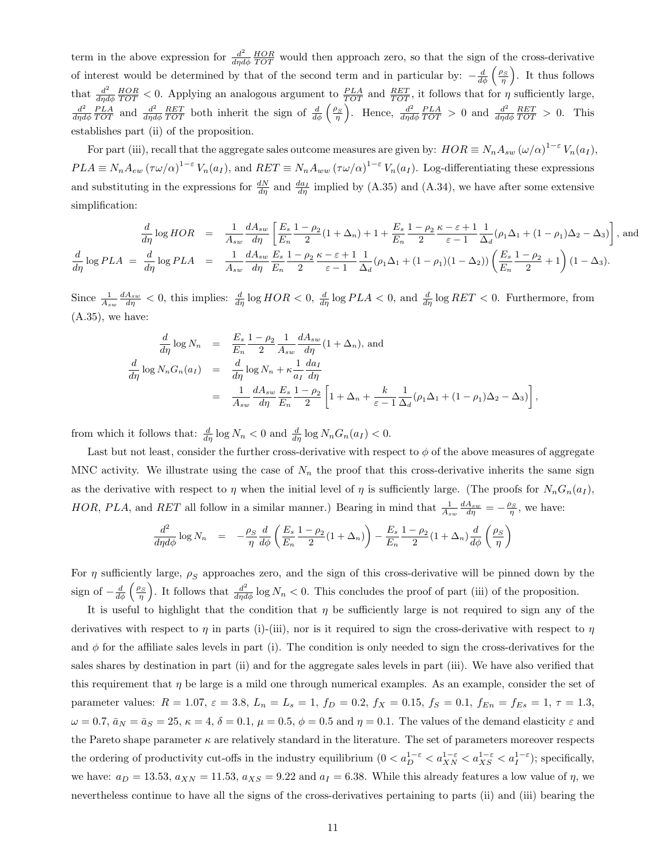term in the above expression for  $\frac{d^2}{d\eta d}$  $\frac{d^2}{d\eta d\phi} \frac{HOR}{TOT}$  would then approach zero, so that the sign of the cross-derivative of interest would be determined by that of the second term and in particular by:  $-\frac{d}{d\phi}\left(\frac{\rho_S}{\eta}\right)$ . It thus follows that  $\frac{d^2}{dxd}$  $\frac{d^2}{d\eta d\phi} \frac{HOR}{TOT} < 0$ . Applying an analogous argument to  $\frac{PLA}{TOT}$  and  $\frac{RET}{TOT}$ , it follows that for  $\eta$  sufficiently large,  $d^2$  $\frac{d^2}{d\eta d\phi} \frac{PLA}{TOT}$  and  $\frac{d^2}{d\eta d}$  $\frac{d^2}{d\eta d\phi} \frac{RET}{TOT}$  both inherit the sign of  $\frac{d}{d\phi} \left(\frac{\rho_S}{\eta}\right)$ . Hence,  $\frac{d^2}{d\eta d\phi}$  $\frac{d^2}{d\eta d\phi} \frac{PLA}{TOT} > 0$  and  $\frac{d^2}{d\eta d}$  $\frac{d^2}{d\eta d\phi} \frac{RET}{TOT} > 0$ . This establishes part (ii) of the proposition.

For part (iii), recall that the aggregate sales outcome measures are given by:  $HOR \equiv N_n A_{sw} (\omega/\alpha)^{1-\varepsilon} V_n(a_I)$ ,  $PLA \equiv N_n A_{ew} (\tau \omega/\alpha)^{1-\epsilon} V_n(a_I)$ , and  $RET \equiv N_n A_{ww} (\tau \omega/\alpha)^{1-\epsilon} V_n(a_I)$ . Log-differentiating these expressions and substituting in the expressions for  $\frac{dN}{d\eta}$  and  $\frac{da_I}{d\eta}$  implied by (A.35) and (A.34), we have after some extensive simplification:

$$
\frac{d}{d\eta} \log HOR = \frac{1}{A_{sw}} \frac{dA_{sw}}{d\eta} \left[ \frac{E_s}{E_n} \frac{1 - \rho_2}{2} (1 + \Delta_n) + 1 + \frac{E_s}{E_n} \frac{1 - \rho_2}{2} \frac{\kappa - \varepsilon + 1}{\varepsilon - 1} \frac{1}{\Delta_d} (\rho_1 \Delta_1 + (1 - \rho_1) \Delta_2 - \Delta_3) \right], \text{ and}
$$
\n
$$
\frac{d}{d\eta} \log PLA = \frac{d}{d\eta} \log PLA = \frac{1}{A_{sw}} \frac{dA_{sw}}{d\eta} \frac{E_s}{E_n} \frac{1 - \rho_2}{2} \frac{\kappa - \varepsilon + 1}{\varepsilon - 1} \frac{1}{\Delta_d} (\rho_1 \Delta_1 + (1 - \rho_1) (1 - \Delta_2)) \left( \frac{E_s}{E_n} \frac{1 - \rho_2}{2} + 1 \right) (1 - \Delta_3).
$$

Since  $\frac{1}{A_{sw}} \frac{dA_{sw}}{d\eta} < 0$ , this implies:  $\frac{d}{d\eta} \log HOR < 0$ ,  $\frac{d}{d\eta} \log PLA < 0$ , and  $\frac{d}{d\eta} \log RET < 0$ . Furthermore, from  $(A.35)$ , we have:

$$
\frac{d}{d\eta} \log N_n = \frac{E_s}{E_n} \frac{1-\rho_2}{2} \frac{1}{A_{sw}} \frac{dA_{sw}}{d\eta} (1+\Delta_n), \text{ and}
$$
\n
$$
\frac{d}{d\eta} \log N_n G_n(a_I) = \frac{d}{d\eta} \log N_n + \kappa \frac{1}{a_I} \frac{da_I}{d\eta}
$$
\n
$$
= \frac{1}{A_{sw}} \frac{dA_{sw}}{d\eta} \frac{E_s}{E_n} \frac{1-\rho_2}{2} \left[ 1 + \Delta_n + \frac{k}{\varepsilon - 1} \frac{1}{\Delta_d} (\rho_1 \Delta_1 + (1-\rho_1) \Delta_2 - \Delta_3) \right],
$$

from which it follows that:  $\frac{d}{d\eta} \log N_n < 0$  and  $\frac{d}{d\eta} \log N_n G_n(a_I) < 0$ .

Last but not least, consider the further cross-derivative with respect to  $\phi$  of the above measures of aggregate MNC activity. We illustrate using the case of  $N_n$  the proof that this cross-derivative inherits the same sign as the derivative with respect to  $\eta$  when the initial level of  $\eta$  is sufficiently large. (The proofs for  $N_nG_n(a_I)$ , HOR, PLA, and RET all follow in a similar manner.) Bearing in mind that  $\frac{1}{A_{sw}} \frac{dA_{sw}}{d\eta} = -\frac{\rho_S}{\eta}$ , we have:

$$
\frac{d^2}{d\eta d\phi} \log N_n = -\frac{\rho_S}{\eta} \frac{d}{d\phi} \left( \frac{E_s}{E_n} \frac{1-\rho_2}{2} (1+\Delta_n) \right) - \frac{E_s}{E_n} \frac{1-\rho_2}{2} (1+\Delta_n) \frac{d}{d\phi} \left( \frac{\rho_S}{\eta} \right)
$$

For  $\eta$  sufficiently large,  $\rho_S$  approaches zero, and the sign of this cross-derivative will be pinned down by the sign of  $-\frac{d}{d\phi}\left(\frac{\rho_S}{\eta}\right)$ . It follows that  $\frac{d^2}{d\eta d\phi}\log N_n < 0$ . This concludes the proof of part (iii) of the proposition.

It is useful to highlight that the condition that  $\eta$  be sufficiently large is not required to sign any of the derivatives with respect to  $\eta$  in parts (i)-(iii), nor is it required to sign the cross-derivative with respect to  $\eta$ and  $\phi$  for the affiliate sales levels in part (i). The condition is only needed to sign the cross-derivatives for the sales shares by destination in part (ii) and for the aggregate sales levels in part (iii). We have also verified that this requirement that  $\eta$  be large is a mild one through numerical examples. As an example, consider the set of parameter values:  $R = 1.07$ ,  $\varepsilon = 3.8$ ,  $L_n = L_s = 1$ ,  $f_D = 0.2$ ,  $f_X = 0.15$ ,  $f_S = 0.1$ ,  $f_{En} = f_{Es} = 1$ ,  $\tau = 1.3$ ,  $\omega = 0.7$ ,  $\bar{a}_N = \bar{a}_S = 25$ ,  $\kappa = 4$ ,  $\delta = 0.1$ ,  $\mu = 0.5$ ,  $\phi = 0.5$  and  $\eta = 0.1$ . The values of the demand elasticity  $\varepsilon$  and the Pareto shape parameter  $\kappa$  are relatively standard in the literature. The set of parameters moreover respects the ordering of productivity cut-offs in the industry equilibrium  $(0 < a_{D}^{1-\varepsilon} < a_{XN}^{1-\varepsilon} < a_{XS}^{1-\varepsilon} < a_{I}^{1-\varepsilon})$ ; specifically, we have:  $a_D = 13.53$ ,  $a_{XN} = 11.53$ ,  $a_{XS} = 9.22$  and  $a_I = 6.38$ . While this already features a low value of  $\eta$ , we nevertheless continue to have all the signs of the cross-derivatives pertaining to parts (ii) and (iii) bearing the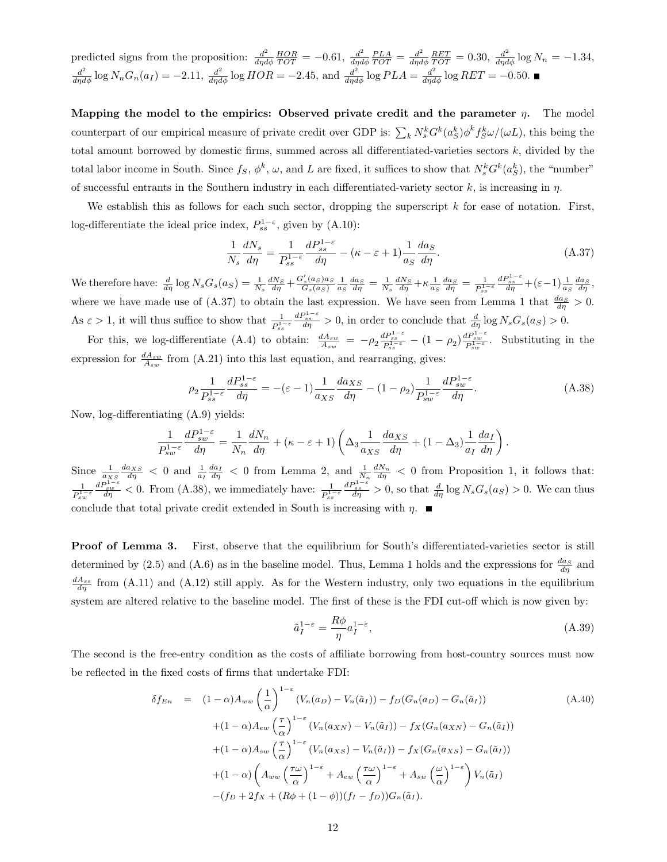predicted signs from the proposition:  $\frac{d^2}{d\eta d}$  $\frac{d^2}{d\eta d\phi} \frac{HOR}{TOT} = -0.61, \frac{d^2}{d\eta d}$  $\frac{d^2}{d\eta d\phi} \frac{PLA}{TOT} = \frac{d^2}{d\eta d}$  $\frac{d^2}{d\eta d\phi} \frac{RET}{TOT} = 0.30, \frac{d^2}{d\eta d\phi} \log N_n = -1.34,$  $\frac{d^2}{d\eta d\phi}$  log  $N_n G_n(a_I) = -2.11$ ,  $\frac{d^2}{d\eta d\phi}$  log  $HOR = -2.45$ , and  $\frac{d^2}{d\eta d\phi}$  log  $PLA = \frac{d^2}{d\eta d\phi}$  log  $RET = -0.50$ .

Mapping the model to the empirics: Observed private credit and the parameter  $\eta$ . The model counterpart of our empirical measure of private credit over GDP is:  $\sum_k N_s^k G^k(a_S^k) \phi^k f_S^k \omega/(\omega L)$ , this being the total amount borrowed by domestic firms, summed across all differentiated-varieties sectors  $k$ , divided by the total labor income in South. Since  $f_S$ ,  $\phi^k$ ,  $\omega$ , and L are fixed, it suffices to show that  $N_s^k G^k(a_S^k)$ , the "number" of successful entrants in the Southern industry in each differentiated-variety sector  $k$ , is increasing in  $\eta$ .

We establish this as follows for each such sector, dropping the superscript  $k$  for ease of notation. First, log-differentiate the ideal price index,  $P_{ss}^{1-\epsilon}$ , given by (A.10):

$$
\frac{1}{N_s} \frac{dN_s}{d\eta} = \frac{1}{P_{ss}^{1-\varepsilon}} \frac{dP_{ss}^{1-\varepsilon}}{d\eta} - (\kappa - \varepsilon + 1) \frac{1}{a_S} \frac{da_S}{d\eta}.
$$
\n(A.37)

We therefore have:  $\frac{d}{d\eta} \log N_s G_s(a_S) = \frac{1}{N_s} \frac{dN_S}{d\eta} + \frac{G'_s(a_S)a_S}{G_s(a_S)}$  $\frac{dS_s}{ds}(a_S)a_S \frac{1}{a_S} \frac{da_S}{d\eta} = \frac{1}{N_s} \frac{dN_S}{d\eta} + \kappa \frac{1}{a_S} \frac{da_S}{d\eta} = \frac{1}{P_{ss}^{1/2}}$  $\overline{P_{ss}^{1-\varepsilon}}$  $\frac{dP_{ss}^{1-\varepsilon}}{d\eta} + (\varepsilon - 1) \frac{1}{a_S} \frac{da_S}{d\eta},$ where we have made use of (A.37) to obtain the last expression. We have seen from Lemma 1 that  $\frac{da_S}{d\eta} > 0$ . As  $\varepsilon > 1$ , it will thus suffice to show that  $\frac{1}{P_{ss}^{1-\varepsilon}}$  $\frac{dP_{ss}^{1-\varepsilon}}{d\eta} > 0$ , in order to conclude that  $\frac{d}{d\eta} \log N_s G_s(a_S) > 0$ .

For this, we log-differentiate (A.4) to obtain:  $\frac{dA_{sw}}{A_{sw}} = -\rho_2 \frac{dP_{ss}^{1-\epsilon}}{P_{ss}^{1-\epsilon}} - (1-\rho_2) \frac{dP_{sw}^{1-\epsilon}}{P_{sw}^{1-\epsilon}}$ . Substituting in the expression for  $\frac{dA_{sw}}{A_{sw}}$  from (A.21) into this last equation, and rearranging, gives:

$$
\rho_2 \frac{1}{P_{ss}^{1-\varepsilon}} \frac{dP_{ss}^{1-\varepsilon}}{d\eta} = -(\varepsilon - 1) \frac{1}{a_{XS}} \frac{da_{XS}}{d\eta} - (1 - \rho_2) \frac{1}{P_{sw}^{1-\varepsilon}} \frac{dP_{sw}^{1-\varepsilon}}{d\eta}.
$$
\n(A.38)

Now, log-differentiating (A.9) yields:

$$
\frac{1}{P_{sw}^{1-\varepsilon}}\frac{dP_{sw}^{1-\varepsilon}}{d\eta} = \frac{1}{N_n}\frac{dN_n}{d\eta} + (\kappa - \varepsilon + 1)\left(\Delta_3 \frac{1}{a_{XS}}\frac{da_{XS}}{d\eta} + (1 - \Delta_3)\frac{1}{a_I}\frac{da_I}{d\eta}\right).
$$

Since  $\frac{1}{a_{XS}} \frac{da_{XS}}{d\eta} < 0$  and  $\frac{1}{a_I} \frac{da_I}{d\eta} < 0$  from Lemma 2, and  $\frac{1}{N_n} \frac{dN_n}{d\eta} < 0$  from Proposition 1, it follows that: 1  $\overline{P_{sw}^{1-\varepsilon}}$  $\frac{dP_{sw}^{1-\varepsilon}}{d\eta}$  < 0. From (A.38), we immediately have:  $\frac{1}{P_{ss}^{1-\varepsilon}}$  $\frac{dP_{ss}^{1-\varepsilon}}{\frac{ds}{d\eta}} > 0$ , so that  $\frac{d}{d\eta} \log N_s G_s(a_S) > 0$ . We can thus conclude that total private credit extended in South is increasing with  $\eta$ .

**Proof of Lemma 3.** First, observe that the equilibrium for South's differentiated-varieties sector is still determined by (2.5) and (A.6) as in the baseline model. Thus, Lemma 1 holds and the expressions for  $\frac{da_S}{d\eta}$  and  $\frac{dA_{ss}}{d\eta}$  from (A.11) and (A.12) still apply. As for the Western industry, only two equations in the equilibrium system are altered relative to the baseline model. The first of these is the FDI cut-off which is now given by:

$$
\tilde{a}_I^{1-\varepsilon} = \frac{R\phi}{\eta} a_I^{1-\varepsilon},\tag{A.39}
$$

The second is the free-entry condition as the costs of affiliate borrowing from host-country sources must now be reflected in the fixed costs of firms that undertake FDI:

$$
\delta f_{En} = (1 - \alpha) A_{ww} \left(\frac{1}{\alpha}\right)^{1-\epsilon} (V_n(a_D) - V_n(\tilde{a}_I)) - f_D(G_n(a_D) - G_n(\tilde{a}_I))
$$
\n
$$
+ (1 - \alpha) A_{ew} \left(\frac{\tau}{\alpha}\right)^{1-\epsilon} (V_n(a_{XN}) - V_n(\tilde{a}_I)) - f_X(G_n(a_{XN}) - G_n(\tilde{a}_I))
$$
\n
$$
+ (1 - \alpha) A_{sw} \left(\frac{\tau}{\alpha}\right)^{1-\epsilon} (V_n(a_{XS}) - V_n(\tilde{a}_I)) - f_X(G_n(a_{XS}) - G_n(\tilde{a}_I))
$$
\n
$$
+ (1 - \alpha) \left(A_{ww} \left(\frac{\tau\omega}{\alpha}\right)^{1-\epsilon} + A_{ew} \left(\frac{\tau\omega}{\alpha}\right)^{1-\epsilon} + A_{sw} \left(\frac{\omega}{\alpha}\right)^{1-\epsilon}\right) V_n(\tilde{a}_I)
$$
\n
$$
- (f_D + 2f_X + (R\phi + (1 - \phi))(f_I - f_D)) G_n(\tilde{a}_I).
$$
\n(A.40)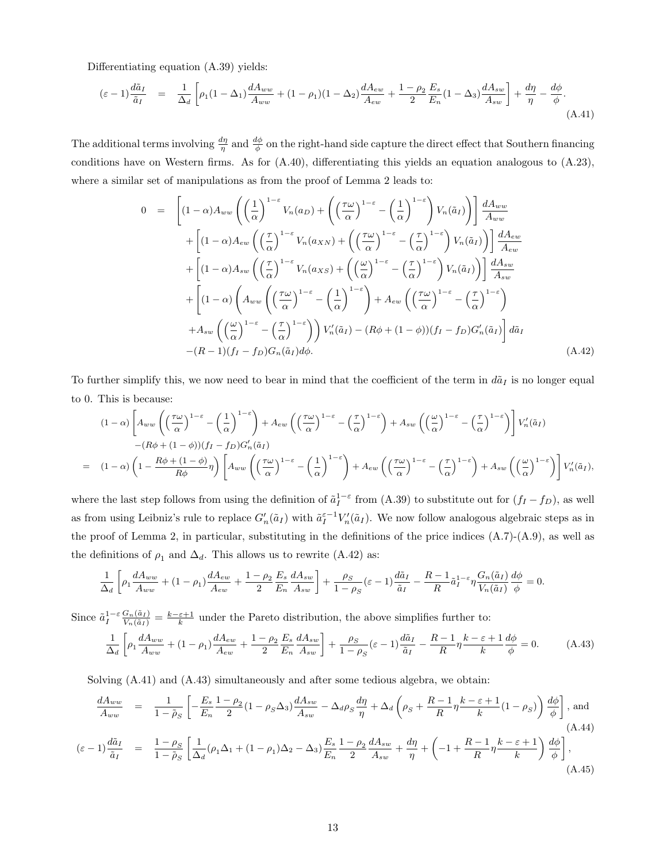Differentiating equation (A.39) yields:

$$
(\varepsilon - 1) \frac{d\tilde{a}_I}{\tilde{a}_I} = \frac{1}{\Delta_d} \left[ \rho_1 (1 - \Delta_1) \frac{dA_{ww}}{A_{ww}} + (1 - \rho_1)(1 - \Delta_2) \frac{dA_{ew}}{A_{ew}} + \frac{1 - \rho_2}{2} \frac{E_s}{E_n} (1 - \Delta_3) \frac{dA_{sw}}{A_{sw}} \right] + \frac{d\eta}{\eta} - \frac{d\phi}{\phi}.
$$
\n(A.41)

The additional terms involving  $\frac{d\eta}{\eta}$  and  $\frac{d\phi}{\phi}$  on the right-hand side capture the direct effect that Southern financing conditions have on Western firms. As for (A.40), differentiating this yields an equation analogous to (A.23), where a similar set of manipulations as from the proof of Lemma 2 leads to:

$$
0 = \left[ (1 - \alpha) A_{ww} \left( \left( \frac{1}{\alpha} \right)^{1 - \varepsilon} V_n(a_D) + \left( \left( \frac{\tau \omega}{\alpha} \right)^{1 - \varepsilon} - \left( \frac{1}{\alpha} \right)^{1 - \varepsilon} \right) V_n(\tilde{a}_I) \right) \right] \frac{dA_{ww}}{A_{ww}} + \left[ (1 - \alpha) A_{ew} \left( \left( \frac{\tau}{\alpha} \right)^{1 - \varepsilon} V_n(a_{XN}) + \left( \left( \frac{\tau \omega}{\alpha} \right)^{1 - \varepsilon} - \left( \frac{\tau}{\alpha} \right)^{1 - \varepsilon} \right) V_n(\tilde{a}_I) \right) \right] \frac{dA_{ew}}{A_{sw}} + \left[ (1 - \alpha) A_{sw} \left( \left( \frac{\tau}{\alpha} \right)^{1 - \varepsilon} V_n(a_{XS}) + \left( \left( \frac{\omega}{\alpha} \right)^{1 - \varepsilon} - \left( \frac{\tau}{\alpha} \right)^{1 - \varepsilon} \right) V_n(\tilde{a}_I) \right) \right] \frac{dA_{sw}}{A_{sw}} + \left[ (1 - \alpha) \left( A_{ww} \left( \left( \frac{\tau \omega}{\alpha} \right)^{1 - \varepsilon} - \left( \frac{1}{\alpha} \right)^{1 - \varepsilon} \right) + A_{ew} \left( \left( \frac{\tau \omega}{\alpha} \right)^{1 - \varepsilon} - \left( \frac{\tau}{\alpha} \right)^{1 - \varepsilon} \right) + A_{sw} \left( \left( \frac{\omega}{\alpha} \right)^{1 - \varepsilon} - \left( \frac{\tau}{\alpha} \right)^{1 - \varepsilon} \right) + A_{sw} \left( \left( \frac{\omega}{\alpha} \right)^{1 - \varepsilon} - \left( \frac{\tau}{\alpha} \right)^{1 - \varepsilon} \right) V_n(\tilde{a}_I) - (R\phi + (1 - \phi))(f_I - f_D)G'_n(\tilde{a}_I) \right] d\tilde{a}_I - (R - 1)(f_I - f_D)G_n(\tilde{a}_I) d\phi. \tag{A.42}
$$

To further simplify this, we now need to bear in mind that the coefficient of the term in  $d\tilde{a}_I$  is no longer equal to 0. This is because:

$$
(1 - \alpha) \left[ A_{ww} \left( \left( \frac{\tau \omega}{\alpha} \right)^{1 - \varepsilon} - \left( \frac{1}{\alpha} \right)^{1 - \varepsilon} \right) + A_{ew} \left( \left( \frac{\tau \omega}{\alpha} \right)^{1 - \varepsilon} - \left( \frac{\tau}{\alpha} \right)^{1 - \varepsilon} \right) + A_{sw} \left( \left( \frac{\omega}{\alpha} \right)^{1 - \varepsilon} - \left( \frac{\tau}{\alpha} \right)^{1 - \varepsilon} \right) \right] V_n'(\tilde{a}_I)
$$
  

$$
- (R\phi + (1 - \phi))(f_I - f_D)G_n'(\tilde{a}_I)
$$
  

$$
= (1 - \alpha) \left( 1 - \frac{R\phi + (1 - \phi)}{R\phi} \eta \right) \left[ A_{ww} \left( \left( \frac{\tau \omega}{\alpha} \right)^{1 - \varepsilon} - \left( \frac{1}{\alpha} \right)^{1 - \varepsilon} \right) + A_{ew} \left( \left( \frac{\tau \omega}{\alpha} \right)^{1 - \varepsilon} - \left( \frac{\tau}{\alpha} \right)^{1 - \varepsilon} \right) + A_{sw} \left( \left( \frac{\omega}{\alpha} \right)^{1 - \varepsilon} \right) \right] V_n'(\tilde{a}_I),
$$

where the last step follows from using the definition of  $\tilde{a}_I^{1-\varepsilon}$  from (A.39) to substitute out for  $(f_I - f_D)$ , as well as from using Leibniz's rule to replace  $G'_n(\tilde{a}_I)$  with  $\tilde{a}_I^{\varepsilon-1}V'_n(\tilde{a}_I)$ . We now follow analogous algebraic steps as in the proof of Lemma 2, in particular, substituting in the definitions of the price indices  $(A.7)-(A.9)$ , as well as the definitions of  $\rho_1$  and  $\Delta_d$ . This allows us to rewrite (A.42) as:

$$
\frac{1}{\Delta_d} \left[ \rho_1 \frac{d A_{ww}}{A_{ww}} + (1 - \rho_1) \frac{d A_{ew}}{A_{ew}} + \frac{1 - \rho_2}{2} \frac{E_s}{E_n} \frac{d A_{sw}}{A_{sw}} \right] + \frac{\rho_S}{1 - \rho_S} (\varepsilon - 1) \frac{d \tilde{a}_I}{\tilde{a}_I} - \frac{R - 1}{R} \tilde{a}_I^{1 - \varepsilon} \eta \frac{G_n(\tilde{a}_I)}{V_n(\tilde{a}_I)} \frac{d \phi}{\phi} = 0.
$$

Since  $\tilde{a}_I^{1-\varepsilon} \frac{G_n(\tilde{a}_I)}{V_n(\tilde{a}_I)} = \frac{k-\varepsilon+1}{k}$  under the Pareto distribution, the above simplifies further to:

$$
\frac{1}{\Delta_d} \left[ \rho_1 \frac{d A_{ww}}{A_{ww}} + (1 - \rho_1) \frac{d A_{ew}}{A_{ew}} + \frac{1 - \rho_2}{2} \frac{E_s}{E_n} \frac{d A_{sw}}{A_{sw}} \right] + \frac{\rho_S}{1 - \rho_S} (\varepsilon - 1) \frac{d \tilde{a}_I}{\tilde{a}_I} - \frac{R - 1}{R} \eta \frac{k - \varepsilon + 1}{k} \frac{d \phi}{\phi} = 0. \tag{A.43}
$$

Solving (A.41) and (A.43) simultaneously and after some tedious algebra, we obtain:

$$
\frac{dA_{ww}}{A_{ww}} = \frac{1}{1-\tilde{\rho}_S} \left[ -\frac{E_s}{E_n} \frac{1-\rho_2}{2} (1-\rho_S \Delta_3) \frac{dA_{sw}}{A_{sw}} - \Delta_d \rho_S \frac{d\eta}{\eta} + \Delta_d \left( \rho_S + \frac{R-1}{R} \eta \frac{k-\varepsilon+1}{k} (1-\rho_S) \right) \frac{d\phi}{\phi} \right], \text{and}
$$
\n(A.44)

$$
(\varepsilon - 1) \frac{d\tilde{a}_I}{\tilde{a}_I} = \frac{1 - \rho_S}{1 - \tilde{\rho}_S} \left[ \frac{1}{\Delta_d} (\rho_1 \Delta_1 + (1 - \rho_1) \Delta_2 - \Delta_3) \frac{E_s}{E_n} \frac{1 - \rho_2}{2} \frac{dA_{sw}}{A_{sw}} + \frac{d\eta}{\eta} + \left( -1 + \frac{R - 1}{R} \eta \frac{k - \varepsilon + 1}{k} \right) \frac{d\phi}{\phi} \right],
$$
\n(A.45)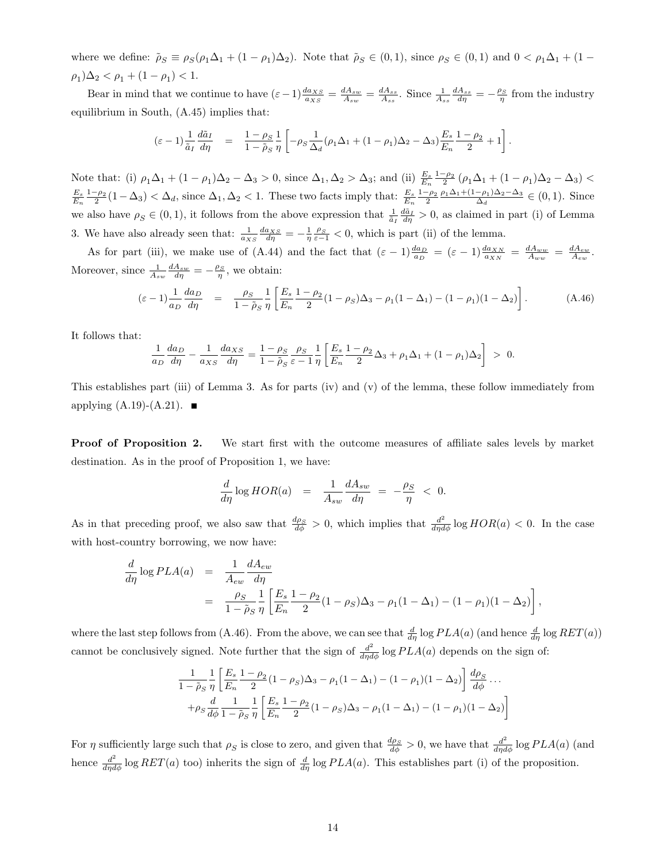where we define:  $\tilde{\rho}_S \equiv \rho_S(\rho_1 \Delta_1 + (1 - \rho_1) \Delta_2)$ . Note that  $\tilde{\rho}_S \in (0, 1)$ , since  $\rho_S \in (0, 1)$  and  $0 < \rho_1 \Delta_1 + (1 - \rho_2) \Delta_2$ .  $(\rho_1)\Delta_2 < \rho_1 + (1 - \rho_1) < 1.$ 

Bear in mind that we continue to have  $(\varepsilon - 1) \frac{d a_{XS}}{a_{XS}} = \frac{d A_{sw}}{A_{sw}} = \frac{d A_{ss}}{A_{ss}}$ . Since  $\frac{1}{A_{ss}} \frac{d A_{ss}}{d \eta} = -\frac{\rho_S}{\eta}$  from the industry equilibrium in South, (A.45) implies that:

$$
(\varepsilon - 1) \frac{1}{\tilde{a}_I} \frac{d\tilde{a}_I}{d\eta} = \frac{1 - \rho_S}{1 - \tilde{\rho}_S} \frac{1}{\eta} \left[ -\rho_S \frac{1}{\Delta_d} (\rho_1 \Delta_1 + (1 - \rho_1) \Delta_2 - \Delta_3) \frac{E_s}{E_n} \frac{1 - \rho_2}{2} + 1 \right].
$$

Note that: (i)  $\rho_1 \Delta_1 + (1 - \rho_1) \Delta_2 - \Delta_3 > 0$ , since  $\Delta_1, \Delta_2 > \Delta_3$ ; and (ii)  $\frac{E_s}{E_n} \frac{1 - \rho_2}{2} (\rho_1 \Delta_1 + (1 - \rho_1) \Delta_2 - \Delta_3) <$  $\frac{E_s}{E_n} \frac{1-\rho_2}{2} (1-\Delta_3) < \Delta_d$ , since  $\Delta_1, \Delta_2 < 1$ . These two facts imply that:  $\frac{E_s}{E_n} \frac{1-\rho_2}{2} \frac{\rho_1 \Delta_1 + (1-\rho_1)\Delta_2 - \Delta_3}{\Delta_d}$  $\frac{-\rho_1/\Delta_2 - \Delta_3}{\Delta_d} \in (0, 1)$ . Since we also have  $\rho_S \in (0,1)$ , it follows from the above expression that  $\frac{1}{\tilde{a}_I} \frac{d\tilde{a}_I}{d\eta} > 0$ , as claimed in part (i) of Lemma 3. We have also already seen that:  $\frac{1}{a_{XS}} \frac{da_{XS}}{d\eta} = -\frac{1}{\eta} \frac{\rho_S}{\varepsilon - 1} < 0$ , which is part (ii) of the lemma.

As for part (iii), we make use of (A.44) and the fact that  $(\varepsilon - 1) \frac{da_D}{a_D} = (\varepsilon - 1) \frac{da_{XN}}{a_{XN}} = \frac{dA_{ww}}{A_{ww}} = \frac{dA_{ew}}{A_{ew}}$ . Moreover, since  $\frac{1}{A_{sw}} \frac{dA_{sw}}{d\eta} = -\frac{\rho_S}{\eta}$ , we obtain:

$$
(\varepsilon - 1) \frac{1}{a_D} \frac{da_D}{d\eta} = \frac{\rho_S}{1 - \tilde{\rho}_S} \frac{1}{\eta} \left[ \frac{E_s}{E_n} \frac{1 - \rho_2}{2} (1 - \rho_S) \Delta_3 - \rho_1 (1 - \Delta_1) - (1 - \rho_1) (1 - \Delta_2) \right].
$$
 (A.46)

It follows that:

$$
\frac{1}{a_D} \frac{da_D}{d\eta} - \frac{1}{a_{XS}} \frac{da_{XS}}{d\eta} = \frac{1 - \rho_S}{1 - \tilde{\rho}_S} \frac{\rho_S}{\varepsilon - 1} \frac{1}{\eta} \left[ \frac{E_s}{E_n} \frac{1 - \rho_2}{2} \Delta_3 + \rho_1 \Delta_1 + (1 - \rho_1) \Delta_2 \right] > 0.
$$

This establishes part (iii) of Lemma 3. As for parts (iv) and (v) of the lemma, these follow immediately from applying  $(A.19)-(A.21)$ .

**Proof of Proposition 2.** We start first with the outcome measures of affiliate sales levels by market destination. As in the proof of Proposition 1, we have:

$$
\frac{d}{d\eta} \log HOR(a) = \frac{1}{A_{sw}} \frac{dA_{sw}}{d\eta} = -\frac{\rho_S}{\eta} < 0.
$$

As in that preceding proof, we also saw that  $\frac{d\rho_S}{d\phi} > 0$ , which implies that  $\frac{d^2}{d\eta d\phi} \log HOR(a) < 0$ . In the case with host-country borrowing, we now have:

$$
\frac{d}{d\eta} \log PLA(a) = \frac{1}{A_{ew}} \frac{dA_{ew}}{d\eta} \n= \frac{\rho_S}{1 - \tilde{\rho}_S} \frac{1}{\eta} \left[ \frac{E_s}{E_n} \frac{1 - \rho_2}{2} (1 - \rho_S) \Delta_3 - \rho_1 (1 - \Delta_1) - (1 - \rho_1) (1 - \Delta_2) \right],
$$

where the last step follows from (A.46). From the above, we can see that  $\frac{d}{d\eta} \log PLA(a)$  (and hence  $\frac{d}{d\eta} \log RET(a)$ ) cannot be conclusively signed. Note further that the sign of  $\frac{d^2}{d\eta d\phi}$  log  $PLA(a)$  depends on the sign of:

$$
\frac{1}{1-\tilde{\rho}_S} \frac{1}{\eta} \left[ \frac{E_s}{E_n} \frac{1-\rho_2}{2} (1-\rho_S) \Delta_3 - \rho_1 (1-\Delta_1) - (1-\rho_1)(1-\Delta_2) \right] \frac{d\rho_S}{d\phi} \dots \n+ \rho_S \frac{d}{d\phi} \frac{1}{1-\tilde{\rho}_S} \frac{1}{\eta} \left[ \frac{E_s}{E_n} \frac{1-\rho_2}{2} (1-\rho_S) \Delta_3 - \rho_1 (1-\Delta_1) - (1-\rho_1)(1-\Delta_2) \right]
$$

For  $\eta$  sufficiently large such that  $\rho_S$  is close to zero, and given that  $\frac{d\rho_S}{d\phi} > 0$ , we have that  $\frac{d^2}{d\eta d\phi}$  log  $PLA(a)$  (and hence  $\frac{d^2}{d\eta d\phi}$  log  $RET(a)$  too) inherits the sign of  $\frac{d}{d\eta}$  log  $PLA(a)$ . This establishes part (i) of the proposition.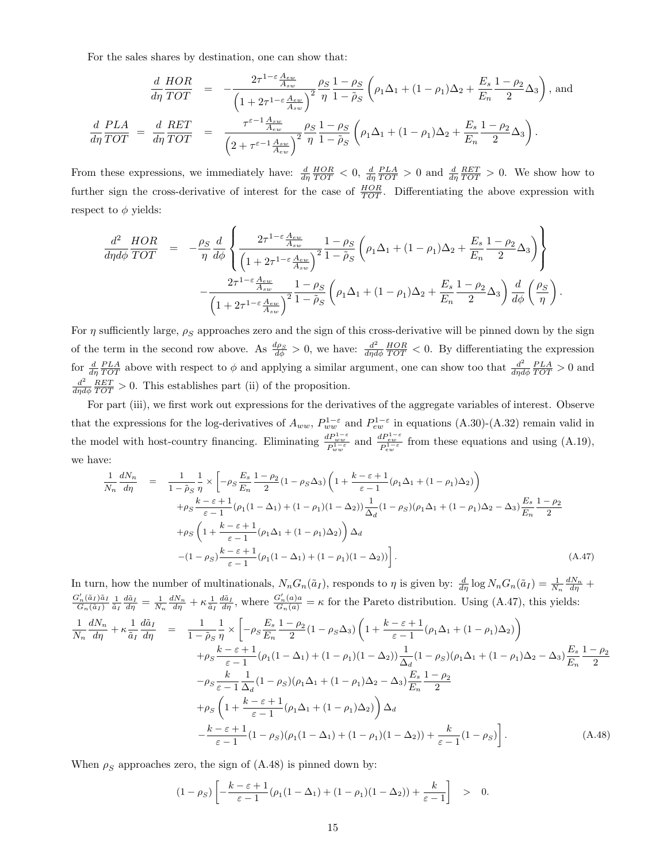For the sales shares by destination, one can show that:

$$
\frac{d}{d\eta} \frac{HOR}{TOT} = -\frac{2\tau^{1-\epsilon} \frac{A_{ew}}{A_{sw}}}{\left(1+2\tau^{1-\epsilon} \frac{A_{ew}}{A_{sw}}\right)^2} \frac{\rho_S}{\eta} \frac{1-\rho_S}{1-\tilde{\rho}_S} \left(\rho_1 \Delta_1 + (1-\rho_1) \Delta_2 + \frac{E_s}{E_n} \frac{1-\rho_2}{2} \Delta_3\right), \text{ and}
$$
\n
$$
\frac{d}{d\eta} \frac{PLA}{TOT} = \frac{d}{d\eta} \frac{RET}{TOT} = \frac{\tau^{\epsilon-1} \frac{A_{sw}}{A_{ew}}}{\left(2+\tau^{\epsilon-1} \frac{A_{sw}}{A_{ew}}\right)^2} \frac{\rho_S}{\eta} \frac{1-\rho_S}{1-\tilde{\rho}_S} \left(\rho_1 \Delta_1 + (1-\rho_1) \Delta_2 + \frac{E_s}{E_n} \frac{1-\rho_2}{2} \Delta_3\right).
$$

From these expressions, we immediately have:  $\frac{d}{d\eta} \frac{HOR}{TOT} < 0$ ,  $\frac{d}{d\eta} \frac{PLA}{TOT} > 0$  and  $\frac{d}{d\eta} \frac{RET}{TOT} > 0$ . We show how to further sign the cross-derivative of interest for the case of  $\frac{HOR}{TOT}$ . Differentiating the above expression with respect to  $\phi$  yields:

$$
\frac{d^2}{d\eta d\phi} \frac{HOR}{TOT} = -\frac{\rho_S}{\eta} \frac{d}{d\phi} \left\{ \frac{2\tau^{1-\varepsilon} \frac{A_{ew}}{A_{sw}}}{\left(1+2\tau^{1-\varepsilon} \frac{A_{ew}}{A_{sw}}\right)^2} \frac{1-\rho_S}{1-\tilde{\rho}_S} \left(\rho_1 \Delta_1 + (1-\rho_1)\Delta_2 + \frac{E_s}{E_n} \frac{1-\rho_2}{2} \Delta_3\right) \right\}
$$

$$
-\frac{2\tau^{1-\varepsilon} \frac{A_{ew}}{A_{sw}}}{\left(1+2\tau^{1-\varepsilon} \frac{A_{ew}}{A_{sw}}\right)^2} \frac{1-\rho_S}{1-\tilde{\rho}_S} \left(\rho_1 \Delta_1 + (1-\rho_1)\Delta_2 + \frac{E_s}{E_n} \frac{1-\rho_2}{2} \Delta_3\right) \frac{d}{d\phi} \left(\frac{\rho_S}{\eta}\right).
$$

For  $\eta$  sufficiently large,  $\rho_S$  approaches zero and the sign of this cross-derivative will be pinned down by the sign of the term in the second row above. As  $\frac{d\rho_S}{d\phi} > 0$ , we have:  $\frac{d^2}{d\eta d}$  $\frac{d^2}{d\eta d\phi} \frac{HOR}{TOT} < 0$ . By differentiating the expression for  $\frac{d}{d\eta} \frac{PLA}{TOT}$  above with respect to  $\phi$  and applying a similar argument, one can show too that  $\frac{d^2}{d\eta d\eta}$  $\frac{d^2}{d\eta d\phi} \frac{PLA}{TOT} > 0$  and  $d^2$  $\frac{d^2}{d\eta d\phi} \frac{RET}{TOT} > 0$ . This establishes part (ii) of the proposition.

For part (iii), we first work out expressions for the derivatives of the aggregate variables of interest. Observe that the expressions for the log-derivatives of  $A_{ww}$ ,  $P_{ww}^{1-\varepsilon}$  and  $P_{ew}^{1-\varepsilon}$  in equations (A.30)-(A.32) remain valid in the model with host-country financing. Eliminating  $\frac{dP_{ww}^{1-\varepsilon}}{P_{ww}^{1-\varepsilon}}$  and  $\frac{dP_{ew}^{2-\varepsilon}}{P_{tw}^{1-\varepsilon}}$  from these equations and using (A.19), we have:

$$
\frac{1}{N_n} \frac{dN_n}{d\eta} = \frac{1}{1 - \tilde{\rho}_S} \frac{1}{\eta} \times \left[ -\rho_S \frac{E_s}{E_n} \frac{1 - \rho_2}{2} (1 - \rho_S \Delta_3) \left( 1 + \frac{k - \varepsilon + 1}{\varepsilon - 1} (\rho_1 \Delta_1 + (1 - \rho_1) \Delta_2) \right) \right. \\
\left. + \rho_S \frac{k - \varepsilon + 1}{\varepsilon - 1} (\rho_1 (1 - \Delta_1) + (1 - \rho_1) (1 - \Delta_2)) \frac{1}{\Delta_d} (1 - \rho_S) (\rho_1 \Delta_1 + (1 - \rho_1) \Delta_2 - \Delta_3) \frac{E_s}{E_n} \frac{1 - \rho_2}{2} \right. \\
\left. + \rho_S \left( 1 + \frac{k - \varepsilon + 1}{\varepsilon - 1} (\rho_1 \Delta_1 + (1 - \rho_1) \Delta_2) \right) \Delta_d \right. \\
\left. - (1 - \rho_S) \frac{k - \varepsilon + 1}{\varepsilon - 1} (\rho_1 (1 - \Delta_1) + (1 - \rho_1) (1 - \Delta_2)) \right].\n\tag{A.47}
$$

In turn, how the number of multinationals,  $N_n G_n(\tilde{a}_I)$ , responds to  $\eta$  is given by:  $\frac{d}{d\eta} \log N_n G_n(\tilde{a}_I) = \frac{1}{N_n} \frac{dN_n}{d\eta} +$  $\frac{G'_n(\tilde{a}_I)\tilde{a}_I}{G_n(\tilde{a}_I)} \frac{1}{\tilde{a}_I} \frac{d\tilde{a}_I}{d\eta} = \frac{1}{N_n} \frac{dN_n}{d\eta} + \kappa \frac{1}{\tilde{a}_I} \frac{d\tilde{a}_I}{d\eta}$ , where  $\frac{G'_n(a)a}{G_n(a)} = \kappa$  for the Pareto distribution. Using (A.47), this yields:

$$
\frac{1}{N_n} \frac{dN_n}{d\eta} + \kappa \frac{1}{\tilde{a}_I} \frac{d\tilde{a}_I}{d\eta} = \frac{1}{1 - \tilde{\rho}_S} \frac{1}{\eta} \times \left[ -\rho_S \frac{E_s}{E_n} \frac{1 - \rho_2}{2} (1 - \rho_S \Delta_3) \left( 1 + \frac{k - \varepsilon + 1}{\varepsilon - 1} (\rho_1 \Delta_1 + (1 - \rho_1) \Delta_2) \right) \right. \\
\left. + \rho_S \frac{k - \varepsilon + 1}{\varepsilon - 1} (\rho_1 (1 - \Delta_1) + (1 - \rho_1) (1 - \Delta_2)) \frac{1}{\Delta_d} (1 - \rho_S) (\rho_1 \Delta_1 + (1 - \rho_1) \Delta_2 - \Delta_3) \frac{E_s}{E_n} \frac{1 - \rho_2}{2} \right. \\
\left. - \rho_S \frac{k}{\varepsilon - 1} \frac{1}{\Delta_d} (1 - \rho_S) (\rho_1 \Delta_1 + (1 - \rho_1) \Delta_2 - \Delta_3) \frac{E_s}{E_n} \frac{1 - \rho_2}{2} \right. \\
\left. + \rho_S \left( 1 + \frac{k - \varepsilon + 1}{\varepsilon - 1} (\rho_1 \Delta_1 + (1 - \rho_1) \Delta_2) \right) \Delta_d \right. \\
\left. - \frac{k - \varepsilon + 1}{\varepsilon - 1} (1 - \rho_S) (\rho_1 (1 - \Delta_1) + (1 - \rho_1) (1 - \Delta_2)) + \frac{k}{\varepsilon - 1} (1 - \rho_S) \right].\n\tag{A.48}
$$

When  $\rho_S$  approaches zero, the sign of (A.48) is pinned down by:

$$
(1 - \rho_S) \left[ -\frac{k - \varepsilon + 1}{\varepsilon - 1} (\rho_1 (1 - \Delta_1) + (1 - \rho_1)(1 - \Delta_2)) + \frac{k}{\varepsilon - 1} \right] > 0.
$$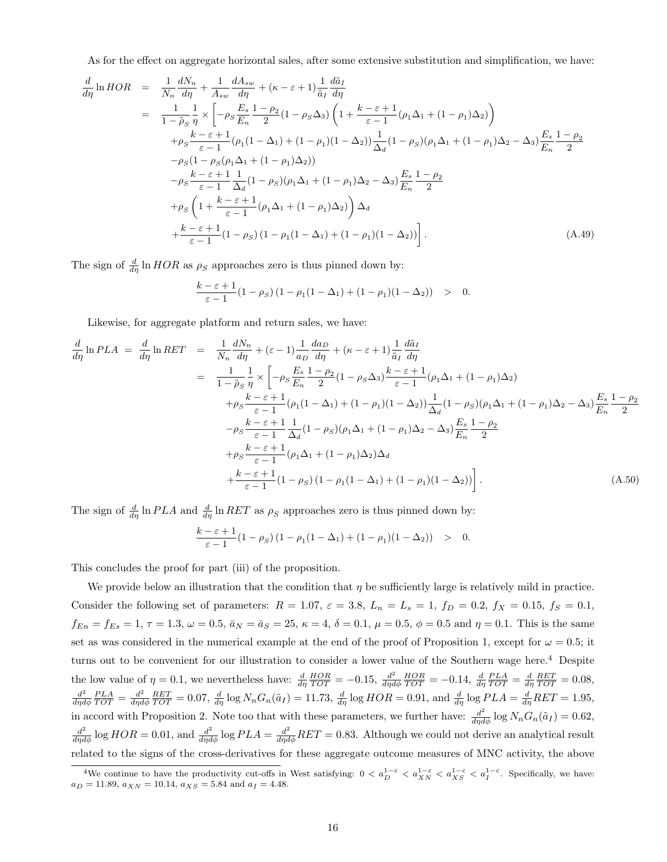As for the effect on aggregate horizontal sales, after some extensive substitution and simplification, we have:

$$
\frac{d}{d\eta} \ln HOR = \frac{1}{N_n} \frac{dN_n}{d\eta} + \frac{1}{A_{sw}} \frac{dA_{sw}}{d\eta} + (\kappa - \varepsilon + 1) \frac{1}{\tilde{a}_I} \frac{d\tilde{a}_I}{d\eta}
$$
\n
$$
= \frac{1}{1 - \tilde{\rho}_S} \frac{1}{\eta} \times \left[ -\rho_S \frac{E_s}{E_n} \frac{1 - \rho_2}{2} (1 - \rho_S \Delta_3) \left( 1 + \frac{k - \varepsilon + 1}{\varepsilon - 1} (\rho_1 \Delta_1 + (1 - \rho_1) \Delta_2) \right) + \rho_S \frac{k - \varepsilon + 1}{\varepsilon - 1} (\rho_1 (1 - \Delta_1) + (1 - \rho_1) (1 - \Delta_2)) \frac{1}{\Delta_d} (1 - \rho_S) (\rho_1 \Delta_1 + (1 - \rho_1) \Delta_2 - \Delta_3) \frac{E_s}{E_n} \frac{1 - \rho_2}{2}
$$
\n
$$
- \rho_S (1 - \rho_S (\rho_1 \Delta_1 + (1 - \rho_1) \Delta_2))
$$
\n
$$
- \rho_S \frac{k - \varepsilon + 1}{\varepsilon - 1} \frac{1}{\Delta_d} (1 - \rho_S) (\rho_1 \Delta_1 + (1 - \rho_1) \Delta_2 - \Delta_3) \frac{E_s}{E_n} \frac{1 - \rho_2}{2}
$$
\n
$$
+ \rho_S \left( 1 + \frac{k - \varepsilon + 1}{\varepsilon - 1} (\rho_1 \Delta_1 + (1 - \rho_1) \Delta_2) \right) \Delta_d
$$
\n
$$
+ \frac{k - \varepsilon + 1}{\varepsilon - 1} (1 - \rho_S) (1 - \rho_1 (1 - \Delta_1) + (1 - \rho_1) (1 - \Delta_2)) \right]. \tag{A.49}
$$

The sign of  $\frac{d}{d\eta} \ln HOR$  as  $\rho_S$  approaches zero is thus pinned down by:

$$
\frac{k-\varepsilon+1}{\varepsilon-1}(1-\rho_S)(1-\rho_1(1-\Delta_1)+(1-\rho_1)(1-\Delta_2)) > 0.
$$

Likewise, for aggregate platform and return sales, we have:

$$
\frac{d}{d\eta} \ln PLA = \frac{d}{d\eta} \ln RET = \frac{1}{N_n} \frac{dN_n}{d\eta} + (\varepsilon - 1) \frac{1}{a_D} \frac{da_D}{d\eta} + (\kappa - \varepsilon + 1) \frac{1}{\tilde{a}_I} \frac{d\tilde{a}_I}{d\eta}
$$
\n
$$
= \frac{1}{1 - \tilde{\rho}_S} \frac{1}{\eta} \times \left[ -\rho_S \frac{E_s}{E_n} \frac{1 - \rho_2}{2} (1 - \rho_S \Delta_3) \frac{k - \varepsilon + 1}{\varepsilon - 1} (\rho_1 \Delta_1 + (1 - \rho_1) \Delta_2) + \rho_S \frac{k - \varepsilon + 1}{\varepsilon - 1} (\rho_1 (1 - \Delta_1) + (1 - \rho_1) (1 - \Delta_2)) \frac{1}{\Delta_d} (1 - \rho_S) (\rho_1 \Delta_1 + (1 - \rho_1) \Delta_2 - \Delta_3) \frac{E_s}{E_n} \frac{1 - \rho_2}{2} - \rho_S \frac{k - \varepsilon + 1}{\varepsilon - 1} \frac{1}{\Delta_d} (1 - \rho_S) (\rho_1 \Delta_1 + (1 - \rho_1) \Delta_2 - \Delta_3) \frac{E_s}{E_n} \frac{1 - \rho_2}{2} + \rho_S \frac{k - \varepsilon + 1}{\varepsilon - 1} (\rho_1 \Delta_1 + (1 - \rho_1) \Delta_2) \Delta_d + \frac{k - \varepsilon + 1}{\varepsilon - 1} (1 - \rho_S) (1 - \rho_1 (1 - \Delta_1) + (1 - \rho_1) (1 - \Delta_2)) \right]. \tag{A.50}
$$

The sign of  $\frac{d}{d\eta} \ln PLA$  and  $\frac{d}{d\eta} \ln RET$  as  $\rho_S$  approaches zero is thus pinned down by:

$$
\frac{k-\varepsilon+1}{\varepsilon-1}(1-\rho_S)(1-\rho_1(1-\Delta_1)+(1-\rho_1)(1-\Delta_2)) > 0.
$$

This concludes the proof for part (iii) of the proposition.

We provide below an illustration that the condition that  $\eta$  be sufficiently large is relatively mild in practice. Consider the following set of parameters:  $R = 1.07$ ,  $\varepsilon = 3.8$ ,  $L_n = L_s = 1$ ,  $f_D = 0.2$ ,  $f_X = 0.15$ ,  $f_S = 0.1$ ,  $f_{En} = f_{Es} = 1, \tau = 1.3, \omega = 0.5, \bar{a}_N = \bar{a}_S = 25, \kappa = 4, \delta = 0.1, \mu = 0.5, \phi = 0.5$  and  $\eta = 0.1$ . This is the same set as was considered in the numerical example at the end of the proof of Proposition 1, except for  $\omega = 0.5$ ; it turns out to be convenient for our illustration to consider a lower value of the Southern wage here.<sup>4</sup> Despite the low value of  $\eta = 0.1$ , we nevertheless have:  $\frac{d}{d\eta} \frac{HOR}{TOT} = -0.15$ ,  $\frac{d^2}{d\eta d\eta}$  $\frac{d^2}{d\eta d\phi} \frac{HOR}{TOT} = -0.14, \frac{d}{d\eta} \frac{PLA}{TOT} = \frac{d}{d\eta} \frac{RET}{TOT} = 0.08,$  $d^2$  $\frac{d^2}{d\eta d\phi} \frac{PLA}{TOT} = \frac{d^2}{d\eta d}$  $\frac{d^2}{d\eta d\phi} \frac{RET}{TOT} = 0.07$ ,  $\frac{d}{d\eta} \log N_n G_n(\tilde{a}_I) = 11.73$ ,  $\frac{d}{d\eta} \log HOR = 0.91$ , and  $\frac{d}{d\eta} \log PLA = \frac{d}{d\eta}RET = 1.95$ , in accord with Proposition 2. Note too that with these parameters, we further have:  $\frac{d^2}{d\eta d\phi} \log N_n G_n(\tilde{a}_I) = 0.62$ ,  $\frac{d^2}{d\eta d\phi}$  log  $HOR = 0.01$ , and  $\frac{d^2}{d\eta d\phi}$  log  $PLA = \frac{d^2}{d\eta d\phi}$  RET = 0.83. Although we could not derive an analytical result related to the signs of the cross-derivatives for these aggregate outcome measures of MNC activity, the above

<sup>&</sup>lt;sup>4</sup>We continue to have the productivity cut-offs in West satisfying:  $0 < a_{D}^{1-\varepsilon} < a_{XN}^{1-\varepsilon} < a_{XS}^{1-\varepsilon} < a_{I}^{1-\varepsilon}$ . Specifically, we have:  $a_D = 11.89, a_{XN} = 10.14, a_{XS} = 5.84 \text{ and } a_I = 4.48.$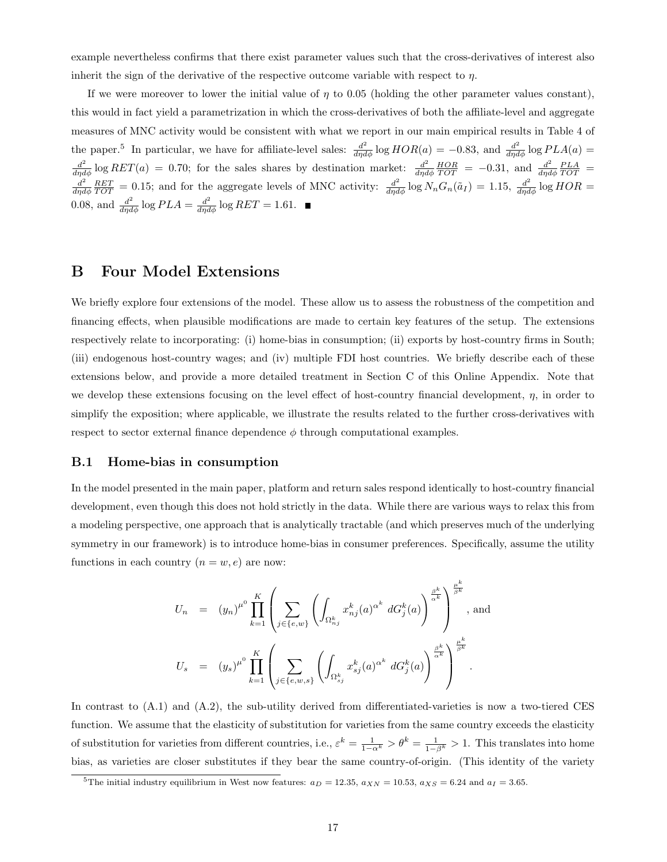example nevertheless confirms that there exist parameter values such that the cross-derivatives of interest also inherit the sign of the derivative of the respective outcome variable with respect to  $\eta$ .

If we were moreover to lower the initial value of  $\eta$  to 0.05 (holding the other parameter values constant), this would in fact yield a parametrization in which the cross-derivatives of both the affiliate-level and aggregate measures of MNC activity would be consistent with what we report in our main empirical results in Table 4 of the paper.<sup>5</sup> In particular, we have for affiliate-level sales:  $\frac{d^2}{d\eta d\phi} \log HOR(a) = -0.83$ , and  $\frac{d^2}{d\eta d\phi} \log PLA(a) =$  $\frac{d^2}{d\eta d\phi}$  log  $RET(a) = 0.70$ ; for the sales shares by destination market:  $\frac{d^2}{d\eta d\phi}$  $\frac{d^2}{d\eta d\phi} \frac{HOR}{TOT} = -0.31$ , and  $\frac{d^2}{d\eta d}$  $\frac{d^2}{d\eta d\phi} \frac{PLA}{TOT} =$  $d^2$  $\frac{d^2}{d\eta d\phi} \frac{RET}{TOT} = 0.15$ ; and for the aggregate levels of MNC activity:  $\frac{d^2}{d\eta d\phi} \log N_n G_n(\tilde{a}_I) = 1.15$ ,  $\frac{d^2}{d\eta d\phi} \log HOR =$ 0.08, and  $\frac{d^2}{d\eta d\phi} \log PLA = \frac{d^2}{d\eta d\phi} \log RET = 1.61$ .

# B Four Model Extensions

We briefly explore four extensions of the model. These allow us to assess the robustness of the competition and financing effects, when plausible modifications are made to certain key features of the setup. The extensions respectively relate to incorporating: (i) home-bias in consumption; (ii) exports by host-country firms in South; (iii) endogenous host-country wages; and (iv) multiple FDI host countries. We briefly describe each of these extensions below, and provide a more detailed treatment in Section C of this Online Appendix. Note that we develop these extensions focusing on the level effect of host-country financial development,  $\eta$ , in order to simplify the exposition; where applicable, we illustrate the results related to the further cross-derivatives with respect to sector external finance dependence  $\phi$  through computational examples.

#### B.1 Home-bias in consumption

In the model presented in the main paper, platform and return sales respond identically to host-country financial development, even though this does not hold strictly in the data. While there are various ways to relax this from a modeling perspective, one approach that is analytically tractable (and which preserves much of the underlying symmetry in our framework) is to introduce home-bias in consumer preferences. Specifically, assume the utility functions in each country  $(n = w, e)$  are now:

$$
U_n = (y_n)^{\mu^0} \prod_{k=1}^K \left( \sum_{j \in \{e, w\}} \left( \int_{\Omega_{n_j}^k} x_{nj}^k(a)^{\alpha^k} dG_j^k(a) \right)^{\frac{\beta^k}{\alpha^k}} \right)^{\frac{\mu^k}{\beta^k}}, \text{ and}
$$
  

$$
U_s = (y_s)^{\mu^0} \prod_{k=1}^K \left( \sum_{j \in \{e, w, s\}} \left( \int_{\Omega_{s_j}^k} x_{sj}^k(a)^{\alpha^k} dG_j^k(a) \right)^{\frac{\beta^k}{\alpha^k}} \right)^{\frac{\mu^k}{\beta^k}}.
$$

In contrast to (A.1) and (A.2), the sub-utility derived from differentiated-varieties is now a two-tiered CES function. We assume that the elasticity of substitution for varieties from the same country exceeds the elasticity of substitution for varieties from different countries, i.e.,  $\varepsilon^k = \frac{1}{1-\alpha^k} > \theta^k = \frac{1}{1-\beta^k} > 1$ . This translates into home bias, as varieties are closer substitutes if they bear the same country-of-origin. (This identity of the variety

<sup>&</sup>lt;sup>5</sup>The initial industry equilibrium in West now features:  $a_D = 12.35$ ,  $a_{XN} = 10.53$ ,  $a_{XS} = 6.24$  and  $a_I = 3.65$ .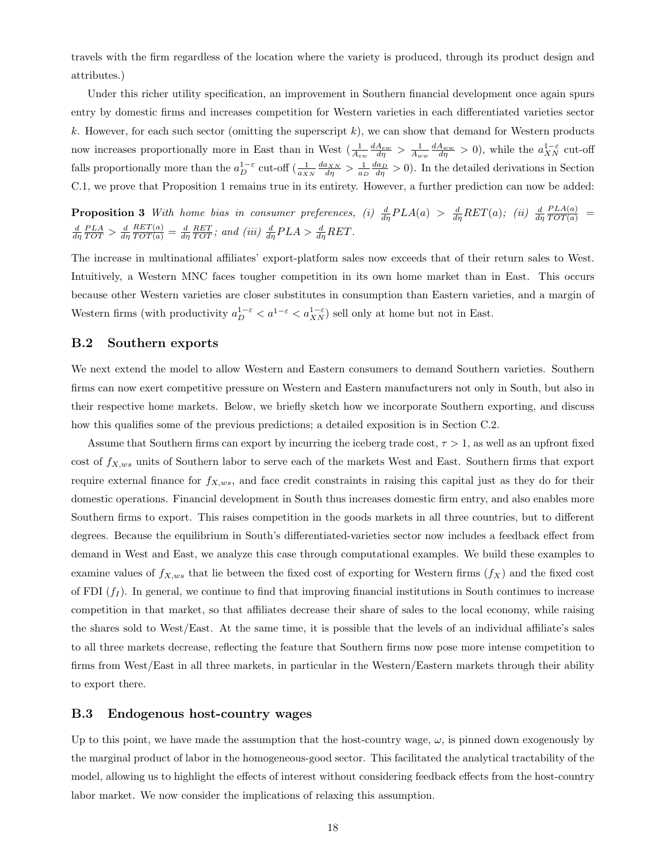travels with the firm regardless of the location where the variety is produced, through its product design and attributes.)

Under this richer utility specification, an improvement in Southern financial development once again spurs entry by domestic firms and increases competition for Western varieties in each differentiated varieties sector k. However, for each such sector (omitting the superscript  $k$ ), we can show that demand for Western products now increases proportionally more in East than in West  $\left(\frac{1}{A_{ew}}\frac{dA_{ew}}{d\eta}\right) > \frac{1}{A_{ww}}\frac{dA_{ww}}{d\eta} > 0$ , while the  $a_{XN}^{1-\varepsilon}$  cut-off falls proportionally more than the  $a_D^{1-\varepsilon}$  cut-off  $\left(\frac{1}{a_{XN}}\frac{da_{XN}}{d\eta} > \frac{1}{a_D}\frac{da_D}{d\eta} > 0\right)$ . In the detailed derivations in Section C.1, we prove that Proposition 1 remains true in its entirety. However, a further prediction can now be added:

**Proposition 3** With home bias in consumer preferences, (i)  $\frac{d}{d\eta}PLA(a) > \frac{d}{d\eta}RET(a)$ ; (ii)  $\frac{d}{d\eta}$  $\frac{PLA(a)}{TOT(a)}$  =  $\frac{d}{d\eta} \frac{PLA}{TOT} > \frac{d}{d\eta}$  $\frac{RET(a)}{TOT(a)} = \frac{d}{d\eta} \frac{RET}{TOT}$ ; and (iii)  $\frac{d}{d\eta}PLA > \frac{d}{d\eta}RET$ .

The increase in multinational affiliates' export-platform sales now exceeds that of their return sales to West. Intuitively, a Western MNC faces tougher competition in its own home market than in East. This occurs because other Western varieties are closer substitutes in consumption than Eastern varieties, and a margin of Western firms (with productivity  $a_D^{1-\varepsilon} < a_{XN}^{1-\varepsilon}$ ) sell only at home but not in East.

#### B.2 Southern exports

We next extend the model to allow Western and Eastern consumers to demand Southern varieties. Southern firms can now exert competitive pressure on Western and Eastern manufacturers not only in South, but also in their respective home markets. Below, we briefly sketch how we incorporate Southern exporting, and discuss how this qualifies some of the previous predictions; a detailed exposition is in Section C.2.

Assume that Southern firms can export by incurring the iceberg trade cost,  $\tau > 1$ , as well as an upfront fixed cost of  $f_{X,ws}$  units of Southern labor to serve each of the markets West and East. Southern firms that export require external finance for  $f_{X,ws}$ , and face credit constraints in raising this capital just as they do for their domestic operations. Financial development in South thus increases domestic firm entry, and also enables more Southern firms to export. This raises competition in the goods markets in all three countries, but to different degrees. Because the equilibrium in South's differentiated-varieties sector now includes a feedback effect from demand in West and East, we analyze this case through computational examples. We build these examples to examine values of  $f_{X,ws}$  that lie between the fixed cost of exporting for Western firms  $(f_X)$  and the fixed cost of FDI  $(f<sub>I</sub>)$ . In general, we continue to find that improving financial institutions in South continues to increase competition in that market, so that affiliates decrease their share of sales to the local economy, while raising the shares sold to West/East. At the same time, it is possible that the levels of an individual affiliate's sales to all three markets decrease, reflecting the feature that Southern firms now pose more intense competition to firms from West/East in all three markets, in particular in the Western/Eastern markets through their ability to export there.

#### B.3 Endogenous host-country wages

Up to this point, we have made the assumption that the host-country wage,  $\omega$ , is pinned down exogenously by the marginal product of labor in the homogeneous-good sector. This facilitated the analytical tractability of the model, allowing us to highlight the effects of interest without considering feedback effects from the host-country labor market. We now consider the implications of relaxing this assumption.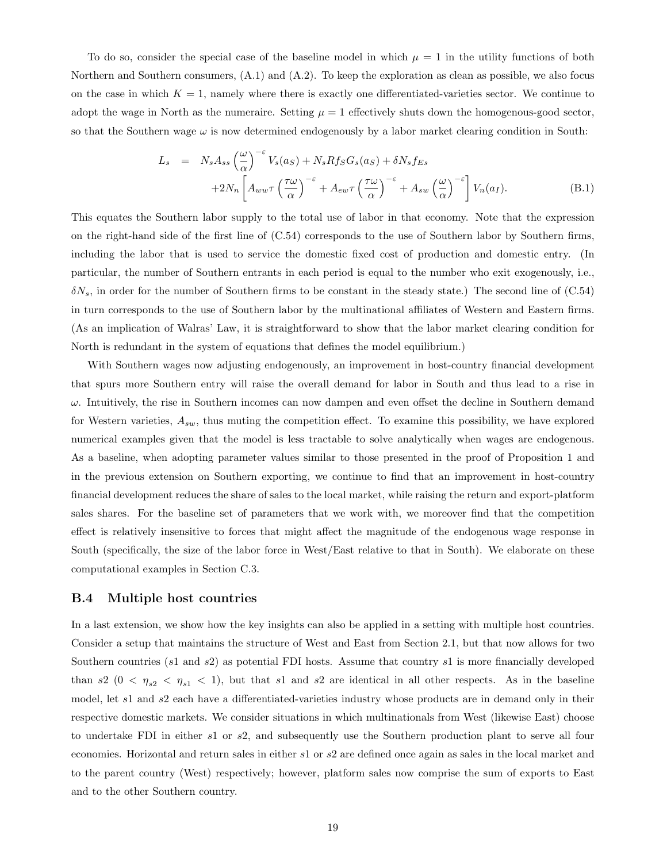To do so, consider the special case of the baseline model in which  $\mu = 1$  in the utility functions of both Northern and Southern consumers, (A.1) and (A.2). To keep the exploration as clean as possible, we also focus on the case in which  $K = 1$ , namely where there is exactly one differentiated-varieties sector. We continue to adopt the wage in North as the numeraire. Setting  $\mu = 1$  effectively shuts down the homogenous-good sector, so that the Southern wage  $\omega$  is now determined endogenously by a labor market clearing condition in South:

$$
L_s = N_s A_{ss} \left(\frac{\omega}{\alpha}\right)^{-\epsilon} V_s(a_S) + N_s R f_S G_s(a_S) + \delta N_s f_{Es}
$$
  
+2N<sub>n</sub>  $\left[ A_{ww} \tau \left(\frac{\tau \omega}{\alpha}\right)^{-\epsilon} + A_{ew} \tau \left(\frac{\tau \omega}{\alpha}\right)^{-\epsilon} + A_{sw} \left(\frac{\omega}{\alpha}\right)^{-\epsilon} \right] V_n(a_I).$  (B.1)

This equates the Southern labor supply to the total use of labor in that economy. Note that the expression on the right-hand side of the first line of (C.54) corresponds to the use of Southern labor by Southern firms, including the labor that is used to service the domestic fixed cost of production and domestic entry. (In particular, the number of Southern entrants in each period is equal to the number who exit exogenously, i.e.,  $\delta N_s$ , in order for the number of Southern firms to be constant in the steady state.) The second line of (C.54) in turn corresponds to the use of Southern labor by the multinational affiliates of Western and Eastern firms. (As an implication of Walras' Law, it is straightforward to show that the labor market clearing condition for North is redundant in the system of equations that defines the model equilibrium.)

With Southern wages now adjusting endogenously, an improvement in host-country financial development that spurs more Southern entry will raise the overall demand for labor in South and thus lead to a rise in  $\omega$ . Intuitively, the rise in Southern incomes can now dampen and even offset the decline in Southern demand for Western varieties,  $A_{sw}$ , thus muting the competition effect. To examine this possibility, we have explored numerical examples given that the model is less tractable to solve analytically when wages are endogenous. As a baseline, when adopting parameter values similar to those presented in the proof of Proposition 1 and in the previous extension on Southern exporting, we continue to find that an improvement in host-country financial development reduces the share of sales to the local market, while raising the return and export-platform sales shares. For the baseline set of parameters that we work with, we moreover find that the competition effect is relatively insensitive to forces that might affect the magnitude of the endogenous wage response in South (specifically, the size of the labor force in West/East relative to that in South). We elaborate on these computational examples in Section C.3.

#### B.4 Multiple host countries

In a last extension, we show how the key insights can also be applied in a setting with multiple host countries. Consider a setup that maintains the structure of West and East from Section 2.1, but that now allows for two Southern countries (s1 and s2) as potential FDI hosts. Assume that country s1 is more financially developed than s2 ( $0 < \eta_{s2} < \eta_{s1} < 1$ ), but that s1 and s2 are identical in all other respects. As in the baseline model, let s1 and s2 each have a differentiated-varieties industry whose products are in demand only in their respective domestic markets. We consider situations in which multinationals from West (likewise East) choose to undertake FDI in either s1 or s2, and subsequently use the Southern production plant to serve all four economies. Horizontal and return sales in either s1 or s2 are defined once again as sales in the local market and to the parent country (West) respectively; however, platform sales now comprise the sum of exports to East and to the other Southern country.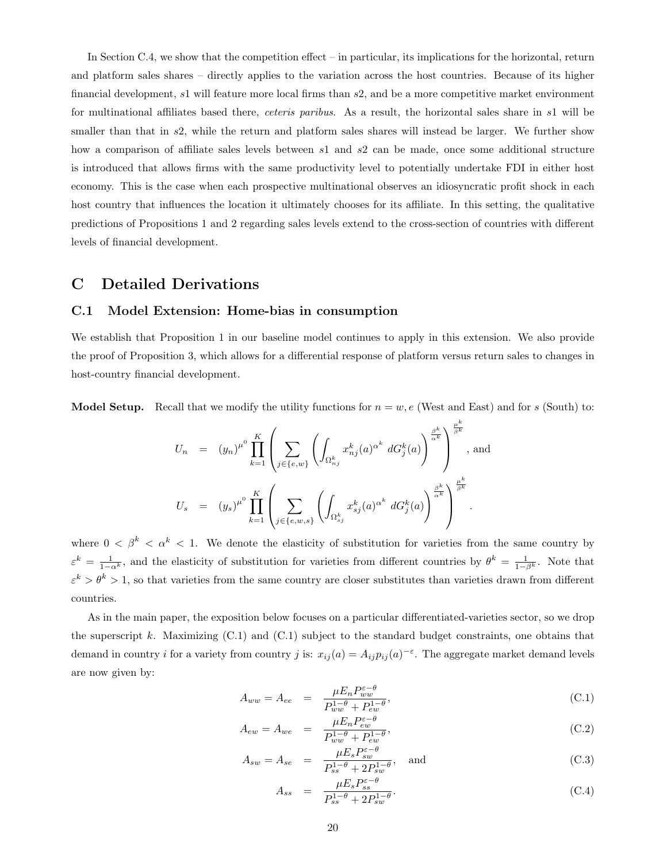In Section C.4, we show that the competition effect – in particular, its implications for the horizontal, return and platform sales shares – directly applies to the variation across the host countries. Because of its higher financial development, s1 will feature more local firms than s2, and be a more competitive market environment for multinational affiliates based there, *ceteris paribus*. As a result, the horizontal sales share in s1 will be smaller than that in s2, while the return and platform sales shares will instead be larger. We further show how a comparison of affiliate sales levels between s1 and s2 can be made, once some additional structure is introduced that allows firms with the same productivity level to potentially undertake FDI in either host economy. This is the case when each prospective multinational observes an idiosyncratic profit shock in each host country that influences the location it ultimately chooses for its affiliate. In this setting, the qualitative predictions of Propositions 1 and 2 regarding sales levels extend to the cross-section of countries with different levels of financial development.

## C Detailed Derivations

## C.1 Model Extension: Home-bias in consumption

We establish that Proposition 1 in our baseline model continues to apply in this extension. We also provide the proof of Proposition 3, which allows for a differential response of platform versus return sales to changes in host-country financial development.

**Model Setup.** Recall that we modify the utility functions for  $n = w$ , e (West and East) and for s (South) to:

$$
U_n = (y_n)^{\mu^0} \prod_{k=1}^K \left( \sum_{j \in \{e,w\}} \left( \int_{\Omega_{n_j}^k} x_{nj}^k(a)^{\alpha^k} dG_j^k(a) \right)^{\frac{\beta^k}{\alpha^k}} \right)^{\frac{\mu^k}{\beta^k}}, \text{ and}
$$
  

$$
U_s = (y_s)^{\mu^0} \prod_{k=1}^K \left( \sum_{j \in \{e,w,s\}} \left( \int_{\Omega_{s_j}^k} x_{sj}^k(a)^{\alpha^k} dG_j^k(a) \right)^{\frac{\beta^k}{\alpha^k}} \right)^{\frac{\mu^k}{\beta^k}}.
$$

where  $0 < \beta^k < \alpha^k < 1$ . We denote the elasticity of substitution for varieties from the same country by  $\varepsilon^k = \frac{1}{1-\alpha^k}$ , and the elasticity of substitution for varieties from different countries by  $\theta^k = \frac{1}{1-\beta^k}$ . Note that  $\varepsilon^k > \theta^k > 1$ , so that varieties from the same country are closer substitutes than varieties drawn from different countries.

As in the main paper, the exposition below focuses on a particular differentiated-varieties sector, so we drop the superscript k. Maximizing  $(C.1)$  and  $(C.1)$  subject to the standard budget constraints, one obtains that demand in country *i* for a variety from country *j* is:  $x_{ij}(a) = A_{ij}p_{ij}(a)^{-\varepsilon}$ . The aggregate market demand levels are now given by:

$$
A_{ww} = A_{ee} = \frac{\mu E_n P_{ww}^{\varepsilon - \theta}}{P_{ww}^{1 - \theta} + P_{ew}^{1 - \theta}},
$$
\n(C.1)

$$
A_{ew} = A_{we} = \frac{\mu E_n P_{ew}^{\varepsilon - \theta}}{P_{ww}^{1 - \theta} + P_{ew}^{1 - \theta}},
$$
\n(C.2)

$$
A_{sw} = A_{se} = \frac{\mu E_s P_{sw}^{\varepsilon - \theta}}{P_{ss}^{1 - \theta} + 2P_{sw}^{1 - \theta}}, \text{ and}
$$
 (C.3)

$$
A_{ss} = \frac{\mu E_s P_{ss}^{\varepsilon - \theta}}{P_{ss}^{1 - \theta} + 2P_{sw}^{1 - \theta}}.
$$
\n(C.4)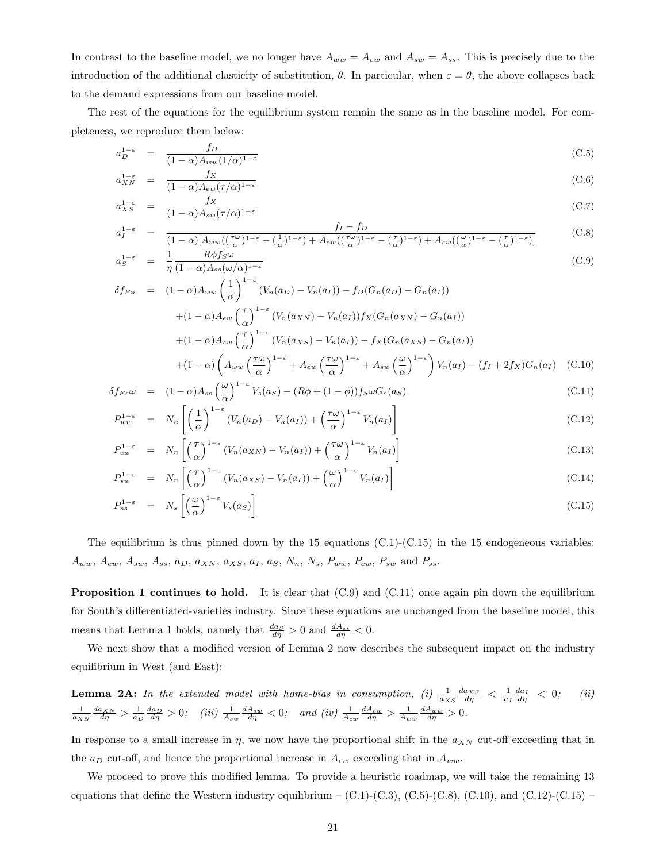In contrast to the baseline model, we no longer have  $A_{ww} = A_{ew}$  and  $A_{sw} = A_{ss}$ . This is precisely due to the introduction of the additional elasticity of substitution,  $\theta$ . In particular, when  $\varepsilon = \theta$ , the above collapses back to the demand expressions from our baseline model.

The rest of the equations for the equilibrium system remain the same as in the baseline model. For completeness, we reproduce them below:

$$
a_D^{1-\varepsilon} = \frac{f_D}{(1-\alpha)A_{ww}(1/\alpha)^{1-\varepsilon}}
$$
(C.5)

$$
a_{XN}^{1-\varepsilon} = \frac{f_X}{(1-\alpha)A_{ew}(\tau/\alpha)^{1-\varepsilon}}
$$
(C.6)

$$
a_{XS}^{1-\varepsilon} = \frac{f_X}{(1-\alpha)A_{sw}(\tau/\alpha)^{1-\varepsilon}}
$$
(C.7)

$$
a_{I}^{1-\varepsilon} = \frac{f_{I} - f_{D}}{(1-\alpha)[A_{ww}((\frac{\tau\omega}{\alpha})^{1-\varepsilon} - (\frac{1}{\alpha})^{1-\varepsilon}) + A_{ew}((\frac{\tau\omega}{\alpha})^{1-\varepsilon} - (\frac{\tau}{\alpha})^{1-\varepsilon}) + A_{sw}((\frac{\omega}{\alpha})^{1-\varepsilon} - (\frac{\tau}{\alpha})^{1-\varepsilon})]}
$$
(C.8)

$$
a_S^{1-\epsilon} = \frac{1}{\eta} \frac{R\varphi_{JS}\omega}{(1-\alpha)A_{ss}(\omega/\alpha)^{1-\epsilon}}
$$
  
\n
$$
\delta f_{En} = (1-\alpha)A_{ww} \left(\frac{1}{\zeta}\right)^{1-\epsilon} (V_n(a_D) - V_n(a_I)) - f_D(G_n(a_D) - G_n(a_I))
$$
\n(C.9)

$$
+(1-\alpha)A_{ew}\left(\frac{\tau}{\alpha}\right)^{1-\epsilon}\left(V_n(a_{XN})-V_n(a_{I})\right)f_X(G_n(a_{XN})-G_n(a_{I})\right)
$$
  
+
$$
(1-\alpha)A_{sw}\left(\frac{\tau}{\alpha}\right)^{1-\epsilon}\left(V_n(a_{XN})-V_n(a_{I})\right)f_X(G_n(a_{XN})-G_n(a_{I})\right)
$$
  
+
$$
(1-\alpha)A_{sw}\left(\frac{\tau}{\alpha}\right)^{1-\epsilon}\left(V_n(a_{XS})-V_n(a_{I})\right)-f_X(G_n(a_{XS})-G_n(a_{I})\right)
$$
  
+
$$
(1-\alpha)\left(A_{ww}\left(\frac{\tau\omega}{\alpha}\right)^{1-\epsilon}+A_{ew}\left(\frac{\tau\omega}{\alpha}\right)^{1-\epsilon}+A_{sw}\left(\frac{\omega}{\alpha}\right)^{1-\epsilon}\right)V_n(a_{I})-(f_I+2f_X)G_n(a_{I})\tag{C.10}
$$

$$
\delta f_{Es}\omega = (1-\alpha)A_{ss}\left(\frac{\omega}{\alpha}\right)^{1-\epsilon}V_s(a_S) - (R\phi + (1-\phi))f_S\omega G_s(a_S)
$$
\n(C.11)

$$
P_{ww}^{1-\varepsilon} = N_n \left[ \left( \frac{1}{\alpha} \right)^{1-\varepsilon} \left( V_n(a_D) - V_n(a_I) \right) + \left( \frac{\tau \omega}{\alpha} \right)^{1-\varepsilon} V_n(a_I) \right]
$$
(C.12)

$$
P_{ew}^{1-\varepsilon} = N_n \left[ \left( \frac{\tau}{\alpha} \right)^{1-\varepsilon} \left( V_n(a_{XN}) - V_n(a_I) \right) + \left( \frac{\tau \omega}{\alpha} \right)^{1-\varepsilon} V_n(a_I) \right]
$$
(C.13)

$$
P_{sw}^{1-\varepsilon} = N_n \left[ \left( \frac{\tau}{\alpha} \right)^{1-\varepsilon} \left( V_n(a_{XS}) - V_n(a_I) \right) + \left( \frac{\omega}{\alpha} \right)^{1-\varepsilon} V_n(a_I) \right]
$$
(C.14)

$$
P_{ss}^{1-\varepsilon} = N_s \left[ \left( \frac{\omega}{\alpha} \right)^{1-\varepsilon} V_s(a_S) \right] \tag{C.15}
$$

The equilibrium is thus pinned down by the 15 equations  $(C.1)-(C.15)$  in the 15 endogeneous variables:  $A_{ww}, A_{ew}, A_{sw}, A_{ss}, a_D, a_{XN}, a_{XS}, a_I, a_S, N_n, N_s, P_{ww}, P_{ew}, P_{sw}$  and  $P_{ss}$ .

**Proposition 1 continues to hold.** It is clear that  $(C.9)$  and  $(C.11)$  once again pin down the equilibrium for South's differentiated-varieties industry. Since these equations are unchanged from the baseline model, this means that Lemma 1 holds, namely that  $\frac{da_S}{d\eta} > 0$  and  $\frac{dA_{ss}}{d\eta} < 0$ .

We next show that a modified version of Lemma 2 now describes the subsequent impact on the industry equilibrium in West (and East):

**Lemma 2A:** In the extended model with home-bias in consumption, (i) 
$$
\frac{1}{a_{XS}} \frac{da_{XS}}{d\eta} < \frac{1}{a_I} \frac{da_I}{d\eta} < 0
$$
; (ii)  $\frac{1}{a_{XX}} \frac{da_{XN}}{d\eta} > \frac{1}{a_D} \frac{da_D}{d\eta} > 0$ ; (iii)  $\frac{1}{A_{sw}} \frac{dA_{sw}}{d\eta} < 0$ ; and (iv)  $\frac{1}{A_{ew}} \frac{dA_{ew}}{d\eta} > \frac{1}{A_{ww}} \frac{dA_{ww}}{d\eta} > 0$ .

In response to a small increase in  $\eta$ , we now have the proportional shift in the  $a_{XN}$  cut-off exceeding that in the  $a_D$  cut-off, and hence the proportional increase in  $A_{ew}$  exceeding that in  $A_{ww}$ .

We proceed to prove this modified lemma. To provide a heuristic roadmap, we will take the remaining 13 equations that define the Western industry equilibrium –  $(C.1)$ - $(C.3)$ ,  $(C.5)$ - $(C.8)$ ,  $(C.10)$ , and  $(C.12)$ - $(C.15)$  –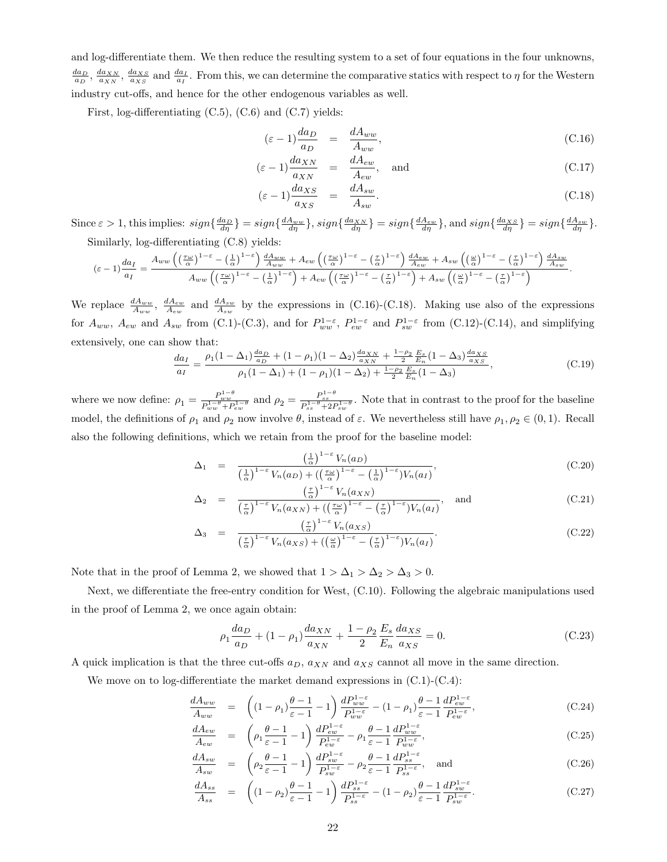and log-differentiate them. We then reduce the resulting system to a set of four equations in the four unknowns,  $\frac{da_D}{a_D}$ ,  $\frac{da_{NN}}{a_{NN}}$ ,  $\frac{da_{NS}}{a_{NS}}$  and  $\frac{da_I}{a_I}$ . From this, we can determine the comparative statics with respect to  $\eta$  for the Western industry cut-offs, and hence for the other endogenous variables as well.

First, log-differentiating (C.5), (C.6) and (C.7) yields:

$$
(\varepsilon - 1) \frac{da_D}{a_D} = \frac{dA_{ww}}{A_{ww}}, \tag{C.16}
$$

$$
(\varepsilon - 1) \frac{d a_{XN}}{a_{XN}} = \frac{d A_{ew}}{A_{ew}}, \text{ and}
$$
 (C.17)

$$
(\varepsilon - 1) \frac{d a_{XS}}{a_{XS}} = \frac{d A_{sw}}{A_{sw}}.
$$
\n(C.18)

Since  $\varepsilon > 1$ , this implies:  $sign\{\frac{da_D}{d\eta}\} = sign\{\frac{da_{ww}}{d\eta}\}$ ,  $sign\{\frac{da_{xN}}{d\eta}\} = sign\{\frac{dA_{ew}}{d\eta}\}$ , and  $sign\{\frac{da_{XS}}{d\eta}\} = sign\{\frac{dA_{sw}}{d\eta}\}$ . Similarly, log-differentiating (C.8) yields:

$$
(\varepsilon-1)\frac{da_I}{a_I} = \frac{A_{ww}\left(\left(\frac{\tau\omega}{\alpha}\right)^{1-\varepsilon}-\left(\frac{1}{\alpha}\right)^{1-\varepsilon}\right)\frac{dA_{ww}}{A_{ww}}+A_{ew}\left(\left(\frac{\tau\omega}{\alpha}\right)^{1-\varepsilon}-\left(\frac{\tau}{\alpha}\right)^{1-\varepsilon}\right)\frac{dA_{ew}}{A_{ew}}+A_{sw}\left(\left(\frac{\omega}{\alpha}\right)^{1-\varepsilon}-\left(\frac{\tau}{\alpha}\right)^{1-\varepsilon}\right)\frac{dA_{sw}}{A_{sw}}}{A_{ww}\left(\left(\frac{\tau\omega}{\alpha}\right)^{1-\varepsilon}-\left(\frac{1}{\alpha}\right)^{1-\varepsilon}\right)+A_{ew}\left(\left(\frac{\tau\omega}{\alpha}\right)^{1-\varepsilon}-\left(\frac{\tau}{\alpha}\right)^{1-\varepsilon}\right)+A_{sw}\left(\left(\frac{\omega}{\alpha}\right)^{1-\varepsilon}-\left(\frac{\tau}{\alpha}\right)^{1-\varepsilon}\right)}.
$$

We replace  $\frac{dA_{ww}}{A_{ww}}$ ,  $\frac{dA_{sw}}{A_{sw}}$  and  $\frac{dA_{sw}}{A_{sw}}$  by the expressions in (C.16)-(C.18). Making use also of the expressions for  $A_{ww}$ ,  $A_{ew}$  and  $A_{sw}$  from (C.1)-(C.3), and for  $P_{ww}^{1-\varepsilon}$ ,  $P_{ew}^{1-\varepsilon}$  and  $P_{sw}^{1-\varepsilon}$  from (C.12)-(C.14), and simplifying extensively, one can show that:

$$
\frac{da_I}{a_I} = \frac{\rho_1 (1 - \Delta_1) \frac{da_D}{a_D} + (1 - \rho_1)(1 - \Delta_2) \frac{da_{XN}}{a_{XN}} + \frac{1 - \rho_2}{2} \frac{E_s}{E_n} (1 - \Delta_3) \frac{da_{XS}}{a_{XS}}}{\rho_1 (1 - \Delta_1) + (1 - \rho_1)(1 - \Delta_2) + \frac{1 - \rho_2}{2} \frac{E_s}{E_n} (1 - \Delta_3)},
$$
\n(C.19)

where we now define:  $\rho_1 = \frac{P_{ww}^{1-\theta}}{P_{ww}^{1-\theta}+P_{ew}^{1-\theta}}$  and  $\rho_2 = \frac{P_{ss}^{1-\theta}}{P_{ss}^{1-\theta}+2P_{sw}^{1-\theta}}$ . Note that in contrast to the proof for the baseline model, the definitions of  $\rho_1$  and  $\rho_2$  now involve  $\theta$ , instead of  $\varepsilon$ . We nevertheless still have  $\rho_1, \rho_2 \in (0,1)$ . Recall also the following definitions, which we retain from the proof for the baseline model:

$$
\Delta_1 = \frac{\left(\frac{1}{\alpha}\right)^{1-\epsilon} V_n(a_D)}{\left(\frac{1}{\alpha}\right)^{1-\epsilon} V_n(a_D) + \left(\left(\frac{\tau\omega}{\alpha}\right)^{1-\epsilon} - \left(\frac{1}{\alpha}\right)^{1-\epsilon}\right) V_n(a_I)},\tag{C.20}
$$

$$
\Delta_2 = \frac{\left(\frac{\tau}{\alpha}\right)^{1-\epsilon} V_n(a_{XN})}{\left(\frac{\tau}{\alpha}\right)^{1-\epsilon} V_n(a_{XN}) + \left(\left(\frac{\tau\omega}{\alpha}\right)^{1-\epsilon} - \left(\frac{\tau}{\alpha}\right)^{1-\epsilon}\right) V_n(a_I)}, \text{ and } (C.21)
$$

$$
\Delta_3 = \frac{\left(\frac{\tau}{\alpha}\right)^{1-\epsilon} V_n(a_{XS})}{\left(\frac{\tau}{\alpha}\right)^{1-\epsilon} V_n(a_{XS}) + \left(\left(\frac{\omega}{\alpha}\right)^{1-\epsilon} - \left(\frac{\tau}{\alpha}\right)^{1-\epsilon}\right) V_n(a_I)}.
$$
\n(C.22)

Note that in the proof of Lemma 2, we showed that  $1 > \Delta_1 > \Delta_2 > \Delta_3 > 0$ .

Next, we differentiate the free-entry condition for West, (C.10). Following the algebraic manipulations used in the proof of Lemma 2, we once again obtain:

$$
\rho_1 \frac{da_D}{a_D} + (1 - \rho_1) \frac{da_{XN}}{a_{XN}} + \frac{1 - \rho_2}{2} \frac{E_s}{E_n} \frac{da_{XS}}{a_{XS}} = 0.
$$
 (C.23)

A quick implication is that the three cut-offs  $a_D$ ,  $a_{NN}$  and  $a_{NS}$  cannot all move in the same direction.

We move on to log-differentiate the market demand expressions in  $(C.1)$ - $(C.4)$ :

$$
\frac{dA_{ww}}{A_{ww}} = \left( (1 - \rho_1) \frac{\theta - 1}{\varepsilon - 1} - 1 \right) \frac{dP_{ww}^{1 - \varepsilon}}{P_{ww}^{1 - \varepsilon}} - (1 - \rho_1) \frac{\theta - 1}{\varepsilon - 1} \frac{dP_{ew}^{1 - \varepsilon}}{P_{ew}^{1 - \varepsilon}},\n\tag{C.24}
$$

$$
\frac{dA_{ew}}{A_{ew}} = \left(\rho_1 \frac{\theta - 1}{\varepsilon - 1} - 1\right) \frac{dP_{ew}^{1 - \varepsilon}}{P_{ew}^{1 - \varepsilon}} - \rho_1 \frac{\theta - 1}{\varepsilon - 1} \frac{dP_{ww}^{1 - \varepsilon}}{P_{ww}^{1 - \varepsilon}},\tag{C.25}
$$

$$
\frac{dA_{sw}}{A_{sw}} = \left(\rho_2 \frac{\theta - 1}{\varepsilon - 1} - 1\right) \frac{dP_{sw}^{1-\varepsilon}}{P_{sw}^{1-\varepsilon}} - \rho_2 \frac{\theta - 1}{\varepsilon - 1} \frac{dP_{ss}^{1-\varepsilon}}{P_{ss}^{1-\varepsilon}}, \text{ and } \tag{C.26}
$$

$$
\frac{dA_{ss}}{A_{ss}} = \left( (1 - \rho_2) \frac{\theta - 1}{\varepsilon - 1} - 1 \right) \frac{dP_{ss}^{1 - \varepsilon}}{P_{ss}^{1 - \varepsilon}} - (1 - \rho_2) \frac{\theta - 1}{\varepsilon - 1} \frac{dP_{sw}^{1 - \varepsilon}}{P_{sw}^{1 - \varepsilon}}.
$$
\n(C.27)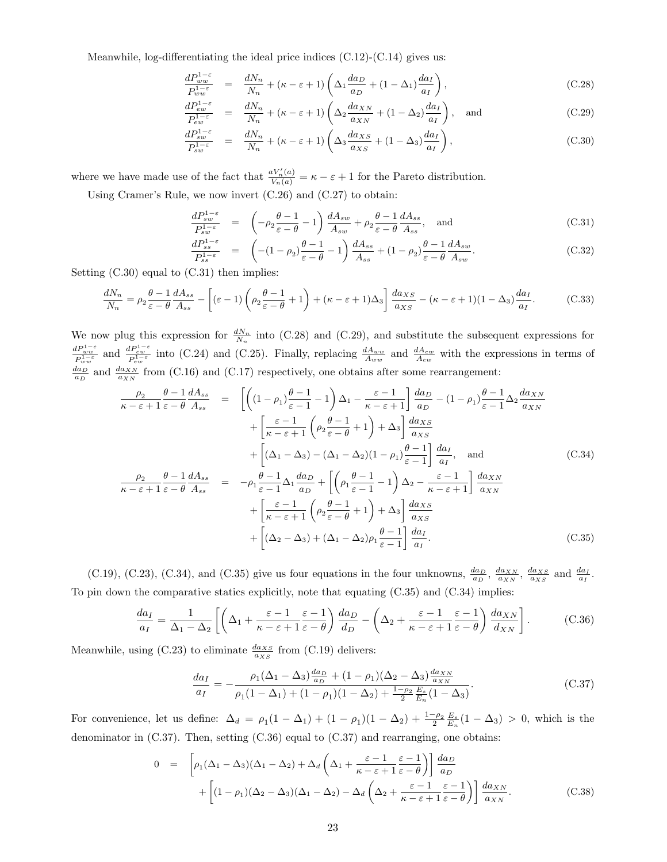Meanwhile, log-differentiating the ideal price indices  $(C.12)-(C.14)$  gives us:

$$
\frac{dP_{ww}^{1-\varepsilon}}{P_{ww}^{1-\varepsilon}} = \frac{dN_n}{N_n} + (\kappa - \varepsilon + 1) \left( \Delta_1 \frac{da_D}{a_D} + (1 - \Delta_1) \frac{da_I}{a_I} \right),\tag{C.28}
$$

$$
\frac{dP_{ew}^{1-\varepsilon}}{P_{ew}^{1-\varepsilon}} = \frac{dN_n}{N_n} + (\kappa - \varepsilon + 1) \left( \Delta_2 \frac{da_{XN}}{a_{XN}} + (1 - \Delta_2) \frac{da_I}{a_I} \right), \text{ and } (C.29)
$$

$$
\frac{dP_{sw}^{1-\varepsilon}}{P_{sw}^{1-\varepsilon}} = \frac{dN_n}{N_n} + (\kappa - \varepsilon + 1) \left( \Delta_3 \frac{da_{XS}}{a_{XS}} + (1 - \Delta_3) \frac{da_I}{a_I} \right),\tag{C.30}
$$

where we have made use of the fact that  $\frac{aV'_n(a)}{V_n(a)} = \kappa - \varepsilon + 1$  for the Pareto distribution.

Using Cramer's Rule, we now invert (C.26) and (C.27) to obtain:

$$
\frac{dP_{sw}^{1-\varepsilon}}{P_{sw}^{1-\varepsilon}} = \left(-\rho_2 \frac{\theta - 1}{\varepsilon - \theta} - 1\right) \frac{dA_{sw}}{A_{sw}} + \rho_2 \frac{\theta - 1}{\varepsilon - \theta} \frac{dA_{ss}}{A_{ss}}, \text{ and} \tag{C.31}
$$

$$
\frac{dP_{ss}^{1-\varepsilon}}{P_{ss}^{1-\varepsilon}} = \left( -(1-\rho_2) \frac{\theta-1}{\varepsilon-\theta} - 1 \right) \frac{dA_{ss}}{A_{ss}} + (1-\rho_2) \frac{\theta-1}{\varepsilon-\theta} \frac{dA_{sw}}{A_{sw}}.
$$
\n(C.32)

Setting  $(C.30)$  equal to  $(C.31)$  then implies:

$$
\frac{dN_n}{N_n} = \rho_2 \frac{\theta - 1}{\varepsilon - \theta} \frac{dA_{ss}}{A_{ss}} - \left[ (\varepsilon - 1) \left( \rho_2 \frac{\theta - 1}{\varepsilon - \theta} + 1 \right) + (\kappa - \varepsilon + 1) \Delta_3 \right] \frac{d a_{XS}}{a_{XS}} - (\kappa - \varepsilon + 1)(1 - \Delta_3) \frac{da_I}{a_I}.
$$
 (C.33)

We now plug this expression for  $\frac{dN_n}{N_n}$  into (C.28) and (C.29), and substitute the subsequent expressions for  $\frac{dP_{ww}^{1-\varepsilon}}{P_{ww}^{1-\varepsilon}}$  and  $\frac{dP_{ew}^{1-\varepsilon}}{P_{ww}^{1-\varepsilon}}$  into (C.24) and (C.25). Finally, replacing  $\frac{dA_{ww}}{A_{ww}}$  and  $\frac{dA_{ew}}{A_{ew}}$  with the expressions in terms of  $\frac{da_D}{a_D}$  and  $\frac{da_{XN}}{a_{XN}}$  from (C.16) and (C.17) respectively, one obtains after some rearrangement:

$$
\frac{\rho_2}{\kappa - \varepsilon + 1} \frac{\theta - 1}{\varepsilon - \theta} \frac{dA_{ss}}{A_{ss}} = \left[ \left( (1 - \rho_1) \frac{\theta - 1}{\varepsilon - 1} - 1 \right) \Delta_1 - \frac{\varepsilon - 1}{\kappa - \varepsilon + 1} \right] \frac{da_D}{a_D} - (1 - \rho_1) \frac{\theta - 1}{\varepsilon - 1} \Delta_2 \frac{da_{NN}}{a_{NN}} \n+ \left[ \frac{\varepsilon - 1}{\kappa - \varepsilon + 1} \left( \rho_2 \frac{\theta - 1}{\varepsilon - \theta} + 1 \right) + \Delta_3 \right] \frac{da_{NS}}{a_{NS}} \n+ \left[ (\Delta_1 - \Delta_3) - (\Delta_1 - \Delta_2)(1 - \rho_1) \frac{\theta - 1}{\varepsilon - 1} \right] \frac{da_I}{a_I}, \text{ and} \quad (C.34)
$$
\n
$$
\frac{\rho_2}{\kappa - \varepsilon + 1} \frac{\theta - 1}{\varepsilon - \theta} \frac{dA_{ss}}{A_{ss}} = -\rho_1 \frac{\theta - 1}{\varepsilon - 1} \Delta_1 \frac{da_D}{a_D} + \left[ \left( \rho_1 \frac{\theta - 1}{\varepsilon - 1} - 1 \right) \Delta_2 - \frac{\varepsilon - 1}{\kappa - \varepsilon + 1} \right] \frac{da_{NN}}{a_{NN}} \n+ \left[ \frac{\varepsilon - 1}{\kappa - \varepsilon + 1} \left( \rho_2 \frac{\theta - 1}{\varepsilon - \theta} + 1 \right) + \Delta_3 \right] \frac{da_{NS}}{a_{NS}} \n+ \left[ (\Delta_2 - \Delta_3) + (\Delta_1 - \Delta_2) \rho_1 \frac{\theta - 1}{\varepsilon - 1} \right] \frac{da_I}{a_I}. \quad (C.35)
$$

(C.19), (C.23), (C.34), and (C.35) give us four equations in the four unknowns,  $\frac{da_D}{a_D}$ ,  $\frac{da_{XN}}{a_{XN}}$ ,  $\frac{da_{XS}}{a_{XS}}$  and  $\frac{da_I}{a_I}$ . To pin down the comparative statics explicitly, note that equating (C.35) and (C.34) implies:

$$
\frac{da_I}{a_I} = \frac{1}{\Delta_1 - \Delta_2} \left[ \left( \Delta_1 + \frac{\varepsilon - 1}{\kappa - \varepsilon + 1} \frac{\varepsilon - 1}{\varepsilon - \theta} \right) \frac{da_D}{d_D} - \left( \Delta_2 + \frac{\varepsilon - 1}{\kappa - \varepsilon + 1} \frac{\varepsilon - 1}{\varepsilon - \theta} \right) \frac{da_{XN}}{d_{XN}} \right].
$$
 (C.36)

Meanwhile, using (C.23) to eliminate  $\frac{d a_{XS}}{a_{XS}}$  from (C.19) delivers:

$$
\frac{da_I}{a_I} = -\frac{\rho_1(\Delta_1 - \Delta_3)\frac{da_D}{a_D} + (1 - \rho_1)(\Delta_2 - \Delta_3)\frac{da_{XN}}{a_{XN}}}{\rho_1(1 - \Delta_1) + (1 - \rho_1)(1 - \Delta_2) + \frac{1 - \rho_2}{2}\frac{E_s}{E_n}(1 - \Delta_3)}.
$$
(C.37)

For convenience, let us define:  $\Delta_d = \rho_1(1-\Delta_1) + (1-\rho_1)(1-\Delta_2) + \frac{1-\rho_2}{2}\frac{E_s}{E_n}(1-\Delta_3) > 0$ , which is the denominator in (C.37). Then, setting (C.36) equal to (C.37) and rearranging, one obtains:

$$
0 = \left[ \rho_1 (\Delta_1 - \Delta_3)(\Delta_1 - \Delta_2) + \Delta_d \left( \Delta_1 + \frac{\varepsilon - 1}{\kappa - \varepsilon + 1} \frac{\varepsilon - 1}{\varepsilon - \theta} \right) \right] \frac{da_D}{a_D} + \left[ (1 - \rho_1)(\Delta_2 - \Delta_3)(\Delta_1 - \Delta_2) - \Delta_d \left( \Delta_2 + \frac{\varepsilon - 1}{\kappa - \varepsilon + 1} \frac{\varepsilon - 1}{\varepsilon - \theta} \right) \right] \frac{da_{XN}}{a_{XN}}.
$$
(C.38)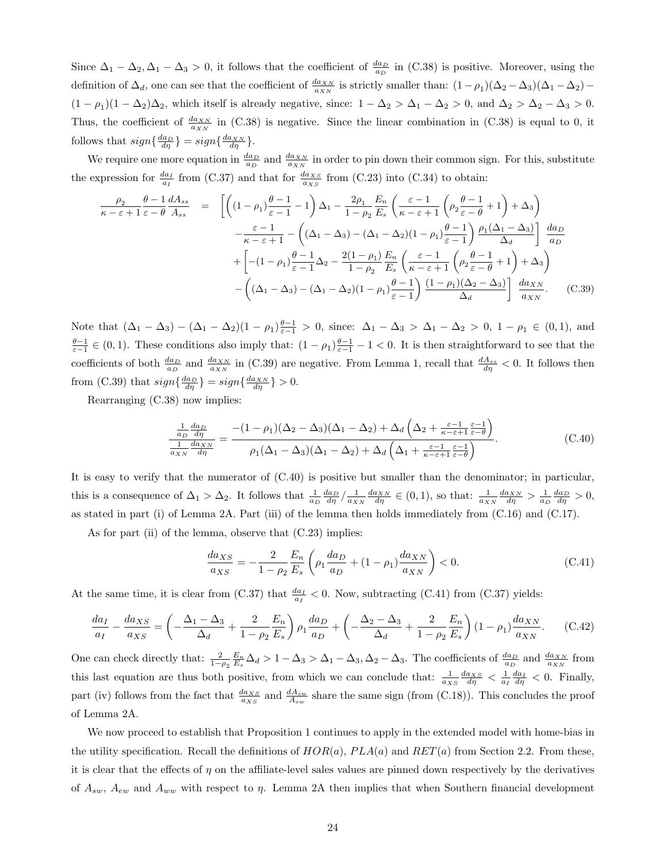Since  $\Delta_1 - \Delta_2, \Delta_1 - \Delta_3 > 0$ , it follows that the coefficient of  $\frac{da_D}{a_D}$  in (C.38) is positive. Moreover, using the definition of  $\Delta_d$ , one can see that the coefficient of  $\frac{d a_{XN}}{a_{XN}}$  is strictly smaller than:  $(1 - \rho_1)(\Delta_2 - \Delta_3)(\Delta_1 - \Delta_2)$  $(1 - \rho_1)(1 - \Delta_2)\Delta_2$ , which itself is already negative, since:  $1 - \Delta_2 > \Delta_1 - \Delta_2 > 0$ , and  $\Delta_2 > \Delta_2 - \Delta_3 > 0$ . Thus, the coefficient of  $\frac{d_{a_{NN}}}{dx_N}$  in (C.38) is negative. Since the linear combination in (C.38) is equal to 0, it follows that  $sign\{\frac{da_D}{d\eta}\}=sign\{\frac{da_{XN}}{d\eta}\}.$ 

We require one more equation in  $\frac{da_D}{a_D}$  and  $\frac{da_{XN}}{a_{XN}}$  in order to pin down their common sign. For this, substitute the expression for  $\frac{da_I}{a_I}$  from (C.37) and that for  $\frac{da_{XS}}{a_{XS}}$  from (C.23) into (C.34) to obtain:

$$
\frac{\rho_2}{\kappa - \varepsilon + 1} \frac{\theta - 1}{\varepsilon - \theta} \frac{dA_{ss}}{A_{ss}} = \left[ \left( (1 - \rho_1) \frac{\theta - 1}{\varepsilon - 1} - 1 \right) \Delta_1 - \frac{2\rho_1}{1 - \rho_2} \frac{E_n}{E_s} \left( \frac{\varepsilon - 1}{\kappa - \varepsilon + 1} \left( \rho_2 \frac{\theta - 1}{\varepsilon - \theta} + 1 \right) + \Delta_3 \right) \right. \\
\left. - \frac{\varepsilon - 1}{\kappa - \varepsilon + 1} - \left( (\Delta_1 - \Delta_3) - (\Delta_1 - \Delta_2)(1 - \rho_1) \frac{\theta - 1}{\varepsilon - 1} \right) \frac{\rho_1 (\Delta_1 - \Delta_3)}{\Delta_d} \right] \frac{d a_D}{a_D} \\
+ \left[ -(1 - \rho_1) \frac{\theta - 1}{\varepsilon - 1} \Delta_2 - \frac{2(1 - \rho_1)}{1 - \rho_2} \frac{E_n}{E_s} \left( \frac{\varepsilon - 1}{\kappa - \varepsilon + 1} \left( \rho_2 \frac{\theta - 1}{\varepsilon - \theta} + 1 \right) + \Delta_3 \right) \right. \\
\left. - \left( (\Delta_1 - \Delta_3) - (\Delta_1 - \Delta_2)(1 - \rho_1) \frac{\theta - 1}{\varepsilon - 1} \right) \frac{(1 - \rho_1)(\Delta_2 - \Delta_3)}{\Delta_d} \right] \frac{d a_{XN}}{a_{XN}}.\n\tag{C.39}
$$

Note that  $(\Delta_1 - \Delta_3) - (\Delta_1 - \Delta_2)(1 - \rho_1)\frac{\theta - 1}{\epsilon - 1} > 0$ , since:  $\Delta_1 - \Delta_3 > \Delta_1 - \Delta_2 > 0$ ,  $1 - \rho_1 \in (0, 1)$ , and  $\frac{\theta-1}{\varepsilon-1} \in (0,1)$ . These conditions also imply that:  $(1-\rho_1)\frac{\theta-1}{\varepsilon-1} - 1 < 0$ . It is then straightforward to see that the coefficients of both  $\frac{da_D}{a_D}$  and  $\frac{da_{XN}}{a_{XN}}$  in (C.39) are negative. From Lemma 1, recall that  $\frac{dA_{ss}}{d\eta} < 0$ . It follows then from (C.39) that  $sign\{\frac{da_D}{d\eta}\}=sign\{\frac{da_{XN}}{d\eta}\}>0.$ 

Rearranging (C.38) now implies:

$$
\frac{\frac{1}{a_D}\frac{da_D}{d\eta}}{\frac{1}{a_{XN}}\frac{da_{XN}}{d\eta}} = \frac{-(1-\rho_1)(\Delta_2-\Delta_3)(\Delta_1-\Delta_2)+\Delta_d\left(\Delta_2+\frac{\varepsilon-1}{\kappa-\varepsilon+1}\frac{\varepsilon-1}{\varepsilon-\theta}\right)}{\rho_1(\Delta_1-\Delta_3)(\Delta_1-\Delta_2)+\Delta_d\left(\Delta_1+\frac{\varepsilon-1}{\kappa-\varepsilon+1}\frac{\varepsilon-1}{\varepsilon-\theta}\right)}.
$$
(C.40)

It is easy to verify that the numerator of (C.40) is positive but smaller than the denominator; in particular, this is a consequence of  $\Delta_1 > \Delta_2$ . It follows that  $\frac{1}{a_D} \frac{da_D}{d\eta} / \frac{1}{a_{XN}} \frac{da_{XN}}{d\eta} \in (0,1)$ , so that:  $\frac{1}{a_{XN}} \frac{da_{XN}}{d\eta} > \frac{1}{a_D} \frac{da_D}{d\eta} > 0$ , as stated in part (i) of Lemma 2A. Part (iii) of the lemma then holds immediately from (C.16) and (C.17).

As for part (ii) of the lemma, observe that  $(C.23)$  implies:

$$
\frac{da_{XS}}{a_{XS}} = -\frac{2}{1 - \rho_2} \frac{E_n}{E_s} \left( \rho_1 \frac{da_D}{a_D} + (1 - \rho_1) \frac{da_{XN}}{a_{XN}} \right) < 0. \tag{C.41}
$$

At the same time, it is clear from (C.37) that  $\frac{da_I}{a_I} < 0$ . Now, subtracting (C.41) from (C.37) yields:

$$
\frac{da_I}{a_I} - \frac{da_{XS}}{a_{XS}} = \left(-\frac{\Delta_1 - \Delta_3}{\Delta_d} + \frac{2}{1 - \rho_2} \frac{E_n}{E_s}\right) \rho_1 \frac{da_D}{a_D} + \left(-\frac{\Delta_2 - \Delta_3}{\Delta_d} + \frac{2}{1 - \rho_2} \frac{E_n}{E_s}\right) (1 - \rho_1) \frac{da_{XN}}{a_{XN}}.\tag{C.42}
$$

One can check directly that:  $\frac{2}{1-\rho_2} \frac{E_n}{E_s} \Delta_d > 1 - \Delta_3 > \Delta_1 - \Delta_3$ ,  $\Delta_2 - \Delta_3$ . The coefficients of  $\frac{da_D}{a_D}$  and  $\frac{da_{NN}}{a_{NN}}$  from this last equation are thus both positive, from which we can conclude that:  $\frac{1}{a_{XS}} \frac{da_{XS}}{d\eta} < \frac{1}{a_I} \frac{da_I}{d\eta} < 0$ . Finally, part (iv) follows from the fact that  $\frac{da_{XS}}{a_{XS}}$  and  $\frac{dA_{sw}}{A_{sw}}$  share the same sign (from (C.18)). This concludes the proof of Lemma 2A.

We now proceed to establish that Proposition 1 continues to apply in the extended model with home-bias in the utility specification. Recall the definitions of  $HOR(a)$ ,  $PLA(a)$  and  $RET(a)$  from Section 2.2. From these, it is clear that the effects of  $\eta$  on the affiliate-level sales values are pinned down respectively by the derivatives of  $A_{sw}$ ,  $A_{ew}$  and  $A_{ww}$  with respect to  $\eta$ . Lemma 2A then implies that when Southern financial development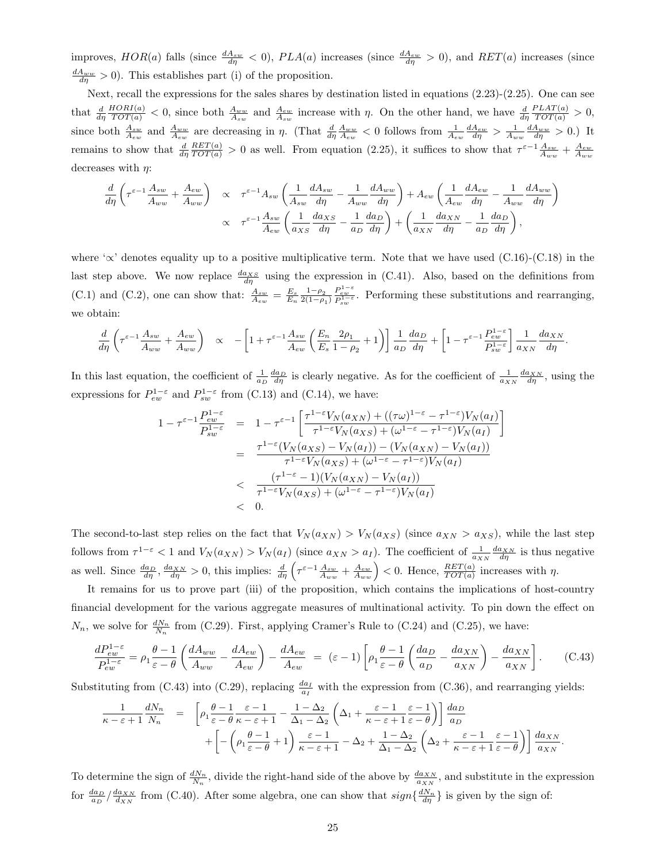improves,  $HOR(a)$  falls (since  $\frac{dA_{sw}}{d\eta} < 0$ ),  $PLA(a)$  increases (since  $\frac{dA_{ew}}{d\eta} > 0$ ), and  $RET(a)$  increases (since  $\frac{dA_{ww}}{d\eta} > 0$ . This establishes part (i) of the proposition.

Next, recall the expressions for the sales shares by destination listed in equations (2.23)-(2.25). One can see that  $\frac{d}{d\eta}$  $\frac{HORI(a)}{TOT(a)} < 0$ , since both  $\frac{A_{ww}}{A_{sw}}$  and  $\frac{A_{ew}}{A_{sw}}$  increase with  $\eta$ . On the other hand, we have  $\frac{d}{d\eta}$  $\frac{PLAT(a)}{TOT(a)} > 0,$ since both  $\frac{A_{sw}}{A_{ew}}$  and  $\frac{A_{ww}}{A_{ew}}$  are decreasing in  $\eta$ . (That  $\frac{d}{d\eta}\frac{A_{ww}}{A_{ew}} < 0$  follows from  $\frac{1}{A_{ew}}\frac{dA_{ew}}{d\eta} > \frac{1}{A_{ww}}\frac{dA_{ww}}{d\eta} > 0$ .) It remains to show that  $\frac{d}{d\eta}$  $\frac{RET(a)}{TOT(a)} > 0$  as well. From equation (2.25), it suffices to show that  $\tau^{\varepsilon-1} \frac{A_{sw}}{A_{ww}} + \frac{A_{ew}}{A_{ww}}$ decreases with  $\eta$ :

$$
\frac{d}{d\eta} \left( \tau^{\varepsilon-1} \frac{A_{sw}}{A_{ww}} + \frac{A_{ew}}{A_{ww}} \right) \propto \tau^{\varepsilon-1} A_{sw} \left( \frac{1}{A_{sw}} \frac{dA_{sw}}{d\eta} - \frac{1}{A_{ww}} \frac{dA_{ww}}{d\eta} \right) + A_{ew} \left( \frac{1}{A_{ew}} \frac{dA_{ew}}{d\eta} - \frac{1}{A_{ww}} \frac{dA_{ww}}{d\eta} \right)
$$

$$
\propto \tau^{\varepsilon-1} \frac{A_{sw}}{A_{ew}} \left( \frac{1}{a_{XS}} \frac{d a_{XS}}{d\eta} - \frac{1}{a_D} \frac{d a_D}{d\eta} \right) + \left( \frac{1}{a_{XN}} \frac{d a_{XN}}{d\eta} - \frac{1}{a_D} \frac{d a_D}{d\eta} \right),
$$

where ' $\propto$ ' denotes equality up to a positive multiplicative term. Note that we have used (C.16)-(C.18) in the last step above. We now replace  $\frac{da_{XS}}{d\eta}$  using the expression in (C.41). Also, based on the definitions from (C.1) and (C.2), one can show that:  $\frac{A_{sw}}{A_{ew}} = \frac{E_s}{E_n} \frac{1-\rho_2}{2(1-\rho_1)}$  $2(1-\rho_1)$  $\frac{P_{ew}^{1-e}}{P_{sw}^{1-e}}$ . Performing these substitutions and rearranging, we obtain:

$$
\frac{d}{d\eta} \left( \tau^{\varepsilon-1} \frac{A_{sw}}{A_{ww}} + \frac{A_{ew}}{A_{ww}} \right) \quad \propto \quad -\left[ 1 + \tau^{\varepsilon-1} \frac{A_{sw}}{A_{ew}} \left( \frac{E_n}{E_s} \frac{2\rho_1}{1-\rho_2} + 1 \right) \right] \frac{1}{a_D} \frac{da_D}{d\eta} + \left[ 1 - \tau^{\varepsilon-1} \frac{P_{ew}^{1-\varepsilon}}{P_{sw}^{1-\varepsilon}} \right] \frac{1}{a_{XN}} \frac{da_{XN}}{d\eta}.
$$

In this last equation, the coefficient of  $\frac{1}{a_D} \frac{da_D}{d\eta}$  is clearly negative. As for the coefficient of  $\frac{1}{a_{NN}} \frac{da_{NN}}{d\eta}$ , using the expressions for  $P_{ew}^{1-\varepsilon}$  and  $P_{sw}^{1-\varepsilon}$  from (C.13) and (C.14), we have:

$$
1 - \tau^{\varepsilon - 1} \frac{P_{ew}^{1 - \varepsilon}}{P_{sw}^{1 - \varepsilon}} = 1 - \tau^{\varepsilon - 1} \left[ \frac{\tau^{1 - \varepsilon} V_N(a_{XN}) + ((\tau \omega)^{1 - \varepsilon} - \tau^{1 - \varepsilon}) V_N(a_I)}{\tau^{1 - \varepsilon} V_N(a_{XS}) + (\omega^{1 - \varepsilon} - \tau^{1 - \varepsilon}) V_N(a_I)} \right]
$$
  

$$
= \frac{\tau^{1 - \varepsilon} (V_N(a_{XS}) - V_N(a_I)) - (V_N(a_{XN}) - V_N(a_I))}{\tau^{1 - \varepsilon} V_N(a_{XS}) + (\omega^{1 - \varepsilon} - \tau^{1 - \varepsilon}) V_N(a_I)}
$$
  

$$
< \frac{(\tau^{1 - \varepsilon} - 1)(V_N(a_{XN}) - V_N(a_I))}{\tau^{1 - \varepsilon} V_N(a_{XS}) + (\omega^{1 - \varepsilon} - \tau^{1 - \varepsilon}) V_N(a_I)}
$$
  

$$
< 0.
$$

The second-to-last step relies on the fact that  $V_N(a_{XN}) > V_N(a_{XS})$  (since  $a_{XN} > a_{XS}$ ), while the last step follows from  $\tau^{1-\varepsilon} < 1$  and  $V_N(a_{XN}) > V_N(a_I)$  (since  $a_{XN} > a_I$ ). The coefficient of  $\frac{1}{a_{XN}} \frac{da_{XN}}{d\eta}$  is thus negative as well. Since  $\frac{da_D}{d\eta}$ ,  $\frac{da_{XN}}{d\eta} > 0$ , this implies:  $\frac{d}{d\eta} \left( \tau^{\varepsilon-1} \frac{A_{sw}}{A_{ww}} + \frac{A_{ew}}{A_{ww}} \right) < 0$ . Hence,  $\frac{RET(a)}{TOT(a)}$  increases with  $\eta$ .

It remains for us to prove part (iii) of the proposition, which contains the implications of host-country financial development for the various aggregate measures of multinational activity. To pin down the effect on  $N_n$ , we solve for  $\frac{dN_n}{N_n}$  from (C.29). First, applying Cramer's Rule to (C.24) and (C.25), we have:

$$
\frac{dP_{ew}^{1-\varepsilon}}{P_{ew}^{1-\varepsilon}} = \rho_1 \frac{\theta - 1}{\varepsilon - \theta} \left( \frac{dA_{ww}}{A_{ww}} - \frac{dA_{ew}}{A_{ew}} \right) - \frac{dA_{ew}}{A_{ew}} = (\varepsilon - 1) \left[ \rho_1 \frac{\theta - 1}{\varepsilon - \theta} \left( \frac{da_D}{a_D} - \frac{da_{XN}}{a_{XN}} \right) - \frac{da_{XN}}{a_{XN}} \right].
$$
 (C.43)

Substituting from (C.43) into (C.29), replacing  $\frac{da_I}{a_I}$  with the expression from (C.36), and rearranging yields:

$$
\frac{1}{\kappa - \varepsilon + 1} \frac{dN_n}{N_n} = \left[ \rho_1 \frac{\theta - 1}{\varepsilon - \theta} \frac{\varepsilon - 1}{\kappa - \varepsilon + 1} - \frac{1 - \Delta_2}{\Delta_1 - \Delta_2} \left( \Delta_1 + \frac{\varepsilon - 1}{\kappa - \varepsilon + 1} \frac{\varepsilon - 1}{\varepsilon - \theta} \right) \right] \frac{da_D}{a_D} + \left[ -\left( \rho_1 \frac{\theta - 1}{\varepsilon - \theta} + 1 \right) \frac{\varepsilon - 1}{\kappa - \varepsilon + 1} - \Delta_2 + \frac{1 - \Delta_2}{\Delta_1 - \Delta_2} \left( \Delta_2 + \frac{\varepsilon - 1}{\kappa - \varepsilon + 1} \frac{\varepsilon - 1}{\varepsilon - \theta} \right) \right] \frac{da_{NN}}{a_{NN}}.
$$

To determine the sign of  $\frac{dN_n}{N_n}$ , divide the right-hand side of the above by  $\frac{d a_{NN}}{a_{NN}}$ , and substitute in the expression for  $\frac{da_D}{a_D}/\frac{da_{XN}}{d_{XN}}$  from (C.40). After some algebra, one can show that  $sign\left\{\frac{dN_n}{d\eta}\right\}$  is given by the sign of: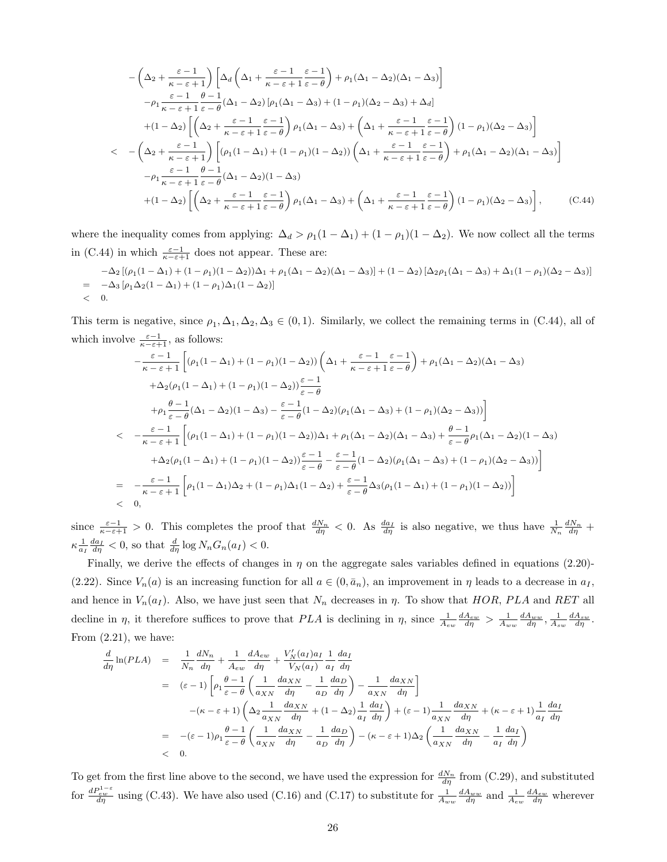$$
-\left(\Delta_{2} + \frac{\varepsilon - 1}{\kappa - \varepsilon + 1}\right) \left[\Delta_{d}\left(\Delta_{1} + \frac{\varepsilon - 1}{\kappa - \varepsilon + 1} \frac{\varepsilon - 1}{\varepsilon - \theta}\right) + \rho_{1}(\Delta_{1} - \Delta_{2})(\Delta_{1} - \Delta_{3})\right]
$$
  
\n
$$
-\rho_{1} \frac{\varepsilon - 1}{\kappa - \varepsilon + 1} \frac{\theta - 1}{\varepsilon - \theta} (\Delta_{1} - \Delta_{2}) \left[\rho_{1}(\Delta_{1} - \Delta_{3}) + (1 - \rho_{1})(\Delta_{2} - \Delta_{3}) + \Delta_{d}\right]
$$
  
\n
$$
+(1 - \Delta_{2}) \left[\left(\Delta_{2} + \frac{\varepsilon - 1}{\kappa - \varepsilon + 1} \frac{\varepsilon - 1}{\varepsilon - \theta}\right) \rho_{1}(\Delta_{1} - \Delta_{3}) + \left(\Delta_{1} + \frac{\varepsilon - 1}{\kappa - \varepsilon + 1} \frac{\varepsilon - 1}{\varepsilon - \theta}\right) (1 - \rho_{1})(\Delta_{2} - \Delta_{3})\right]
$$
  
\n
$$
< -\left(\Delta_{2} + \frac{\varepsilon - 1}{\kappa - \varepsilon + 1}\right) \left[(\rho_{1}(1 - \Delta_{1}) + (1 - \rho_{1})(1 - \Delta_{2}))\left(\Delta_{1} + \frac{\varepsilon - 1}{\kappa - \varepsilon + 1} \frac{\varepsilon - 1}{\varepsilon - \theta}\right) + \rho_{1}(\Delta_{1} - \Delta_{2})(\Delta_{1} - \Delta_{3})\right]
$$
  
\n
$$
-\rho_{1} \frac{\varepsilon - 1}{\kappa - \varepsilon + 1} \frac{\theta - 1}{\varepsilon - \theta} (\Delta_{1} - \Delta_{2})(1 - \Delta_{3})
$$
  
\n
$$
+(1 - \Delta_{2}) \left[\left(\Delta_{2} + \frac{\varepsilon - 1}{\kappa - \varepsilon + 1} \frac{\varepsilon - 1}{\varepsilon - \theta}\right) \rho_{1}(\Delta_{1} - \Delta_{3}) + \left(\Delta_{1} + \frac{\varepsilon - 1}{\kappa - \varepsilon + 1} \frac{\varepsilon - 1}{\varepsilon - \theta}\right) (1
$$

where the inequality comes from applying:  $\Delta_d > \rho_1(1-\Delta_1) + (1-\rho_1)(1-\Delta_2)$ . We now collect all the terms in (C.44) in which  $\frac{\varepsilon-1}{\kappa-\varepsilon+1}$  does not appear. These are:

$$
\begin{aligned}\n-\Delta_2 \left[ (\rho_1 (1 - \Delta_1) + (1 - \rho_1)(1 - \Delta_2))\Delta_1 + \rho_1 (\Delta_1 - \Delta_2)(\Delta_1 - \Delta_3) \right] + (1 - \Delta_2) \left[ \Delta_2 \rho_1 (\Delta_1 - \Delta_3) + \Delta_1 (1 - \rho_1)(\Delta_2 - \Delta_3) \right] \\
= -\Delta_3 \left[ \rho_1 \Delta_2 (1 - \Delta_1) + (1 - \rho_1)\Delta_1 (1 - \Delta_2) \right] \\
< 0.\n\end{aligned}
$$

This term is negative, since  $\rho_1, \Delta_1, \Delta_2, \Delta_3 \in (0,1)$ . Similarly, we collect the remaining terms in (C.44), all of which involve  $\frac{\varepsilon-1}{\kappa-\varepsilon+1}$ , as follows:

$$
-\frac{\varepsilon-1}{\kappa-\varepsilon+1}\left[ (\rho_1(1-\Delta_1)+(1-\rho_1)(1-\Delta_2))\left(\Delta_1+\frac{\varepsilon-1}{\kappa-\varepsilon+1}\frac{\varepsilon-1}{\varepsilon-\theta}\right)+\rho_1(\Delta_1-\Delta_2)(\Delta_1-\Delta_3) \right.\\ \left. +\Delta_2(\rho_1(1-\Delta_1)+(1-\rho_1)(1-\Delta_2))\frac{\varepsilon-1}{\varepsilon-\theta}\right.\\ \left. +\rho_1\frac{\theta-1}{\varepsilon-\theta}(\Delta_1-\Delta_2)(1-\Delta_3)-\frac{\varepsilon-1}{\varepsilon-\theta}(1-\Delta_2)(\rho_1(\Delta_1-\Delta_3)+(1-\rho_1)(\Delta_2-\Delta_3))\right]\\ < -\frac{\varepsilon-1}{\kappa-\varepsilon+1}\left[ (\rho_1(1-\Delta_1)+(1-\rho_1)(1-\Delta_2))\Delta_1+\rho_1(\Delta_1-\Delta_2)(\Delta_1-\Delta_3)+\frac{\theta-1}{\varepsilon-\theta}\rho_1(\Delta_1-\Delta_2)(1-\Delta_3) \right.\\ \left. +\Delta_2(\rho_1(1-\Delta_1)+(1-\rho_1)(1-\Delta_2))\frac{\varepsilon-1}{\varepsilon-\theta}-\frac{\varepsilon-1}{\varepsilon-\theta}(1-\Delta_2)(\rho_1(\Delta_1-\Delta_3)+(1-\rho_1)(\Delta_2-\Delta_3))\right]\\ = -\frac{\varepsilon-1}{\kappa-\varepsilon+1}\left[\rho_1(1-\Delta_1)\Delta_2+(1-\rho_1)\Delta_1(1-\Delta_2)+\frac{\varepsilon-1}{\varepsilon-\theta}\Delta_3(\rho_1(1-\Delta_1)+(1-\rho_1)(1-\Delta_2))\right]\\ < 0,
$$

since  $\frac{\varepsilon-1}{\kappa-\varepsilon+1} > 0$ . This completes the proof that  $\frac{dN_n}{d\eta} < 0$ . As  $\frac{da_I}{d\eta}$  is also negative, we thus have  $\frac{1}{N_n} \frac{dN_n}{d\eta}$  +  $\kappa \frac{1}{a_I} \frac{da_I}{d\eta} < 0$ , so that  $\frac{d}{d\eta} \log N_n G_n(a_I) < 0$ .

Finally, we derive the effects of changes in  $\eta$  on the aggregate sales variables defined in equations (2.20)-(2.22). Since  $V_n(a)$  is an increasing function for all  $a \in (0, \bar{a}_n)$ , an improvement in  $\eta$  leads to a decrease in  $a_I$ , and hence in  $V_n(a_I)$ . Also, we have just seen that  $N_n$  decreases in  $\eta$ . To show that HOR, PLA and RET all decline in  $\eta$ , it therefore suffices to prove that PLA is declining in  $\eta$ , since  $\frac{1}{A_{ew}} \frac{dA_{ew}}{d\eta} > \frac{1}{A_{ww}} \frac{dA_{sw}}{d\eta}$ ,  $\frac{1}{A_{sw}} \frac{dA_{sw}}{d\eta}$ . From  $(2.21)$ , we have:

$$
\frac{d}{d\eta} \ln(PLA) = \frac{1}{N_n} \frac{dN_n}{d\eta} + \frac{1}{A_{ew}} \frac{dA_{ew}}{d\eta} + \frac{V_N'(a_I)a_I}{V_N(a_I)} \frac{1}{a_I} \frac{da_I}{d\eta}
$$
\n
$$
= (\varepsilon - 1) \left[ \rho_1 \frac{\theta - 1}{\varepsilon - \theta} \left( \frac{1}{a_{XN}} \frac{da_{XN}}{d\eta} - \frac{1}{a_D} \frac{da_D}{d\eta} \right) - \frac{1}{a_{XN}} \frac{da_{XN}}{d\eta} \right]
$$
\n
$$
-(\kappa - \varepsilon + 1) \left( \Delta_2 \frac{1}{a_{XN}} \frac{da_{XN}}{d\eta} + (1 - \Delta_2) \frac{1}{a_I} \frac{da_I}{d\eta} \right) + (\varepsilon - 1) \frac{1}{a_{XN}} \frac{da_{XN}}{d\eta} + (\kappa - \varepsilon + 1) \frac{1}{a_I} \frac{da_I}{d\eta}
$$
\n
$$
= -(\varepsilon - 1)\rho_1 \frac{\theta - 1}{\varepsilon - \theta} \left( \frac{1}{a_{XN}} \frac{da_{XN}}{d\eta} - \frac{1}{a_D} \frac{da_D}{d\eta} \right) - (\kappa - \varepsilon + 1)\Delta_2 \left( \frac{1}{a_{XN}} \frac{da_{XN}}{d\eta} - \frac{1}{a_I} \frac{da_I}{d\eta} \right)
$$
\n
$$
< 0.
$$

To get from the first line above to the second, we have used the expression for  $\frac{dN_n}{d\eta}$  from (C.29), and substituted for  $\frac{dP_{ew}^{1-e}}{d\eta}$  using (C.43). We have also used (C.16) and (C.17) to substitute for  $\frac{1}{A_{ww}}\frac{dA_{ww}}{d\eta}$  and  $\frac{1}{A_{ew}}\frac{dA_{ew}}{d\eta}$  wherever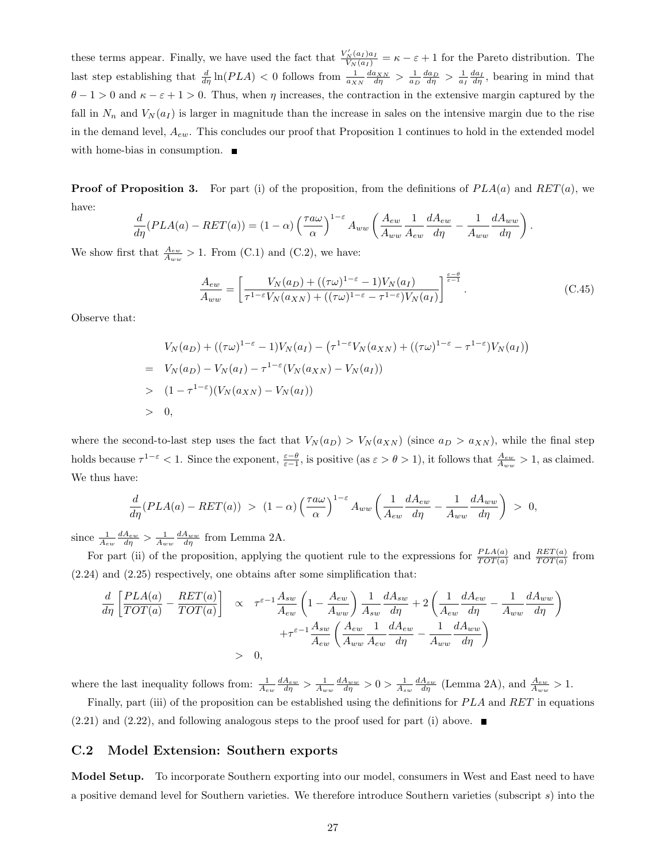these terms appear. Finally, we have used the fact that  $\frac{V'_N(a_I)a_I}{V_N(a_I)} = \kappa - \varepsilon + 1$  for the Pareto distribution. The last step establishing that  $\frac{d}{d\eta} \ln(PLA) < 0$  follows from  $\frac{1}{a_{XN}} \frac{da_{XN}}{d\eta} > \frac{1}{a_D} \frac{da_D}{d\eta} > \frac{1}{a_I} \frac{da_I}{d\eta}$ , bearing in mind that  $\theta - 1 > 0$  and  $\kappa - \varepsilon + 1 > 0$ . Thus, when  $\eta$  increases, the contraction in the extensive margin captured by the fall in  $N_n$  and  $V_N(a_I)$  is larger in magnitude than the increase in sales on the intensive margin due to the rise in the demand level,  $A_{ew}$ . This concludes our proof that Proposition 1 continues to hold in the extended model with home-bias in consumption.  $\blacksquare$ 

**Proof of Proposition 3.** For part (i) of the proposition, from the definitions of  $PLA(a)$  and  $RET(a)$ , we have:

$$
\frac{d}{d\eta}(PLA(a) - RET(a)) = (1 - \alpha) \left(\frac{\tau a\omega}{\alpha}\right)^{1-\varepsilon} A_{ww} \left(\frac{A_{ew}}{A_{ww}}\frac{1}{A_{ew}}\frac{dA_{ew}}{d\eta} - \frac{1}{A_{ww}}\frac{dA_{ww}}{d\eta}\right).
$$

We show first that  $\frac{A_{ew}}{A_{ww}} > 1$ . From (C.1) and (C.2), we have:

$$
\frac{A_{ew}}{A_{ww}} = \left[\frac{V_N(a_D) + ((\tau\omega)^{1-\epsilon} - 1)V_N(a_I)}{\tau^{1-\epsilon}V_N(a_{XN}) + ((\tau\omega)^{1-\epsilon} - \tau^{1-\epsilon})V_N(a_I)}\right]^{\frac{\epsilon-\theta}{\epsilon-1}}.
$$
\n(C.45)

Observe that:

$$
V_N(a_D) + ((\tau \omega)^{1-\epsilon} - 1)V_N(a_I) - (\tau^{1-\epsilon} V_N(a_{XN}) + ((\tau \omega)^{1-\epsilon} - \tau^{1-\epsilon})V_N(a_I))
$$
  
=  $V_N(a_D) - V_N(a_I) - \tau^{1-\epsilon}(V_N(a_{XN}) - V_N(a_I))$   
>  $(1 - \tau^{1-\epsilon})(V_N(a_{XN}) - V_N(a_I))$   
> 0,

where the second-to-last step uses the fact that  $V_N(a_D) > V_N(a_{XN})$  (since  $a_D > a_{XN}$ ), while the final step holds because  $\tau^{1-\varepsilon} < 1$ . Since the exponent,  $\frac{\varepsilon-\theta}{\varepsilon-1}$ , is positive (as  $\varepsilon > \theta > 1$ ), it follows that  $\frac{A_{ew}}{A_{ww}} > 1$ , as claimed. We thus have:

$$
\frac{d}{d\eta}(PLA(a) - RET(a)) > (1 - \alpha) \left(\frac{\tau a\omega}{\alpha}\right)^{1-\varepsilon} A_{ww} \left(\frac{1}{A_{ew}}\frac{dA_{ew}}{d\eta} - \frac{1}{A_{ww}}\frac{dA_{ww}}{d\eta}\right) > 0,
$$

since  $\frac{1}{A_{ew}} \frac{dA_{ew}}{d\eta} > \frac{1}{A_{ww}} \frac{dA_{ww}}{d\eta}$  from Lemma 2A.

For part (ii) of the proposition, applying the quotient rule to the expressions for  $\frac{PLA(a)}{TOT(a)}$  and  $\frac{RET(a)}{TOT(a)}$  from (2.24) and (2.25) respectively, one obtains after some simplification that:

$$
\frac{d}{d\eta} \left[ \frac{PLA(a)}{TOT(a)} - \frac{RET(a)}{TOT(a)} \right] \propto \tau^{\varepsilon - 1} \frac{A_{sw}}{A_{ew}} \left( 1 - \frac{A_{ew}}{A_{ww}} \right) \frac{1}{A_{sw}} \frac{dA_{sw}}{d\eta} + 2 \left( \frac{1}{A_{ew}} \frac{dA_{ew}}{d\eta} - \frac{1}{A_{ww}} \frac{dA_{ww}}{d\eta} \right) + \tau^{\varepsilon - 1} \frac{A_{sw}}{A_{ew}} \left( \frac{A_{ew}}{A_{ww}} \frac{1}{A_{ew}} \frac{dA_{ew}}{d\eta} - \frac{1}{A_{ww}} \frac{dA_{ww}}{d\eta} \right)
$$
\n
$$
> 0,
$$

where the last inequality follows from:  $\frac{1}{A_{ew}} \frac{dA_{ew}}{d\eta} > \frac{1}{A_{ww}} \frac{dA_{ww}}{d\eta} > 0 > \frac{1}{A_{sw}} \frac{dA_{sw}}{d\eta}$  (Lemma 2A), and  $\frac{A_{ew}}{A_{ww}} > 1$ . Finally, part (iii) of the proposition can be established using the definitions for  $PLA$  and  $RET$  in equations

 $(2.21)$  and  $(2.22)$ , and following analogous steps to the proof used for part (i) above.

### C.2 Model Extension: Southern exports

Model Setup. To incorporate Southern exporting into our model, consumers in West and East need to have a positive demand level for Southern varieties. We therefore introduce Southern varieties (subscript s) into the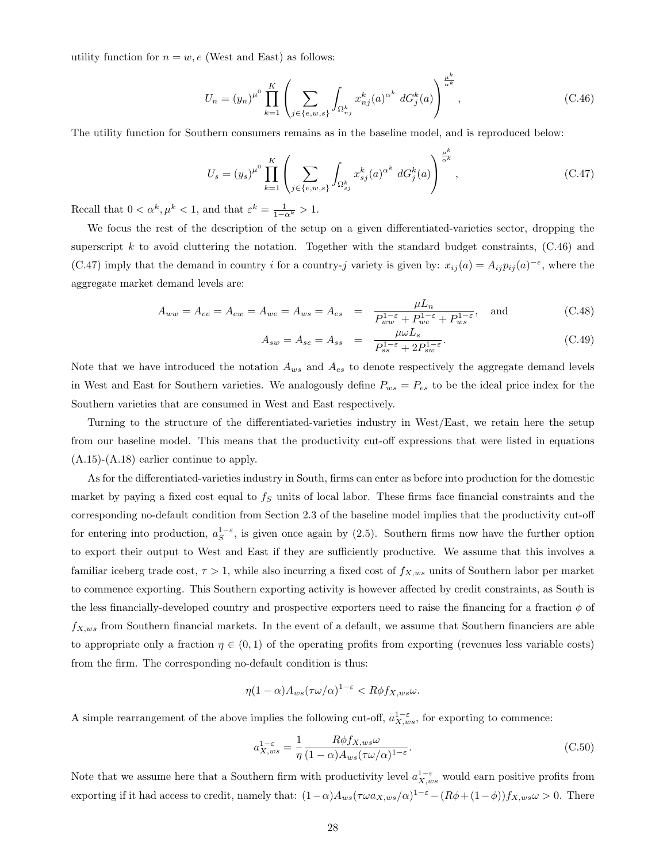utility function for  $n = w, e$  (West and East) as follows:

$$
U_n = (y_n)^{\mu^0} \prod_{k=1}^K \left( \sum_{j \in \{e, w, s\}} \int_{\Omega_{nj}^k} x_{nj}^k(a)^{\alpha^k} dG_j^k(a) \right)^{\frac{\mu^k}{\alpha^k}}, \tag{C.46}
$$

The utility function for Southern consumers remains as in the baseline model, and is reproduced below:

$$
U_s = (y_s)^{\mu^0} \prod_{k=1}^K \left( \sum_{j \in \{e,w,s\}} \int_{\Omega_{sj}^k} x_{sj}^k(a)^{\alpha^k} dG_j^k(a) \right)^{\frac{\mu^k}{\alpha^k}}, \tag{C.47}
$$

Recall that  $0 < \alpha^k, \mu^k < 1$ , and that  $\varepsilon^k = \frac{1}{1 - \alpha^k} > 1$ .

We focus the rest of the description of the setup on a given differentiated-varieties sector, dropping the superscript k to avoid cluttering the notation. Together with the standard budget constraints,  $(C.46)$  and (C.47) imply that the demand in country i for a country-j variety is given by:  $x_{ij}(a) = A_{ij} p_{ij}(a)^{-\epsilon}$ , where the aggregate market demand levels are:

$$
A_{ww} = A_{ee} = A_{ew} = A_{we} = A_{ws} = A_{es} = \frac{\mu L_n}{P_{ww}^{1-\varepsilon} + P_{we}^{1-\varepsilon} + P_{ws}^{1-\varepsilon}}, \text{ and } (C.48)
$$

$$
A_{sw} = A_{se} = A_{ss} = \frac{\mu \omega L_s}{P_{ss}^{1-\varepsilon} + 2P_{sw}^{1-\varepsilon}}.
$$
\n(C.49)

Note that we have introduced the notation  $A_{ws}$  and  $A_{es}$  to denote respectively the aggregate demand levels in West and East for Southern varieties. We analogously define  $P_{ws} = P_{es}$  to be the ideal price index for the Southern varieties that are consumed in West and East respectively.

Turning to the structure of the differentiated-varieties industry in West/East, we retain here the setup from our baseline model. This means that the productivity cut-off expressions that were listed in equations (A.15)-(A.18) earlier continue to apply.

As for the differentiated-varieties industry in South, firms can enter as before into production for the domestic market by paying a fixed cost equal to  $f<sub>S</sub>$  units of local labor. These firms face financial constraints and the corresponding no-default condition from Section 2.3 of the baseline model implies that the productivity cut-off for entering into production,  $a_S^{1-\varepsilon}$ , is given once again by (2.5). Southern firms now have the further option to export their output to West and East if they are sufficiently productive. We assume that this involves a familiar iceberg trade cost,  $\tau > 1$ , while also incurring a fixed cost of  $f_{X,ws}$  units of Southern labor per market to commence exporting. This Southern exporting activity is however affected by credit constraints, as South is the less financially-developed country and prospective exporters need to raise the financing for a fraction  $\phi$  of  $f_{X,ws}$  from Southern financial markets. In the event of a default, we assume that Southern financiers are able to appropriate only a fraction  $\eta \in (0,1)$  of the operating profits from exporting (revenues less variable costs) from the firm. The corresponding no-default condition is thus:

$$
\eta(1-\alpha)A_{ws}(\tau\omega/\alpha)^{1-\varepsilon} < R\phi f_{X,ws}\omega.
$$

A simple rearrangement of the above implies the following cut-off,  $a_{X,ws}^{1-\varepsilon}$ , for exporting to commence:

$$
a_{X,ws}^{1-\varepsilon} = \frac{1}{\eta} \frac{R\phi f_{X,ws}\omega}{(1-\alpha)A_{ws}(\tau\omega/\alpha)^{1-\varepsilon}}.
$$
\n(C.50)

Note that we assume here that a Southern firm with productivity level  $a_{X,ws}^{1-\varepsilon}$  would earn positive profits from exporting if it had access to credit, namely that:  $(1-\alpha)A_{ws}(\tau\omega a_{X,ws}/\alpha)^{1-\epsilon}-(R\phi+(1-\phi))f_{X,ws}\omega>0$ . There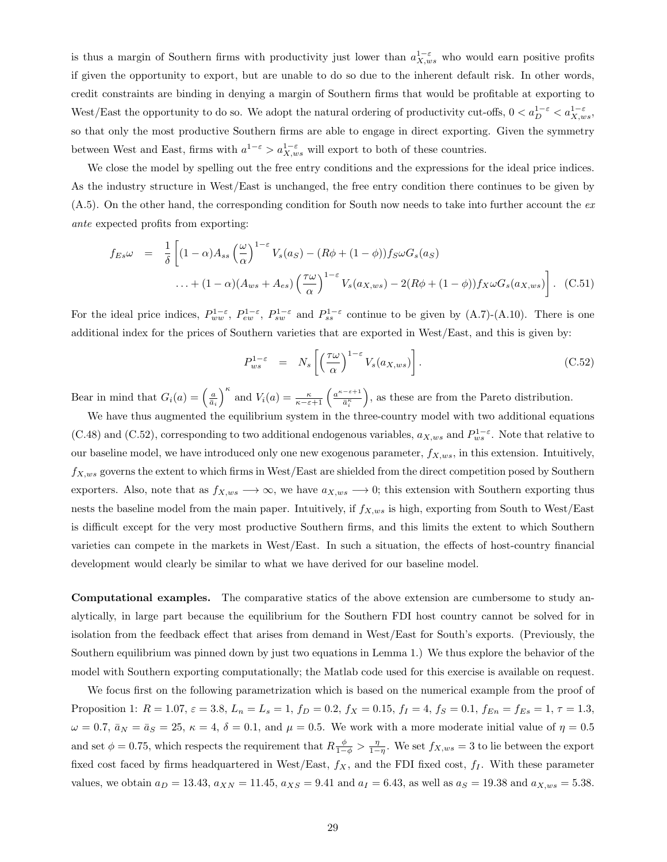is thus a margin of Southern firms with productivity just lower than  $a_{X,ws}^{1-\varepsilon}$  who would earn positive profits if given the opportunity to export, but are unable to do so due to the inherent default risk. In other words, credit constraints are binding in denying a margin of Southern firms that would be profitable at exporting to West/East the opportunity to do so. We adopt the natural ordering of productivity cut-offs,  $0 < a_{D}^{1-\varepsilon} < a_{X,ws}^{1-\varepsilon}$ , so that only the most productive Southern firms are able to engage in direct exporting. Given the symmetry between West and East, firms with  $a^{1-\epsilon} > a_{X,ws}^{1-\epsilon}$  will export to both of these countries.

We close the model by spelling out the free entry conditions and the expressions for the ideal price indices. As the industry structure in West/East is unchanged, the free entry condition there continues to be given by  $(A.5)$ . On the other hand, the corresponding condition for South now needs to take into further account the  $ex$ ante expected profits from exporting:

$$
f_{Es}\omega = \frac{1}{\delta} \left[ (1 - \alpha) A_{ss} \left( \frac{\omega}{\alpha} \right)^{1 - \varepsilon} V_s(a_S) - (R\phi + (1 - \phi)) f_S \omega G_s(a_S) \right. \n\ldots + (1 - \alpha) (A_{ws} + A_{es}) \left( \frac{\tau \omega}{\alpha} \right)^{1 - \varepsilon} V_s(a_{X,ws}) - 2(R\phi + (1 - \phi)) f_X \omega G_s(a_{X,ws}) \right]. \tag{C.51}
$$

For the ideal price indices,  $P_{ww}^{1-\varepsilon}$ ,  $P_{sw}^{1-\varepsilon}$ ,  $P_{sw}^{1-\varepsilon}$  and  $P_{ss}^{1-\varepsilon}$  continue to be given by (A.7)-(A.10). There is one additional index for the prices of Southern varieties that are exported in West/East, and this is given by:

$$
P_{ws}^{1-\varepsilon} = N_s \left[ \left( \frac{\tau \omega}{\alpha} \right)^{1-\varepsilon} V_s(a_{X,ws}) \right]. \tag{C.52}
$$

Bear in mind that  $G_i(a) = \left(\frac{a}{\bar{a}_i}\right)^{\kappa}$  and  $V_i(a) = \frac{\kappa}{\kappa - \varepsilon + 1} \left(\frac{a^{\kappa - \varepsilon + 1}}{\bar{a}_i^{\kappa}}\right)$  $\bar{a}_i^{\kappa}$ , as these are from the Pareto distribution.

We have thus augmented the equilibrium system in the three-country model with two additional equations (C.48) and (C.52), corresponding to two additional endogenous variables,  $a_{X,ws}$  and  $P_{ws}^{1-\epsilon}$ . Note that relative to our baseline model, we have introduced only one new exogenous parameter,  $f_{X,ws}$ , in this extension. Intuitively,  $f_{X,ws}$  governs the extent to which firms in West/East are shielded from the direct competition posed by Southern exporters. Also, note that as  $f_{X,ws} \to \infty$ , we have  $a_{X,ws} \to 0$ ; this extension with Southern exporting thus nests the baseline model from the main paper. Intuitively, if  $f_{X,ws}$  is high, exporting from South to West/East is difficult except for the very most productive Southern firms, and this limits the extent to which Southern varieties can compete in the markets in West/East. In such a situation, the effects of host-country financial development would clearly be similar to what we have derived for our baseline model.

Computational examples. The comparative statics of the above extension are cumbersome to study analytically, in large part because the equilibrium for the Southern FDI host country cannot be solved for in isolation from the feedback effect that arises from demand in West/East for South's exports. (Previously, the Southern equilibrium was pinned down by just two equations in Lemma 1.) We thus explore the behavior of the model with Southern exporting computationally; the Matlab code used for this exercise is available on request.

We focus first on the following parametrization which is based on the numerical example from the proof of Proposition 1:  $R = 1.07$ ,  $\varepsilon = 3.8$ ,  $L_n = L_s = 1$ ,  $f_D = 0.2$ ,  $f_X = 0.15$ ,  $f_I = 4$ ,  $f_S = 0.1$ ,  $f_{En} = f_{Es} = 1$ ,  $\tau = 1.3$ ,  $\omega = 0.7$ ,  $\bar{a}_N = \bar{a}_S = 25$ ,  $\kappa = 4$ ,  $\delta = 0.1$ , and  $\mu = 0.5$ . We work with a more moderate initial value of  $\eta = 0.5$ and set  $\phi = 0.75$ , which respects the requirement that  $R\frac{\phi}{1-\phi} > \frac{\eta}{1-\eta}$ . We set  $f_{X,ws} = 3$  to lie between the export fixed cost faced by firms headquartered in West/East,  $f_X$ , and the FDI fixed cost,  $f_I$ . With these parameter values, we obtain  $a_D = 13.43$ ,  $a_{XN} = 11.45$ ,  $a_{XS} = 9.41$  and  $a_I = 6.43$ , as well as  $a_S = 19.38$  and  $a_{X,ws} = 5.38$ .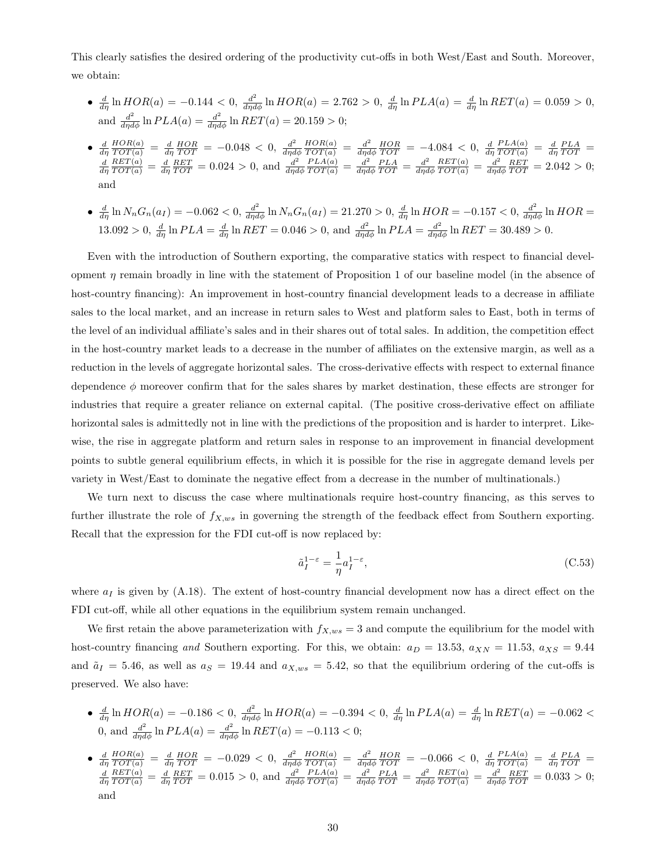This clearly satisfies the desired ordering of the productivity cut-offs in both West/East and South. Moreover, we obtain:

- $\frac{d}{d\eta} \ln HOR(a) = -0.144 < 0, \frac{d^2}{d\eta d\phi} \ln HOR(a) = 2.762 > 0, \frac{d}{d\eta} \ln PLA(a) = \frac{d}{d\eta} \ln REL(a) = 0.059 > 0,$ and  $\frac{d^2}{d\eta d\phi} \ln PLA(a) = \frac{d^2}{d\eta d\phi} \ln RET(a) = 20.159 > 0;$
- $\bullet$   $\frac{d}{d\eta}$  $\frac{HOR(a)}{TOT(a)} = \frac{d}{d\eta} \frac{HOR}{TOT} = -0.048 < 0, \frac{d^2}{d\eta d}$  $d\eta d\phi$  $\frac{HOR(a)}{TOT(a)} = \frac{d^2}{d\eta d}$  $\frac{d^2}{d\eta d\phi} \frac{HOR}{TOT} = -4.084 < 0, \frac{d}{d\eta}$  $\frac{PLA(a)}{TOT(a)} = \frac{d}{d\eta} \frac{PLA}{TOT} =$  $\frac{d}{d\eta}$  $\frac{RET(a)}{TOT(a)} = \frac{d}{d\eta} \frac{RET}{TOT} = 0.024 > 0$ , and  $\frac{d^2}{d\eta d}$  $d\eta d\phi$  $\frac{PLA(a)}{TOT(a)} = \frac{d^2}{d\eta d}$  $\frac{d^2}{d\eta d\phi} \frac{PLA}{TOT} = \frac{d^2}{d\eta d}$ dηdφ  $\frac{RET(a)}{TOT(a)} = \frac{d^2}{d\eta d}$  $\frac{d^2}{d\eta d\phi} \frac{RET}{TOT} = 2.042 > 0;$ and
- $\frac{d}{d\eta} \ln N_n G_n(a_I) = -0.062 < 0, \frac{d^2}{d\eta d\phi} \ln N_n G_n(a_I) = 21.270 > 0, \frac{d}{d\eta} \ln HOR = -0.157 < 0, \frac{d^2}{d\eta d\phi} \ln HOR =$  $13.092 > 0$ ,  $\frac{d}{d\eta} \ln PLA = \frac{d}{d\eta} \ln RET = 0.046 > 0$ , and  $\frac{d^2}{d\eta d\phi} \ln PLA = \frac{d^2}{d\eta d\phi} \ln RET = 30.489 > 0$ .

Even with the introduction of Southern exporting, the comparative statics with respect to financial development  $\eta$  remain broadly in line with the statement of Proposition 1 of our baseline model (in the absence of host-country financing): An improvement in host-country financial development leads to a decrease in affiliate sales to the local market, and an increase in return sales to West and platform sales to East, both in terms of the level of an individual affiliate's sales and in their shares out of total sales. In addition, the competition effect in the host-country market leads to a decrease in the number of affiliates on the extensive margin, as well as a reduction in the levels of aggregate horizontal sales. The cross-derivative effects with respect to external finance dependence  $\phi$  moreover confirm that for the sales shares by market destination, these effects are stronger for industries that require a greater reliance on external capital. (The positive cross-derivative effect on affiliate horizontal sales is admittedly not in line with the predictions of the proposition and is harder to interpret. Likewise, the rise in aggregate platform and return sales in response to an improvement in financial development points to subtle general equilibrium effects, in which it is possible for the rise in aggregate demand levels per variety in West/East to dominate the negative effect from a decrease in the number of multinationals.)

We turn next to discuss the case where multinationals require host-country financing, as this serves to further illustrate the role of  $f_{X,ws}$  in governing the strength of the feedback effect from Southern exporting. Recall that the expression for the FDI cut-off is now replaced by:

$$
\tilde{a}_I^{1-\varepsilon} = -\frac{1}{\eta} a_I^{1-\varepsilon},\tag{C.53}
$$

where  $a_I$  is given by (A.18). The extent of host-country financial development now has a direct effect on the FDI cut-off, while all other equations in the equilibrium system remain unchanged.

We first retain the above parameterization with  $f_{X,ws} = 3$  and compute the equilibrium for the model with host-country financing and Southern exporting. For this, we obtain:  $a_D = 13.53$ ,  $a_{XN} = 11.53$ ,  $a_{XS} = 9.44$ and  $\tilde{a}_I = 5.46$ , as well as  $a_S = 19.44$  and  $a_{X,ws} = 5.42$ , so that the equilibrium ordering of the cut-offs is preserved. We also have:

- $\frac{d}{d\eta} \ln HOR(a) = -0.186 < 0, \frac{d^2}{d\eta d\phi} \ln HOR(a) = -0.394 < 0, \frac{d}{d\eta} \ln PLA(a) = \frac{d}{d\eta} \ln RET(a) = -0.062 <$ 0, and  $\frac{d^2}{d\eta d\phi} \ln PLA(a) = \frac{d^2}{d\eta d\phi} \ln RET(a) = -0.113 < 0;$
- $\bullet$   $\frac{d}{d\eta}$  $\frac{HOR(a)}{TOT(a)} = \frac{d}{d\eta} \frac{HOR}{TOT} = -0.029 < 0, \frac{d^2}{d\eta d}$  $d\eta d\phi$  $\frac{HOR(a)}{TOT(a)} = \frac{d^2}{d\eta d}$  $\frac{d^2}{d\eta d\phi} \frac{HOR}{TOT} = -0.066 < 0, \frac{d}{d\eta}$  $\frac{PLA(a)}{TOT(a)} = \frac{d}{d\eta} \frac{PLA}{TOT} =$  $\frac{d}{d\eta}$  $\frac{RET(a)}{TOT(a)} = \frac{d}{d\eta} \frac{RET}{TOT} = 0.015 > 0$ , and  $\frac{d^2}{d\eta d}$  $d\eta d\phi$  $\frac{PLA(a)}{TOT(a)} = \frac{d^2}{d\eta d}$  $\frac{d^2}{d\eta d\phi} \frac{PLA}{TOT} = \frac{d^2}{d\eta d}$  $d\eta d\phi$  $\frac{RET(a)}{TOT(a)} = \frac{d^2}{d\eta d}$  $\frac{d^2}{d\eta d\phi} \frac{RET}{TOT} = 0.033 > 0;$ and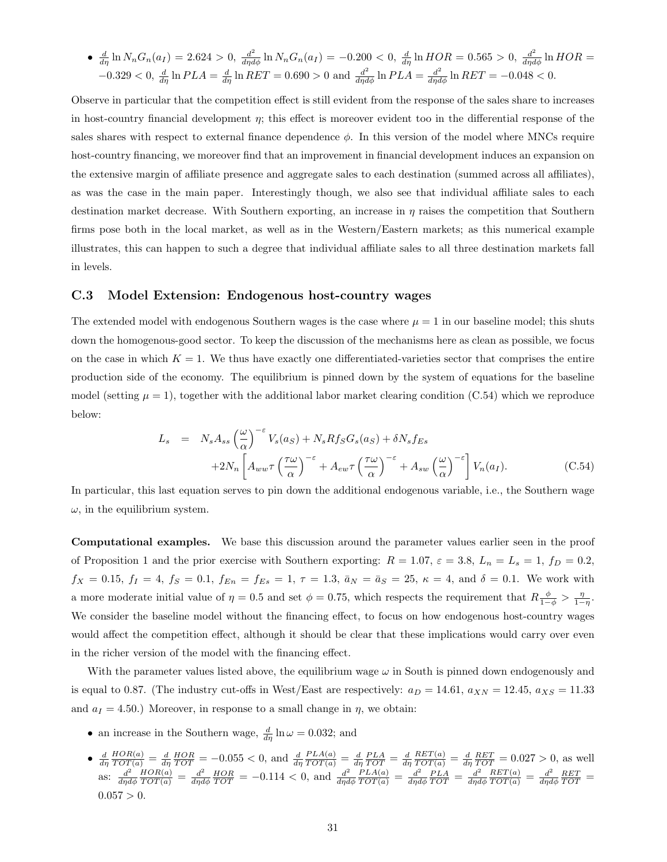• 
$$
\frac{d}{d\eta} \ln N_n G_n(a_I) = 2.624 > 0
$$
,  $\frac{d^2}{d\eta d\phi} \ln N_n G_n(a_I) = -0.200 < 0$ ,  $\frac{d}{d\eta} \ln HOR = 0.565 > 0$ ,  $\frac{d^2}{d\eta d\phi} \ln HOR = -0.329 < 0$ ,  $\frac{d}{d\eta} \ln PLA = \frac{d}{d\eta} \ln REL = 0.690 > 0$  and  $\frac{d^2}{d\eta d\phi} \ln PLA = \frac{d^2}{d\eta d\phi} \ln RET = -0.048 < 0$ .

Observe in particular that the competition effect is still evident from the response of the sales share to increases in host-country financial development  $\eta$ ; this effect is moreover evident too in the differential response of the sales shares with respect to external finance dependence  $\phi$ . In this version of the model where MNCs require host-country financing, we moreover find that an improvement in financial development induces an expansion on the extensive margin of affiliate presence and aggregate sales to each destination (summed across all affiliates), as was the case in the main paper. Interestingly though, we also see that individual affiliate sales to each destination market decrease. With Southern exporting, an increase in  $\eta$  raises the competition that Southern firms pose both in the local market, as well as in the Western/Eastern markets; as this numerical example illustrates, this can happen to such a degree that individual affiliate sales to all three destination markets fall in levels.

#### C.3 Model Extension: Endogenous host-country wages

The extended model with endogenous Southern wages is the case where  $\mu = 1$  in our baseline model; this shuts down the homogenous-good sector. To keep the discussion of the mechanisms here as clean as possible, we focus on the case in which  $K = 1$ . We thus have exactly one differentiated-varieties sector that comprises the entire production side of the economy. The equilibrium is pinned down by the system of equations for the baseline model (setting  $\mu = 1$ ), together with the additional labor market clearing condition (C.54) which we reproduce below:

$$
L_s = N_s A_{ss} \left(\frac{\omega}{\alpha}\right)^{-\epsilon} V_s(a_S) + N_s R f_S G_s(a_S) + \delta N_s f_{Es}
$$
  
+2N\_n  $\left[ A_{ww} \tau \left(\frac{\tau \omega}{\alpha}\right)^{-\epsilon} + A_{ew} \tau \left(\frac{\tau \omega}{\alpha}\right)^{-\epsilon} + A_{sw} \left(\frac{\omega}{\alpha}\right)^{-\epsilon} \right] V_n(a_I).$  (C.54)

In particular, this last equation serves to pin down the additional endogenous variable, i.e., the Southern wage  $\omega$ , in the equilibrium system.

Computational examples. We base this discussion around the parameter values earlier seen in the proof of Proposition 1 and the prior exercise with Southern exporting:  $R = 1.07$ ,  $\varepsilon = 3.8$ ,  $L_n = L_s = 1$ ,  $f_D = 0.2$ ,  $f_X = 0.15$ ,  $f_I = 4$ ,  $f_S = 0.1$ ,  $f_{En} = f_{Es} = 1$ ,  $\tau = 1.3$ ,  $\bar{a}_N = \bar{a}_S = 25$ ,  $\kappa = 4$ , and  $\delta = 0.1$ . We work with a more moderate initial value of  $\eta = 0.5$  and set  $\phi = 0.75$ , which respects the requirement that  $R\frac{\phi}{1-\phi} > \frac{\eta}{1-\eta}$ . We consider the baseline model without the financing effect, to focus on how endogenous host-country wages would affect the competition effect, although it should be clear that these implications would carry over even in the richer version of the model with the financing effect.

With the parameter values listed above, the equilibrium wage  $\omega$  in South is pinned down endogenously and is equal to 0.87. (The industry cut-offs in West/East are respectively:  $a_D = 14.61$ ,  $a_{XN} = 12.45$ ,  $a_{XS} = 11.33$ and  $a_I = 4.50$ .) Moreover, in response to a small change in  $\eta$ , we obtain:

- an increase in the Southern wage,  $\frac{d}{d\eta} \ln \omega = 0.032$ ; and
- $\bullet$   $\frac{d}{d\eta}$  $\frac{HOR(a)}{TOT(a)} = \frac{d}{d\eta} \frac{HOR}{TOT} = -0.055 < 0$ , and  $\frac{d}{d\eta}$  $\frac{PLA(a)}{TOT(a)} = \frac{d}{d\eta} \frac{PLA}{TOT} = \frac{d}{d\eta}$  $\frac{RET(a)}{TOT(a)} = \frac{d}{d\eta} \frac{RET}{TOT} = 0.027 > 0$ , as well as:  $\frac{d^2}{dxd}$  $d\eta d\phi$  $\frac{HOR(a)}{TOT(a)} = \frac{d^2}{d\eta d}$  $\frac{d^2}{d\eta d\phi} \frac{HOR}{TOT} = -0.114 < 0$ , and  $\frac{d^2}{d\eta d}$  $d\eta d\phi$  $\frac{PLA(a)}{TOT(a)} = \frac{d^2}{d\eta d}$  $\frac{d^2}{d\eta d\phi} \frac{PLA}{TOT} = \frac{d^2}{d\eta d}$ dηdφ  $\frac{RET(a)}{TOT(a)} = \frac{d^2}{d\eta d}$  $\frac{d^2}{d\eta d\phi} \frac{RET}{TOT} =$  $0.057 > 0.$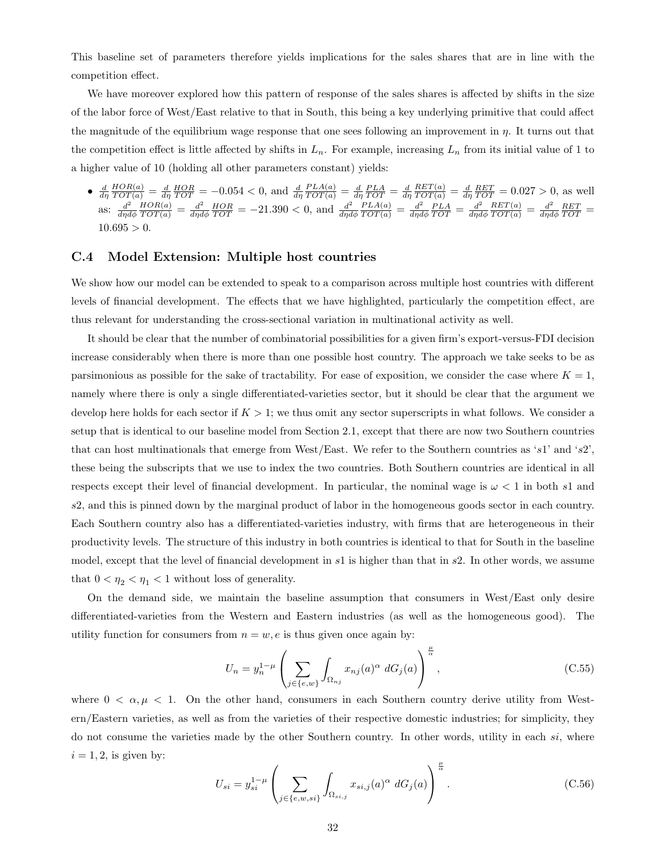This baseline set of parameters therefore yields implications for the sales shares that are in line with the competition effect.

We have moreover explored how this pattern of response of the sales shares is affected by shifts in the size of the labor force of West/East relative to that in South, this being a key underlying primitive that could affect the magnitude of the equilibrium wage response that one sees following an improvement in  $\eta$ . It turns out that the competition effect is little affected by shifts in  $L_n$ . For example, increasing  $L_n$  from its initial value of 1 to a higher value of 10 (holding all other parameters constant) yields:

 $\bullet$   $\frac{d}{d\eta}$  $\frac{HOR(a)}{TOT(a)} = \frac{d}{d\eta} \frac{HOR}{TOT} = -0.054 < 0$ , and  $\frac{d}{d\eta}$  $\frac{PLA(a)}{TOT(a)} = \frac{d}{d\eta} \frac{PLA}{TOT} = \frac{d}{d\eta}$  $\frac{RET(a)}{TOT(a)} = \frac{d}{d\eta} \frac{RET}{TOT} = 0.027 > 0$ , as well as:  $\frac{d^2}{dxd}$  $d\eta d\phi$  $\frac{HOR(a)}{TOT(a)} = \frac{d^2}{d\eta d}$  $\frac{d^2}{d\eta d\phi} \frac{HOR}{TOT} = -21.390 < 0$ , and  $\frac{d^2}{d\eta d}$  $d\eta d\phi$  $\frac{PLA(a)}{TOT(a)} = \frac{d^2}{d\eta d}$  $\frac{d^2}{d\eta d\phi} \frac{PLA}{TOT} = \frac{d^2}{d\eta d}$  $d\eta d\phi$  $\frac{RET(a)}{TOT(a)} = \frac{d^2}{d\eta d}$  $\frac{d^2}{d\eta d\phi} \frac{RET}{TOT} =$  $10.695 > 0.$ 

#### C.4 Model Extension: Multiple host countries

We show how our model can be extended to speak to a comparison across multiple host countries with different levels of financial development. The effects that we have highlighted, particularly the competition effect, are thus relevant for understanding the cross-sectional variation in multinational activity as well.

It should be clear that the number of combinatorial possibilities for a given firm's export-versus-FDI decision increase considerably when there is more than one possible host country. The approach we take seeks to be as parsimonious as possible for the sake of tractability. For ease of exposition, we consider the case where  $K = 1$ , namely where there is only a single differentiated-varieties sector, but it should be clear that the argument we develop here holds for each sector if  $K > 1$ ; we thus omit any sector superscripts in what follows. We consider a setup that is identical to our baseline model from Section 2.1, except that there are now two Southern countries that can host multinationals that emerge from West/East. We refer to the Southern countries as 's1' and 's2', these being the subscripts that we use to index the two countries. Both Southern countries are identical in all respects except their level of financial development. In particular, the nominal wage is  $\omega < 1$  in both s1 and s2, and this is pinned down by the marginal product of labor in the homogeneous goods sector in each country. Each Southern country also has a differentiated-varieties industry, with firms that are heterogeneous in their productivity levels. The structure of this industry in both countries is identical to that for South in the baseline model, except that the level of financial development in s1 is higher than that in s2. In other words, we assume that  $0 < \eta_2 < \eta_1 < 1$  without loss of generality.

On the demand side, we maintain the baseline assumption that consumers in West/East only desire differentiated-varieties from the Western and Eastern industries (as well as the homogeneous good). The utility function for consumers from  $n = w, e$  is thus given once again by:

$$
U_n = y_n^{1-\mu} \left( \sum_{j \in \{e,w\}} \int_{\Omega_{nj}} x_{nj}(a)^\alpha \ dG_j(a) \right)^{\frac{\mu}{\alpha}}, \tag{C.55}
$$

where  $0 < \alpha, \mu < 1$ . On the other hand, consumers in each Southern country derive utility from Western/Eastern varieties, as well as from the varieties of their respective domestic industries; for simplicity, they do not consume the varieties made by the other Southern country. In other words, utility in each si, where  $i = 1, 2$ , is given by:

$$
U_{si} = y_{si}^{1-\mu} \left( \sum_{j \in \{e,w,si\}} \int_{\Omega_{si,j}} x_{si,j}(a)^{\alpha} dG_j(a) \right)^{\frac{\mu}{\alpha}}.
$$
 (C.56)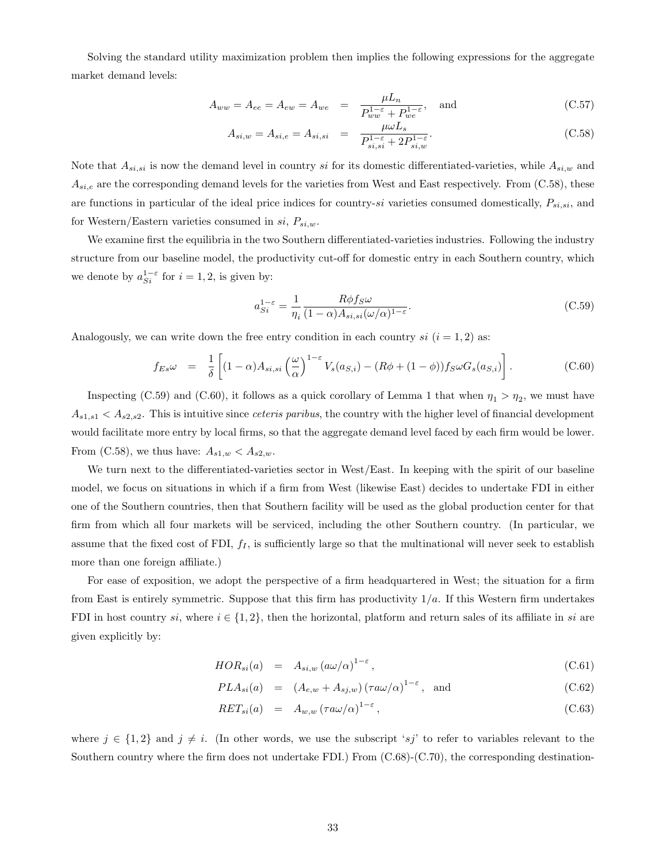Solving the standard utility maximization problem then implies the following expressions for the aggregate market demand levels:

$$
A_{ww} = A_{ee} = A_{ew} = A_{we} = \frac{\mu L_n}{P_{ww}^{1-\epsilon} + P_{we}^{1-\epsilon}}, \text{ and}
$$
 (C.57)

$$
A_{si,w} = A_{si,e} = A_{si,si} = \frac{\mu \omega L_s}{P_{si,si}^{1-\varepsilon} + 2P_{si,w}^{1-\varepsilon}}.
$$
\n(C.58)

Note that  $A_{si,si}$  is now the demand level in country si for its domestic differentiated-varieties, while  $A_{si,w}$  and  $A_{si,e}$  are the corresponding demand levels for the varieties from West and East respectively. From (C.58), these are functions in particular of the ideal price indices for country-si varieties consumed domestically,  $P_{si,si}$ , and for Western/Eastern varieties consumed in  $si$ ,  $P_{si,w}$ .

We examine first the equilibria in the two Southern differentiated-varieties industries. Following the industry structure from our baseline model, the productivity cut-off for domestic entry in each Southern country, which we denote by  $a_{Si}^{1-\epsilon}$  for  $i=1,2$ , is given by:

$$
a_{Si}^{1-\varepsilon} = \frac{1}{\eta_i} \frac{R\phi f_S \omega}{(1-\alpha)A_{si,si}(\omega/\alpha)^{1-\varepsilon}}.
$$
\n(C.59)

Analogously, we can write down the free entry condition in each country  $si$  ( $i = 1, 2$ ) as:

$$
f_{Es}\omega = \frac{1}{\delta} \left[ (1-\alpha)A_{si,si} \left( \frac{\omega}{\alpha} \right)^{1-\varepsilon} V_s(a_{S,i}) - (R\phi + (1-\phi))f_S\omega G_s(a_{S,i}) \right]. \tag{C.60}
$$

Inspecting (C.59) and (C.60), it follows as a quick corollary of Lemma 1 that when  $\eta_1 > \eta_2$ , we must have  $A_{s1,s1} < A_{s2,s2}$ . This is intuitive since *ceteris paribus*, the country with the higher level of financial development would facilitate more entry by local firms, so that the aggregate demand level faced by each firm would be lower. From (C.58), we thus have:  $A_{s1,w} < A_{s2,w}$ .

We turn next to the differentiated-varieties sector in West/East. In keeping with the spirit of our baseline model, we focus on situations in which if a firm from West (likewise East) decides to undertake FDI in either one of the Southern countries, then that Southern facility will be used as the global production center for that firm from which all four markets will be serviced, including the other Southern country. (In particular, we assume that the fixed cost of FDI,  $f_I$ , is sufficiently large so that the multinational will never seek to establish more than one foreign affiliate.)

For ease of exposition, we adopt the perspective of a firm headquartered in West; the situation for a firm from East is entirely symmetric. Suppose that this firm has productivity  $1/a$ . If this Western firm undertakes FDI in host country si, where  $i \in \{1,2\}$ , then the horizontal, platform and return sales of its affiliate in si are given explicitly by:

$$
HOR_{si}(a) = A_{si,w} (a\omega/\alpha)^{1-\epsilon}, \qquad (C.61)
$$

$$
PLA_{si}(a) = (A_{e,w} + A_{sj,w}) (\tau a \omega/\alpha)^{1-\epsilon}
$$
, and (C.62)

$$
RET_{si}(a) = A_{w,w} (\tau a\omega/\alpha)^{1-\varepsilon}, \qquad (C.63)
$$

where  $j \in \{1,2\}$  and  $j \neq i$ . (In other words, we use the subscript 'sj' to refer to variables relevant to the Southern country where the firm does not undertake FDI.) From (C.68)-(C.70), the corresponding destination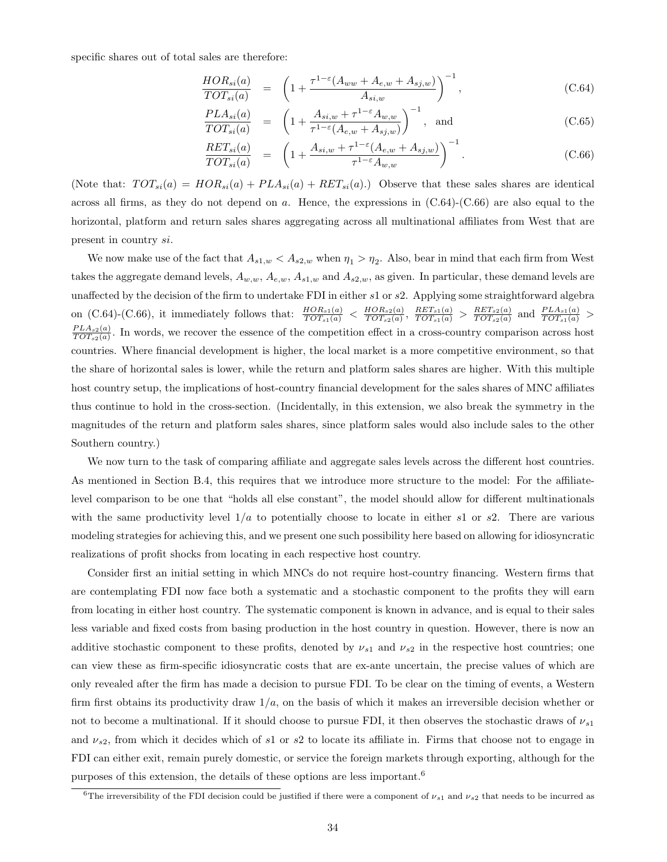specific shares out of total sales are therefore:

$$
\frac{HOR_{si}(a)}{TOT_{si}(a)} = \left(1 + \frac{\tau^{1-\epsilon}(A_{ww} + A_{e,w} + A_{sj,w})}{A_{si,w}}\right)^{-1},\tag{C.64}
$$

$$
\frac{PLA_{si}(a)}{TOT_{si}(a)} = \left(1 + \frac{A_{si,w} + \tau^{1-\epsilon}A_{w,w}}{\tau^{1-\epsilon}(A_{e,w} + A_{sj,w})}\right)^{-1}, \text{ and } (C.65)
$$

$$
\frac{RET_{si}(a)}{TOT_{si}(a)} = \left(1 + \frac{A_{si,w} + \tau^{1-\epsilon}(A_{e,w} + A_{sj,w})}{\tau^{1-\epsilon}A_{w,w}}\right)^{-1}.
$$
\n(C.66)

(Note that:  $TOT_{si}(a) = HOR_{si}(a) + PLA_{si}(a) + RET_{si}(a)$ .) Observe that these sales shares are identical across all firms, as they do not depend on a. Hence, the expressions in  $(C.64)-(C.66)$  are also equal to the horizontal, platform and return sales shares aggregating across all multinational affiliates from West that are present in country si.

We now make use of the fact that  $A_{s1,w} < A_{s2,w}$  when  $\eta_1 > \eta_2$ . Also, bear in mind that each firm from West takes the aggregate demand levels,  $A_{w,w}$ ,  $A_{e,w}$ ,  $A_{s1,w}$  and  $A_{s2,w}$ , as given. In particular, these demand levels are unaffected by the decision of the firm to undertake FDI in either s1 or s2. Applying some straightforward algebra on (C.64)-(C.66), it immediately follows that:  $\frac{HOR_{s1}(a)}{TOT_{s1}(a)} < \frac{HOR_{s2}(a)}{TOT_{s2}(a)}$  $\frac{HOR_{s2}(a)}{TOT_{s2}(a)}, \ \frac{RET_{s1}(a)}{TOT_{s1}(a)} > \frac{RET_{s2}(a)}{TOT_{s2}(a)}$  $\frac{RET_{s2}(a)}{TOT_{s2}(a)}$  and  $\frac{PLA_{s1}(a)}{TOT_{s1}(a)}$  >  $PLA_{s2}(a)$  $\frac{PLA_{s2}(a)}{TOT_{s2}(a)}$ . In words, we recover the essence of the competition effect in a cross-country comparison across host countries. Where financial development is higher, the local market is a more competitive environment, so that the share of horizontal sales is lower, while the return and platform sales shares are higher. With this multiple host country setup, the implications of host-country financial development for the sales shares of MNC affiliates thus continue to hold in the cross-section. (Incidentally, in this extension, we also break the symmetry in the magnitudes of the return and platform sales shares, since platform sales would also include sales to the other Southern country.)

We now turn to the task of comparing affiliate and aggregate sales levels across the different host countries. As mentioned in Section B.4, this requires that we introduce more structure to the model: For the affiliatelevel comparison to be one that "holds all else constant", the model should allow for different multinationals with the same productivity level  $1/a$  to potentially choose to locate in either s1 or s2. There are various modeling strategies for achieving this, and we present one such possibility here based on allowing for idiosyncratic realizations of profit shocks from locating in each respective host country.

Consider first an initial setting in which MNCs do not require host-country financing. Western firms that are contemplating FDI now face both a systematic and a stochastic component to the profits they will earn from locating in either host country. The systematic component is known in advance, and is equal to their sales less variable and fixed costs from basing production in the host country in question. However, there is now an additive stochastic component to these profits, denoted by  $\nu_{s1}$  and  $\nu_{s2}$  in the respective host countries; one can view these as firm-specific idiosyncratic costs that are ex-ante uncertain, the precise values of which are only revealed after the firm has made a decision to pursue FDI. To be clear on the timing of events, a Western firm first obtains its productivity draw  $1/a$ , on the basis of which it makes an irreversible decision whether or not to become a multinational. If it should choose to pursue FDI, it then observes the stochastic draws of  $\nu_{s1}$ and  $\nu_{s2}$ , from which it decides which of s1 or s2 to locate its affiliate in. Firms that choose not to engage in FDI can either exit, remain purely domestic, or service the foreign markets through exporting, although for the purposes of this extension, the details of these options are less important.<sup>6</sup>

<sup>&</sup>lt;sup>6</sup>The irreversibility of the FDI decision could be justified if there were a component of  $\nu_{s1}$  and  $\nu_{s2}$  that needs to be incurred as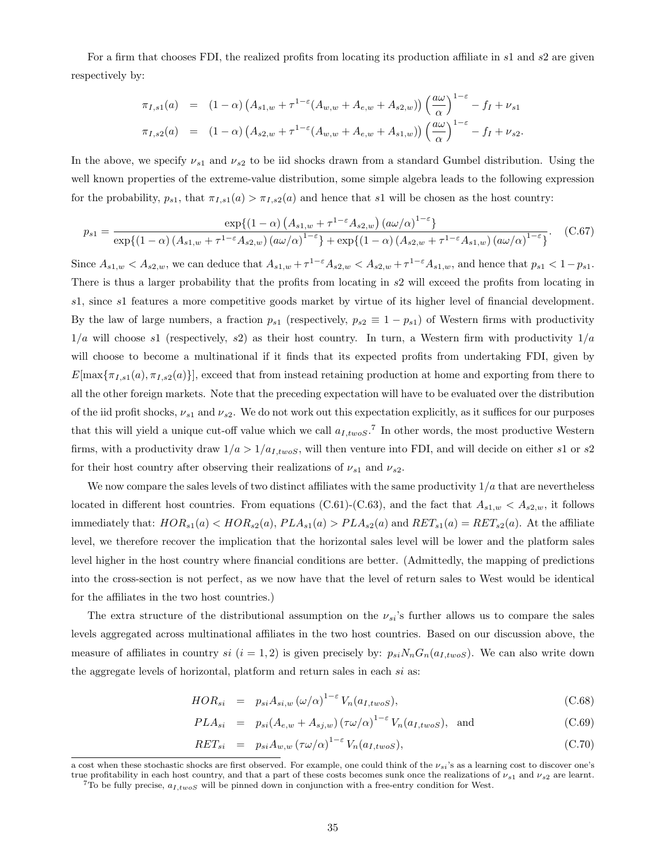For a firm that chooses FDI, the realized profits from locating its production affiliate in s1 and s2 are given respectively by:

$$
\pi_{I,s1}(a) = (1-\alpha) \left( A_{s1,w} + \tau^{1-\epsilon} (A_{w,w} + A_{e,w} + A_{s2,w}) \right) \left( \frac{a\omega}{\alpha} \right)^{1-\epsilon} - f_I + \nu_{s1}
$$
  

$$
\pi_{I,s2}(a) = (1-\alpha) \left( A_{s2,w} + \tau^{1-\epsilon} (A_{w,w} + A_{e,w} + A_{s1,w}) \right) \left( \frac{a\omega}{\alpha} \right)^{1-\epsilon} - f_I + \nu_{s2}.
$$

In the above, we specify  $\nu_{s1}$  and  $\nu_{s2}$  to be iid shocks drawn from a standard Gumbel distribution. Using the well known properties of the extreme-value distribution, some simple algebra leads to the following expression for the probability,  $p_{s1}$ , that  $\pi_{I,s1}(a) > \pi_{I,s2}(a)$  and hence that s1 will be chosen as the host country:

$$
p_{s1} = \frac{\exp\{(1-\alpha)\left(A_{s1,w} + \tau^{1-\epsilon}A_{s2,w}\right)\left(a\omega/\alpha\right)^{1-\epsilon}\}}{\exp\{(1-\alpha)\left(A_{s1,w} + \tau^{1-\epsilon}A_{s2,w}\right)\left(a\omega/\alpha\right)^{1-\epsilon}\} + \exp\{(1-\alpha)\left(A_{s2,w} + \tau^{1-\epsilon}A_{s1,w}\right)\left(a\omega/\alpha\right)^{1-\epsilon}\}}.\tag{C.67}
$$

Since  $A_{s1,w} < A_{s2,w}$ , we can deduce that  $A_{s1,w} + \tau^{1-\epsilon} A_{s2,w} < A_{s2,w} + \tau^{1-\epsilon} A_{s1,w}$ , and hence that  $p_{s1} < 1-p_{s1}$ . There is thus a larger probability that the profits from locating in s2 will exceed the profits from locating in s1, since s1 features a more competitive goods market by virtue of its higher level of financial development. By the law of large numbers, a fraction  $p_{s1}$  (respectively,  $p_{s2} \equiv 1 - p_{s1}$ ) of Western firms with productivity  $1/a$  will choose s1 (respectively, s2) as their host country. In turn, a Western firm with productivity  $1/a$ will choose to become a multinational if it finds that its expected profits from undertaking FDI, given by  $E[\max{\pi_{I,s1}(a), \pi_{I,s2}(a)}]$ , exceed that from instead retaining production at home and exporting from there to all the other foreign markets. Note that the preceding expectation will have to be evaluated over the distribution of the iid profit shocks,  $v_{s1}$  and  $v_{s2}$ . We do not work out this expectation explicitly, as it suffices for our purposes that this will yield a unique cut-off value which we call  $a_{I,twoS}$ .<sup>7</sup> In other words, the most productive Western firms, with a productivity draw  $1/a > 1/a_{I,twoS}$ , will then venture into FDI, and will decide on either s1 or s2 for their host country after observing their realizations of  $\nu_{s1}$  and  $\nu_{s2}$ .

We now compare the sales levels of two distinct affiliates with the same productivity  $1/a$  that are nevertheless located in different host countries. From equations (C.61)-(C.63), and the fact that  $A_{s1,w} < A_{s2,w}$ , it follows immediately that:  $HOR_{s1}(a) < HOR_{s2}(a)$ ,  $PLA_{s1}(a) > PLA_{s2}(a)$  and  $RET_{s1}(a) = RET_{s2}(a)$ . At the affiliate level, we therefore recover the implication that the horizontal sales level will be lower and the platform sales level higher in the host country where financial conditions are better. (Admittedly, the mapping of predictions into the cross-section is not perfect, as we now have that the level of return sales to West would be identical for the affiliates in the two host countries.)

The extra structure of the distributional assumption on the  $\nu_{si}$ 's further allows us to compare the sales levels aggregated across multinational affiliates in the two host countries. Based on our discussion above, the measure of affiliates in country si  $(i = 1, 2)$  is given precisely by:  $p_{si}N_nG_n(a_{I,twoS})$ . We can also write down the aggregate levels of horizontal, platform and return sales in each si as:

$$
HOR_{si} = p_{si} A_{si,w} (\omega/\alpha)^{1-\epsilon} V_n(a_{I,twoS}), \qquad (C.68)
$$

$$
PLA_{si} = p_{si}(A_{e,w} + A_{sj,w}) (\tau \omega/\alpha)^{1-\epsilon} V_n(a_{I,twoS}), \text{ and}
$$
\n(C.69)

$$
RET_{si} = p_{si} A_{w,w} (\tau \omega/\alpha)^{1-\epsilon} V_n(a_{I,twoS}), \qquad (C.70)
$$

a cost when these stochastic shocks are first observed. For example, one could think of the  $\nu_{si}$ 's as a learning cost to discover one's true profitability in each host country, and that a part of these costs becomes sunk once the realizations of  $\nu_{s1}$  and  $\nu_{s2}$  are learnt.

 $7\text{To be fully precise, }a_{I,twoS}$  will be pinned down in conjunction with a free-entry condition for West.